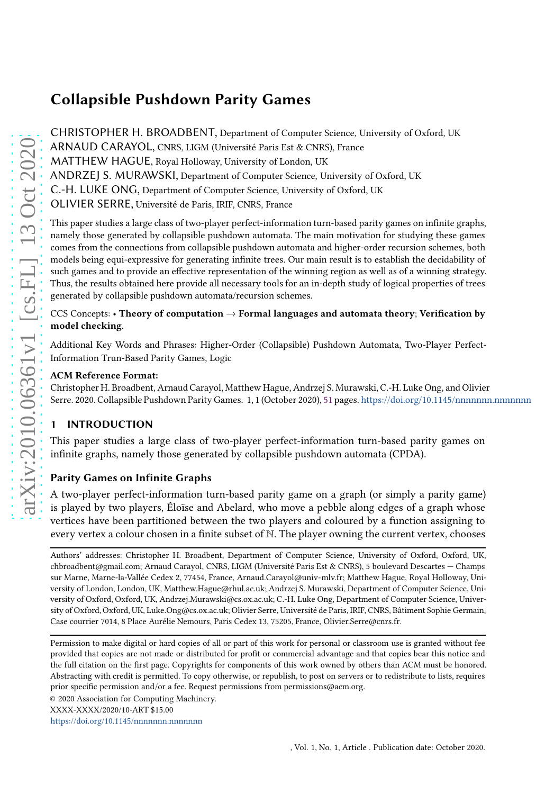CHRISTOPHER H. BROADBENT, Department of Computer Science, University of Oxford, UK ARNAUD CARAYOL, CNRS, LIGM (Université Paris Est & CNRS), France MATTHEW HAGUE, Royal Holloway, University of London, UK ANDRZEJ S. MURAWSKI, Department of Computer Science, University of Oxford, UK C.-H. LUKE ONG, Department of Computer Science, University of Oxford, UK OLIVIER SERRE, Université de Paris, IRIF, CNRS, France

This paper studies a large class of two-player perfect-information turn-based parity games on infinite graphs, namely those generated by collapsible pushdown automata. The main motivation for studying these games comes from the connections from collapsible pushdown automata and higher-order recursion schemes, both models being equi-expressive for generating infinite trees. Our main result is to establish the decidability of such games and to provide an effective representation of the winning region as well as of a winning strategy. Thus, the results obtained here provide all necessary tools for an in-depth study of logical properties of trees generated by collapsible pushdown automata/recursion schemes.

# CCS Concepts: • Theory of computation  $\rightarrow$  Formal languages and automata theory; Verification by model checking.

Additional Key Words and Phrases: Higher-Order (Collapsible) Pushdown Automata, Two-Player Perfect-Information Trun-Based Parity Games, Logic

## ACM Reference Format:

Christopher H. Broadbent, Arnaud Carayol, Matthew Hague, Andrzej S. Murawski, C.-H. Luke Ong, and Olivier Serre. 2020. Collapsible Pushdown Parity Games. 1, 1 (October 2020), [51](#page-50-0) pages. <https://doi.org/10.1145/nnnnnnn.nnnnnnn>

# 1 INTRODUCTION

This paper studies a large class of two-player perfect-information turn-based parity games on infinite graphs, namely those generated by collapsible pushdown automata (CPDA).

# Parity Games on Infinite Graphs

A two-player perfect-information turn-based parity game on a graph (or simply a parity game) is played by two players, Éloïse and Abelard, who move a pebble along edges of a graph whose vertices have been partitioned between the two players and coloured by a function assigning to every vertex a colour chosen in a finite subset of N. The player owning the current vertex, chooses

Authors' addresses: Christopher H. Broadbent, Department of Computer Science, University of Oxford, Oxford, UK, chbroadbent@gmail.com; Arnaud Carayol, CNRS, LIGM (Université Paris Est & CNRS), 5 boulevard Descartes — Champs sur Marne, Marne-la-Vallée Cedex 2, 77454, France, Arnaud.Carayol@univ-mlv.fr; Matthew Hague, Royal Holloway, University of London, London, UK, Matthew.Hague@rhul.ac.uk; Andrzej S. Murawski, Department of Computer Science, University of Oxford, Oxford, UK, Andrzej.Murawski@cs.ox.ac.uk; C.-H. Luke Ong, Department of Computer Science, University of Oxford, Oxford, UK, Luke.Ong@cs.ox.ac.uk; Olivier Serre, Université de Paris, IRIF, CNRS, Bâtiment Sophie Germain, Case courrier 7014, 8 Place Aurélie Nemours, Paris Cedex 13, 75205, France, Olivier.Serre@cnrs.fr.

<https://doi.org/10.1145/nnnnnnn.nnnnnnn>

Permission to make digital or hard copies of all or part of this work for personal or classroom use is granted without fee provided that copies are not made or distributed for profit or commercial advantage and that copies bear this notice and the full citation on the first page. Copyrights for components of this work owned by others than ACM must be honored. Abstracting with credit is permitted. To copy otherwise, or republish, to post on servers or to redistribute to lists, requires prior specific permission and/or a fee. Request permissions from permissions@acm.org.

<sup>© 2020</sup> Association for Computing Machinery.

XXXX-XXXX/2020/10-ART \$15.00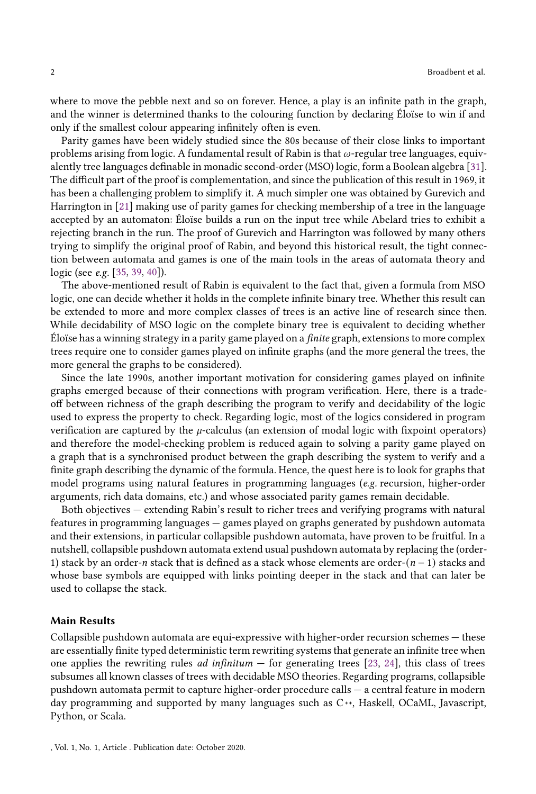where to move the pebble next and so on forever. Hence, a play is an infinite path in the graph, and the winner is determined thanks to the colouring function by declaring Éloïse to win if and only if the smallest colour appearing infinitely often is even.

Parity games have been widely studied since the 80s because of their close links to important problems arising from logic. A fundamental result of Rabin is that  $\omega$ -regular tree languages, equivalently tree languages definable in monadic second-order (MSO) logic, form a Boolean algebra [\[31\]](#page-50-1). The difficult part of the proof is complementation, and since the publication of this result in 1969, it has been a challenging problem to simplify it. A much simpler one was obtained by Gurevich and Harrington in [\[21](#page-49-0)] making use of parity games for checking membership of a tree in the language accepted by an automaton: Éloïse builds a run on the input tree while Abelard tries to exhibit a rejecting branch in the run. The proof of Gurevich and Harrington was followed by many others trying to simplify the original proof of Rabin, and beyond this historical result, the tight connection between automata and games is one of the main tools in the areas of automata theory and logic (see e.g. [\[35,](#page-50-2) [39,](#page-50-3) [40](#page-50-4)]).

The above-mentioned result of Rabin is equivalent to the fact that, given a formula from MSO logic, one can decide whether it holds in the complete infinite binary tree. Whether this result can be extended to more and more complex classes of trees is an active line of research since then. While decidability of MSO logic on the complete binary tree is equivalent to deciding whether Éloïse has a winning strategy in a parity game played on a finite graph, extensions to more complex trees require one to consider games played on infinite graphs (and the more general the trees, the more general the graphs to be considered).

Since the late 1990s, another important motivation for considering games played on infinite graphs emerged because of their connections with program verification. Here, there is a tradeoff between richness of the graph describing the program to verify and decidability of the logic used to express the property to check. Regarding logic, most of the logics considered in program verification are captured by the  $\mu$ -calculus (an extension of modal logic with fixpoint operators) and therefore the model-checking problem is reduced again to solving a parity game played on a graph that is a synchronised product between the graph describing the system to verify and a finite graph describing the dynamic of the formula. Hence, the quest here is to look for graphs that model programs using natural features in programming languages (e.g. recursion, higher-order arguments, rich data domains, etc.) and whose associated parity games remain decidable.

Both objectives — extending Rabin's result to richer trees and verifying programs with natural features in programming languages — games played on graphs generated by pushdown automata and their extensions, in particular collapsible pushdown automata, have proven to be fruitful. In a nutshell, collapsible pushdown automata extend usual pushdown automata by replacing the (order-1) stack by an order-n stack that is defined as a stack whose elements are order- $(n-1)$  stacks and whose base symbols are equipped with links pointing deeper in the stack and that can later be used to collapse the stack.

#### Main Results

Collapsible pushdown automata are equi-expressive with higher-order recursion schemes — these are essentially finite typed deterministic term rewriting systems that generate an infinite tree when one applies the rewriting rules *ad infinitum*  $-$  for generating trees [\[23,](#page-49-1) [24\]](#page-49-2), this class of trees subsumes all known classes of trees with decidable MSO theories. Regarding programs, collapsible pushdown automata permit to capture higher-order procedure calls — a central feature in modern day programming and supported by many languages such as C++, Haskell, OCaML, Javascript, Python, or Scala.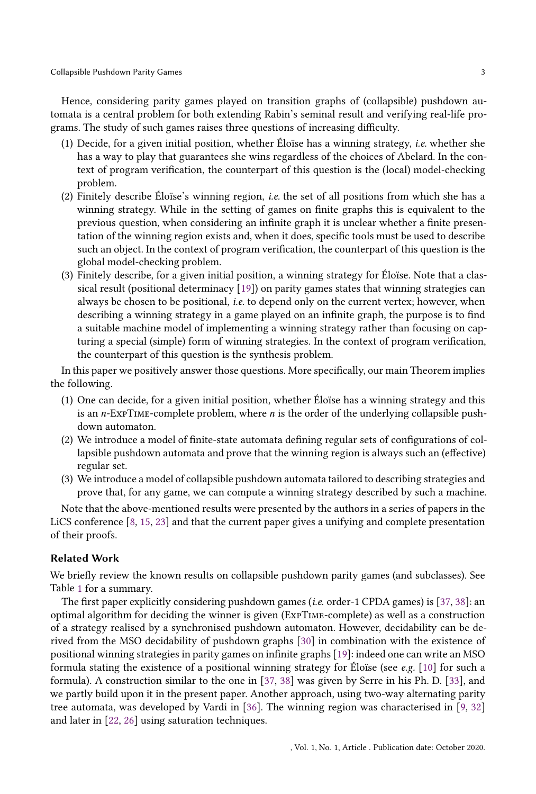Hence, considering parity games played on transition graphs of (collapsible) pushdown automata is a central problem for both extending Rabin's seminal result and verifying real-life programs. The study of such games raises three questions of increasing difficulty.

- (1) Decide, for a given initial position, whether Éloïse has a winning strategy, i.e. whether she has a way to play that guarantees she wins regardless of the choices of Abelard. In the context of program verification, the counterpart of this question is the (local) model-checking problem.
- (2) Finitely describe Éloïse's winning region, *i.e.* the set of all positions from which she has a winning strategy. While in the setting of games on finite graphs this is equivalent to the previous question, when considering an infinite graph it is unclear whether a finite presentation of the winning region exists and, when it does, specific tools must be used to describe such an object. In the context of program verification, the counterpart of this question is the global model-checking problem.
- (3) Finitely describe, for a given initial position, a winning strategy for Éloïse. Note that a classical result (positional determinacy [\[19\]](#page-49-3)) on parity games states that winning strategies can always be chosen to be positional, *i.e.* to depend only on the current vertex; however, when describing a winning strategy in a game played on an infinite graph, the purpose is to find a suitable machine model of implementing a winning strategy rather than focusing on capturing a special (simple) form of winning strategies. In the context of program verification, the counterpart of this question is the synthesis problem.

In this paper we positively answer those questions. More specifically, our main Theorem implies the following.

- (1) One can decide, for a given initial position, whether Éloïse has a winning strategy and this is an  $n$ -ExpTIME-complete problem, where  $n$  is the order of the underlying collapsible pushdown automaton.
- (2) We introduce a model of finite-state automata defining regular sets of configurations of collapsible pushdown automata and prove that the winning region is always such an (effective) regular set.
- (3) We introduce a model of collapsible pushdown automata tailored to describing strategies and prove that, for any game, we can compute a winning strategy described by such a machine.

Note that the above-mentioned results were presented by the authors in a series of papers in the LiCS conference [\[8,](#page-49-4) [15](#page-49-5), [23](#page-49-1)] and that the current paper gives a unifying and complete presentation of their proofs.

## Related Work

We briefly review the known results on collapsible pushdown parity games (and subclasses). See Table [1](#page-4-0) for a summary.

The first paper explicitly considering pushdown games (i.e. order-1 CPDA games) is [\[37,](#page-50-5) [38](#page-50-6)]: an optimal algorithm for deciding the winner is given (ExpTime-complete) as well as a construction of a strategy realised by a synchronised pushdown automaton. However, decidability can be derived from the MSO decidability of pushdown graphs [\[30](#page-49-6)] in combination with the existence of positional winning strategies in parity games on infinite graphs [\[19\]](#page-49-3): indeed one can write an MSO formula stating the existence of a positional winning strategy for Éloïse (see e.g. [\[10\]](#page-49-7) for such a formula). A construction similar to the one in [\[37](#page-50-5), [38](#page-50-6)] was given by Serre in his Ph. D. [\[33\]](#page-50-7), and we partly build upon it in the present paper. Another approach, using two-way alternating parity tree automata, was developed by Vardi in [\[36\]](#page-50-8). The winning region was characterised in [\[9](#page-49-8), [32\]](#page-50-9) and later in [\[22,](#page-49-9) [26\]](#page-49-10) using saturation techniques.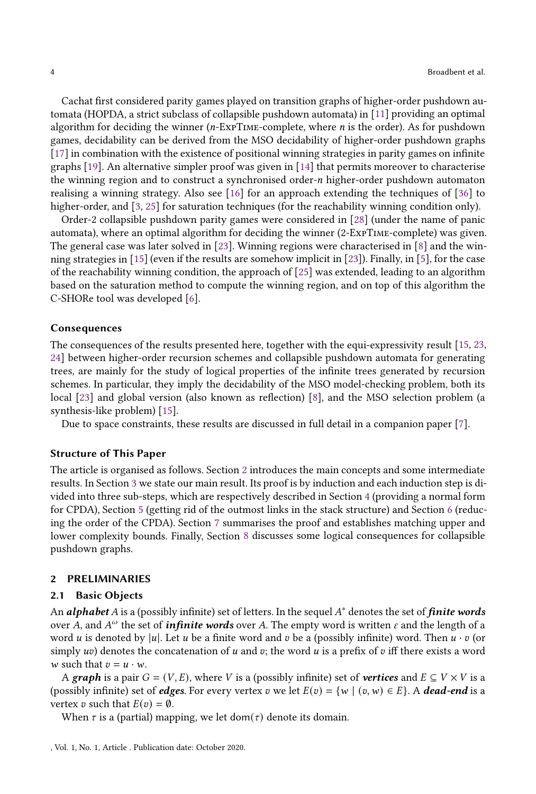Cachat first considered parity games played on transition graphs of higher-order pushdown automata (HOPDA, a strict subclass of collapsible pushdown automata) in [\[11](#page-49-11)] providing an optimal algorithm for deciding the winner  $(n$ -EXPTIME-complete, where  $n$  is the order). As for pushdown games, decidability can be derived from the MSO decidability of higher-order pushdown graphs [\[17\]](#page-49-12) in combination with the existence of positional winning strategies in parity games on infinite graphs [\[19\]](#page-49-3). An alternative simpler proof was given in [\[14](#page-49-13)] that permits moreover to characterise the winning region and to construct a synchronised order- $n$  higher-order pushdown automaton realising a winning strategy. Also see [\[16\]](#page-49-14) for an approach extending the techniques of [\[36](#page-50-8)] to higher-order, and [\[3](#page-48-0), [25](#page-49-15)] for saturation techniques (for the reachability winning condition only).

Order-2 collapsible pushdown parity games were considered in [\[28](#page-49-16)] (under the name of panic automata), where an optimal algorithm for deciding the winner (2-ExpTime-complete) was given. The general case was later solved in [\[23](#page-49-1)]. Winning regions were characterised in [\[8](#page-49-4)] and the winning strategies in [\[15\]](#page-49-5) (even if the results are somehow implicit in [\[23\]](#page-49-1)). Finally, in [\[5](#page-48-1)], for the case of the reachability winning condition, the approach of [\[25\]](#page-49-15) was extended, leading to an algorithm based on the saturation method to compute the winning region, and on top of this algorithm the C-SHORe tool was developed [\[6](#page-48-2)].

#### Consequences

The consequences of the results presented here, together with the equi-expressivity result [\[15](#page-49-5), [23](#page-49-1), [24](#page-49-2)] between higher-order recursion schemes and collapsible pushdown automata for generating trees, are mainly for the study of logical properties of the infinite trees generated by recursion schemes. In particular, they imply the decidability of the MSO model-checking problem, both its local [\[23](#page-49-1)] and global version (also known as reflection) [\[8](#page-49-4)], and the MSO selection problem (a synthesis-like problem) [\[15](#page-49-5)].

Due to space constraints, these results are discussed in full detail in a companion paper [\[7\]](#page-48-3).

## Structure of This Paper

The article is organised as follows. Section [2](#page-3-0) introduces the main concepts and some intermediate results. In Section [3](#page-13-0) we state our main result. Its proof is by induction and each induction step is divided into three sub-steps, which are respectively described in Section [4](#page-13-1) (providing a normal form for CPDA), Section [5](#page-22-0) (getting rid of the outmost links in the stack structure) and Section [6](#page-30-0) (reducing the order of the CPDA). Section [7](#page-43-0) summarises the proof and establishes matching upper and lower complexity bounds. Finally, Section [8](#page-45-0) discusses some logical consequences for collapsible pushdown graphs.

#### <span id="page-3-0"></span>2 PRELIMINARIES

#### 2.1 Basic Objects

An alphabet A is a (possibly infinite) set of letters. In the sequel A $^*$  denotes the set of finite words over A, and  $A^\omega$  the set of *infinite words* over A. The empty word is written  $\varepsilon$  and the length of a word u is denoted by |u|. Let u be a finite word and v be a (possibly infinite) word. Then  $u \cdot v$  (or simply  $uv$ ) denotes the concatenation of  $u$  and  $v$ ; the word  $u$  is a prefix of  $v$  iff there exists a word w such that  $v = u \cdot w$ .

A graph is a pair  $G = (V, E)$ , where V is a (possibly infinite) set of **vertices** and  $E \subseteq V \times V$  is a (possibly infinite) set of *edges*. For every vertex v we let  $E(v) = \{w \mid (v, w) \in E\}$ . A *dead-end* is a vertex  $v$  such that  $E(v) = \emptyset$ .

When  $\tau$  is a (partial) mapping, we let dom( $\tau$ ) denote its domain.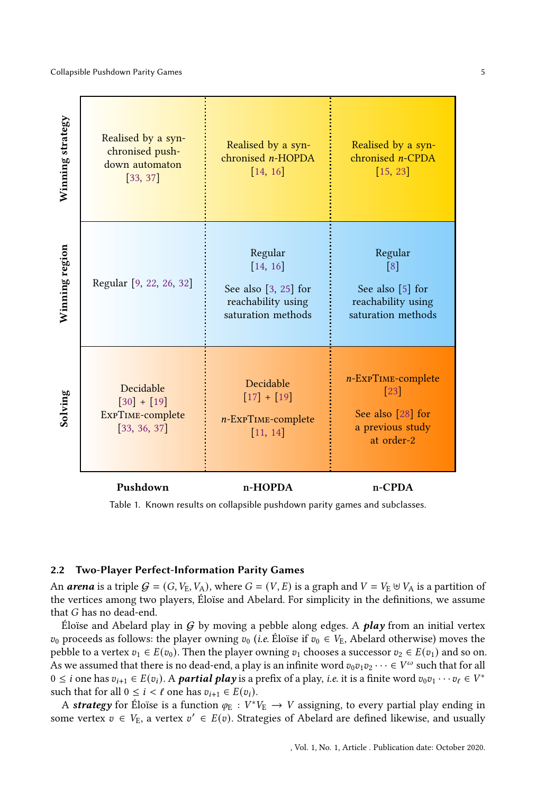<span id="page-4-0"></span>

Table 1. Known results on collapsible pushdown parity games and subclasses.

#### 2.2 Two-Player Perfect-Information Parity Games

An **arena** is a triple  $G = (G, V_E, V_A)$ , where  $G = (V, E)$  is a graph and  $V = V_E \oplus V_A$  is a partition of the vertices among two players, Éloïse and Abelard. For simplicity in the definitions, we assume that *G* has no dead-end.

Éloïse and Abelard play in  $G$  by moving a pebble along edges. A *play* from an initial vertex  $v_0$  proceeds as follows: the player owning  $v_0$  (i.e. Éloïse if  $v_0 \in V_E$ , Abelard otherwise) moves the pebble to a vertex  $v_1 \in E(v_0)$ . Then the player owning  $v_1$  chooses a successor  $v_2 \in E(v_1)$  and so on. As we assumed that there is no dead-end, a play is an infinite word  $v_0v_1v_2\cdots\in V^\omega$  such that for all  $0 \leq i$  one has  $v_{i+1} \in E(v_i)$ . A **partial play** is a prefix of a play, *i.e.* it is a finite word  $v_0v_1 \cdots v_\ell \in V^*$ such that for all  $0 \leq i < \ell$  one has  $v_{i+1} \in E(v_i)$ .

A strategy for Éloïse is a function  $\varphi_E : V^*V_E \to V$  assigning, to every partial play ending in some vertex  $v \in V_E$ , a vertex  $v' \in E(v)$ . Strategies of Abelard are defined likewise, and usually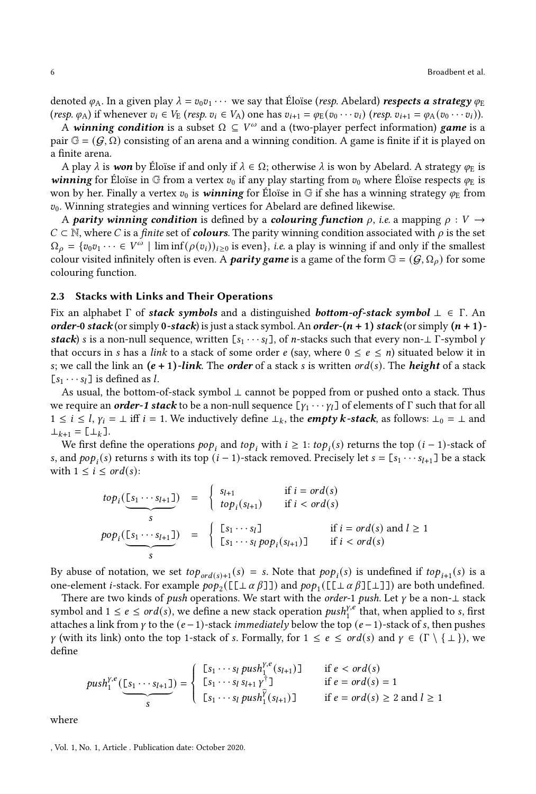denoted  $\varphi_A$ . In a given play  $\lambda = v_0 v_1 \cdots$  we say that Éloïse (*resp.* Abelard) *respects a strategy*  $\varphi_E$ (resp.  $\varphi_A$ ) if whenever  $v_i \in V_E$  (resp.  $v_i \in V_A$ ) one has  $v_{i+1} = \varphi_E(v_0 \cdots v_i)$  (resp.  $v_{i+1} = \varphi_A(v_0 \cdots v_i)$ ).

A winning condition is a subset  $\Omega \subseteq V^\omega$  and a (two-player perfect information) game is a pair  $\mathbb{G} = (G, \Omega)$  consisting of an arena and a winning condition. A game is finite if it is played on a finite arena.

A play  $\lambda$  is won by Éloïse if and only if  $\lambda \in \Omega$ ; otherwise  $\lambda$  is won by Abelard. A strategy  $\varphi_E$  is **winning** for Éloïse in G from a vertex  $v_0$  if any play starting from  $v_0$  where Éloïse respects  $\varphi_E$  is won by her. Finally a vertex  $v_0$  is **winning** for Éloïse in G if she has a winning strategy  $\varphi_E$  from  $v_0$ . Winning strategies and winning vertices for Abelard are defined likewise.

A parity winning condition is defined by a colouring function  $\rho$ , i.e. a mapping  $\rho: V \to$  $C \subset \mathbb{N}$ , where C is a *finite* set of **colours**. The parity winning condition associated with  $\rho$  is the set  $\Omega_{\rho} = \{v_0 v_1 \cdots \in V^{\omega} \mid \liminf(\rho(v_i))_{i \geq 0} \text{ is even}\}, i.e. \text{ a play is winning if and only if the smallest$ colour visited infinitely often is even. A *parity game* is a game of the form  $\mathbb{G} = (G, \Omega_o)$  for some colouring function.

#### 2.3 Stacks with Links and Their Operations

Fix an alphabet  $\Gamma$  of stack symbols and a distinguished bottom-of-stack symbol  $\bot \in \Gamma$ . An order-0 stack (or simply 0-stack) is just a stack symbol. An order- $(n + 1)$  stack (or simply  $(n + 1)$ stack) s is a non-null sequence, written  $[s_1 \cdots s_l]$ , of *n*-stacks such that every non- $\perp \Gamma$ -symbol  $\gamma$ that occurs in s has a link to a stack of some order e (say, where  $0 \le e \le n$ ) situated below it in s; we call the link an  $(e + 1)$ -link. The order of a stack s is written ord(s). The height of a stack  $[s_1 \cdots s_l]$  is defined as l.

As usual, the bottom-of-stack symbol ⊥ cannot be popped from or pushed onto a stack. Thus we require an *order-1 stack* to be a non-null sequence  $[\gamma_1 \cdots \gamma_l]$  of elements of  $\Gamma$  such that for all  $1 \le i \le l$ ,  $\gamma_i = \bot$  iff  $i = 1$ . We inductively define  $\bot_k$ , the **empty k-stack**, as follows:  $\bot_0 = \bot$  and  $\perp_{k+1} = [\perp_k]$ .

We first define the operations  $pop_i$  and  $top_i$  with  $i \geq 1$ :  $top_i(s)$  returns the top  $(i - 1)$ -stack of s, and  $pop_i(s)$  returns s with its top  $(i - 1)$ -stack removed. Precisely let  $s = [s_1 \cdots s_{l+1}]$  be a stack with  $1 \leq i \leq \text{ord}(s)$ :

$$
top_i(\underbrace{[s_1 \cdots s_{l+1}]}_{s}) = \begin{cases} s_{l+1} & \text{if } i = ord(s) \\ top_i(s_{l+1}) & \text{if } i < ord(s) \end{cases}
$$
  
\n
$$
pop_i(\underbrace{[s_1 \cdots s_{l+1}]}_{s}) = \begin{cases} [s_1 \cdots s_l] & \text{if } i = ord(s) \text{ and } l \ge 1 \\ [s_1 \cdots s_l pop_i(s_{l+1})] & \text{if } i < ord(s) \end{cases}
$$

By abuse of notation, we set  $top_{ord(s)+1}(s) = s$ . Note that  $pop_i(s)$  is undefined if  $top_{i+1}(s)$  is a one-element *i*-stack. For example  $pop_2([\llbracket \perp \alpha \beta \rrbracket])$  and  $pop_1([\llbracket \perp \alpha \beta \rrbracket \llbracket \perp \rrbracket])$  are both undefined.

There are two kinds of *push* operations. We start with the *order-1 push*. Let  $\gamma$  be a non- $\bot$  stack symbol and  $1 \le e \le \text{ord}(s)$ , we define a new stack operation  $\text{push}_1^{y,e}$  that, when applied to s, first attaches a link from  $\gamma$  to the  $(e-1)$ -stack immediately below the top  $(e-1)$ -stack of s, then pushes  $\gamma$  (with its link) onto the top 1-stack of s. Formally, for  $1 \le e \le \text{ord}(s)$  and  $\gamma \in (\Gamma \setminus \{\bot\})$ , we define

$$
push_1^{y,e}(\underbrace{[s_1 \cdots s_{l+1}]}_{S}) = \begin{cases} [s_1 \cdots s_l \ push_1^{y,e}(s_{l+1})] & \text{if } e < ord(s) \\ [s_1 \cdots s_l \ sup_1^{y^{\dagger}}] & \text{if } e = ord(s) = 1 \\ [s_1 \cdots s_l \ push_1^{\widehat{Y}}(s_{l+1})] & \text{if } e = ord(s) \ge 2 \text{ and } l \ge 1 \end{cases}
$$

where

, Vol. 1, No. 1, Article . Publication date: October 2020.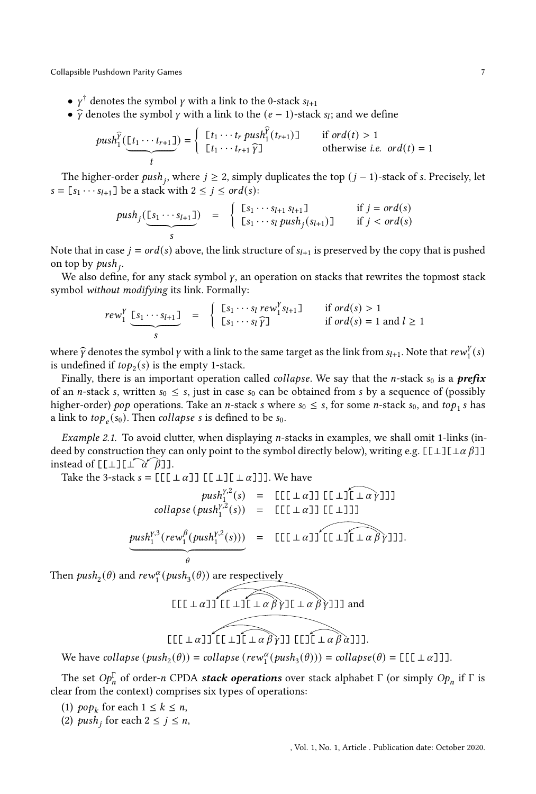- $\bullet$   $\gamma^{\dagger}$  denotes the symbol  $\gamma$  with a link to the 0-stack  $s_{l+1}$
- $\widehat{\gamma}$  denotes the symbol  $\gamma$  with a link to the  $(e 1)$ -stack  $s_i$ ; and we define

$$
push_1^{\widehat{Y}}(\underbrace{[t_1 \cdots t_{r+1}]}_{t}) = \begin{cases} [t_1 \cdots t_r \ push_1^{\widehat{Y}}(t_{r+1})] & \text{if } ord(t) > 1\\ [t_1 \cdots t_{r+1} \widehat{Y}] & \text{otherwise } i.e. \ ord(t) = 1 \end{cases}
$$

The higher-order  $push_j$ , where  $j \geq 2$ , simply duplicates the top  $(j - 1)$ -stack of s. Precisely, let  $s = [s_1 \cdots s_{l+1}]$  be a stack with  $2 \leq j \leq \text{ord}(s)$ :

$$
push_j(\underbrace{[s_1\cdots s_{l+1}]}_{s}) = \begin{cases} [s_1\cdots s_{l+1} s_{l+1}] & \text{if } j = ord(s) \\ [s_1\cdots s_l \ push_j(s_{l+1})] & \text{if } j < ord(s) \end{cases}
$$

Note that in case  $j = ord(s)$  above, the link structure of  $s_{l+1}$  is preserved by the copy that is pushed on top by  $push_j$ .

We also define, for any stack symbol  $\gamma$ , an operation on stacks that rewrites the topmost stack symbol without modifying its link. Formally:

$$
rew_1^Y \underbrace{[s_1 \cdots s_{l+1}]}_{S} = \begin{cases} [s_1 \cdots s_l \, \text{rew}_1^Y s_{l+1}] & \text{if } \text{ord}(s) > 1 \\ [s_1 \cdots s_l \, \widehat{\gamma}] & \text{if } \text{ord}(s) = 1 \text{ and } l \ge 1 \end{cases}
$$

where  $\hat{y}$  denotes the symbol  $\gamma$  with a link to the same target as the link from  $s_{l+1}$ . Note that  $rew_1^{\gamma}(s)$ is undefined if  $top_2(s)$  is the empty 1-stack.

Finally, there is an important operation called *collapse*. We say that the *n*-stack  $s_0$  is a **prefix** of an *n*-stack *s*, written  $s_0 \leq s$ , just in case  $s_0$  can be obtained from *s* by a sequence of (possibly higher-order) pop operations. Take an *n*-stack *s* where  $s_0 \leq s$ , for some *n*-stack  $s_0$ , and top<sub>1</sub> s has a link to  $top_e(s_0)$ . Then *collapse* s is defined to be  $s_0$ .

Example 2.1. To avoid clutter, when displaying  $n$ -stacks in examples, we shall omit 1-links (indeed by construction they can only point to the symbol directly below), writing e.g.  $[\lfloor \perp \rfloor [\perp \alpha \beta] ]$ instead of  $[[\bot] [ \bot \ \alpha' \ \beta]]$ .

Take the 3-stack  $s = [[[[ \perp \alpha]] [[ \perp \alpha]]]$ . We have

$$
push_1^{y,2}(s) = \text{[[[[\bot \alpha]] [[\bot \exists \tilde{L} \bot \alpha \tilde{y}]]]}
$$
  
collapse  $(push_1^{y,2}(s)) = \text{[[[[\bot \alpha]] [[\bot]]]}$   

$$
\underbrace{push_1^{y,3}(rew_1^{\beta}(push_1^{y,2}(s)))}_{\theta} = \text{[[[[\bot \alpha]] [[\bot \exists [\bot \alpha \beta \tilde{y}]]]].}
$$

Then  $push_2(\theta)$  and  $rew_1^{\alpha}(push_3(\theta))$  are respectively

$$
\begin{array}{c}\n[[1 \pm \alpha] \text{ if } \bot \alpha \beta \text{ if } \bot \alpha \beta \text{ if } \bot \alpha \beta \text{ if } \bot \alpha \beta \text{ if } \bot \alpha \beta \text{ if } \bot \alpha \beta \text{ if } \bot \alpha \beta \text{ if } \bot \alpha \beta \text{ if } \bot \alpha \beta \text{ if } \bot \alpha \beta \text{ if } \bot \alpha \beta \text{ if } \bot \alpha \beta \text{ if } \bot \alpha \beta \text{ if } \bot \alpha \beta \text{ if } \bot \alpha \beta \text{ if } \bot \alpha \beta \text{ if } \bot \alpha \beta \text{ if } \bot \alpha \beta \text{ if } \bot \alpha \beta \text{ if } \bot \alpha \beta \text{ if } \bot \alpha \beta \text{ if } \bot \alpha \beta \text{ if } \bot \alpha \beta \text{ if } \bot \alpha \beta \text{ if } \bot \alpha \beta \text{ if } \bot \alpha \beta \text{ if } \bot \alpha \beta \text{ if } \bot \alpha \beta \text{ if } \bot \alpha \beta \text{ if } \bot \alpha \beta \text{ if } \bot \alpha \beta \text{ if } \bot \alpha \beta \text{ if } \bot \alpha \beta \text{ if } \bot \alpha \beta \text{ if } \bot \alpha \beta \text{ if } \bot \alpha \beta \text{ if } \bot \alpha \beta \text{ if } \bot \alpha \beta \text{ if } \bot \alpha \beta \text{ if } \bot \alpha \beta \text{ if } \bot \alpha \beta \text{ if } \bot \alpha \beta \text{ if } \bot \alpha \beta \text{ if } \bot \alpha \beta \text{ if } \bot \alpha \beta \text{ if } \bot \alpha \beta \text{ if } \bot \alpha \beta \text{ if } \bot \alpha \beta \text{ if } \bot \alpha \beta \text{ if } \bot \alpha \beta \text{ if } \bot \alpha \beta \text{ if } \bot \alpha \beta \text{ if } \bot \alpha \beta \text{ if } \bot \alpha \beta \text{ if } \bot \alpha \beta \text{ if } \bot \alpha \beta \text{ if } \bot \alpha \beta \text{ if } \bot \alpha \beta \text{ if } \bot \alpha \beta \text{ if } \bot \alpha \beta \text{ if } \bot \alpha \beta \text{ if } \bot \alpha \beta \text{ if } \bot \alpha \beta \text{ if } \bot \alpha \beta \text{ if } \bot \alpha \beta \text{ if } \bot \alpha \beta \text{ if } \bot \alpha \beta \text{ if } \bot \
$$

We have collapse  $(push_2(\theta)) = collapse(rew_1^{\alpha}(push_3(\theta))) = collapse(\theta) = [[[[\bot \alpha]]].$ 

The set  $Op_n^{\Gamma}$  of order-*n* CPDA *stack operations* over stack alphabet  $\Gamma$  (or simply  $Op_n$  if  $\Gamma$  is clear from the context) comprises six types of operations:

- (1)  $pop_k$  for each  $1 \leq k \leq n$ ,
- (2)  $push_j$  for each  $2 \leq j \leq n$ ,

, Vol. 1, No. 1, Article . Publication date: October 2020.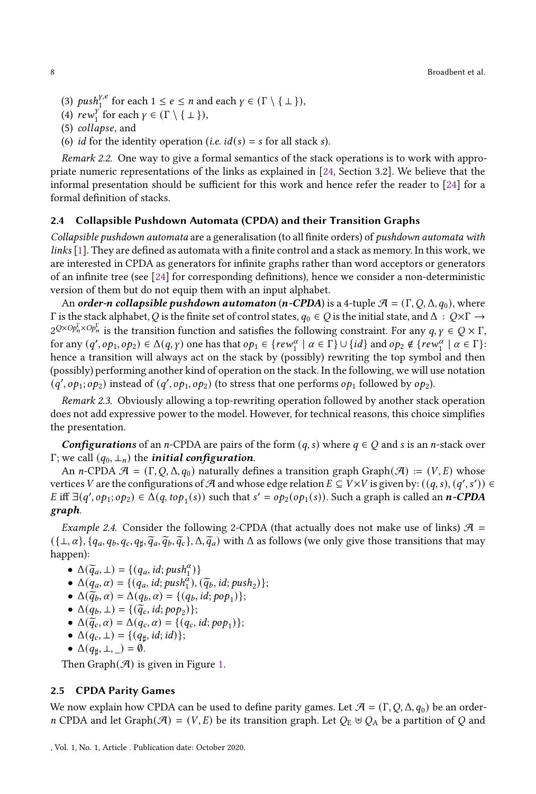- (3)  $push_1^{y,e}$  for each  $1 \le e \le n$  and each  $\gamma \in (\Gamma \setminus \{\bot\})$ ,
- (4)  $\text{rew}_1^{\gamma}$  for each  $\gamma \in (\Gamma \setminus \{\bot\})$ ,
- (5) collapse, and
- (6) *id* for the identity operation (*i.e.*  $id(s) = s$  for all stack *s*).

Remark 2.2. One way to give a formal semantics of the stack operations is to work with appropriate numeric representations of the links as explained in [\[24](#page-49-2), Section 3.2]. We believe that the informal presentation should be sufficient for this work and hence refer the reader to [\[24](#page-49-2)] for a formal definition of stacks.

# 2.4 Collapsible Pushdown Automata (CPDA) and their Transition Graphs

Collapsible pushdown automata are a generalisation (to all finite orders) of pushdown automata with links [\[1](#page-48-4)]. They are defined as automata with a finite control and a stack as memory. In this work, we are interested in CPDA as generators for infinite graphs rather than word acceptors or generators of an infinite tree (see [\[24](#page-49-2)] for corresponding definitions), hence we consider a non-deterministic version of them but do not equip them with an input alphabet.

An order-n collapsible pushdown automaton (n-CPDA) is a 4-tuple  $\mathcal{A} = (\Gamma, Q, \Delta, q_0)$ , where Γ is the stack alphabet, *Q* is the finite set of control states,  $q_0 \in Q$  is the initial state, and Δ :  $Q \times Γ$  →  $2^{Q \times Op_n^{\Gamma} \times Op_n^{\Gamma}}$  is the transition function and satisfies the following constraint. For any  $q, \gamma \in Q \times \Gamma$ ,  $\text{for any } (q', op_1, op_2) \in \Delta(q, \gamma) \text{ one has that } op_1 \in \{rew_1^{\alpha} \mid \alpha \in \Gamma\} \cup \{id\} \text{ and } op_2 \notin \{rew_1^{\alpha} \mid \alpha \in \Gamma\}$ hence a transition will always act on the stack by (possibly) rewriting the top symbol and then (possibly) performing another kind of operation on the stack. In the following, we will use notation  $(q', op_1; op_2)$  instead of  $(q', op_1, op_2)$  (to stress that one performs  $op_1$  followed by  $op_2$ ).

Remark 2.3. Obviously allowing a top-rewriting operation followed by another stack operation does not add expressive power to the model. However, for technical reasons, this choice simplifies the presentation.

**Configurations** of an *n*-CPDA are pairs of the form  $(q, s)$  where  $q \in Q$  and s is an *n*-stack over Γ; we call  $(q_0, \perp_n)$  the *initial configuration*.

An *n*-CPDA  $\mathcal{A} = (\Gamma, Q, \Delta, q_0)$  naturally defines a transition graph Graph $(\mathcal{A}) := (V, E)$  whose vertices V are the configurations of  $\mathcal A$  and whose edge relation  $E\subseteq V\times V$  is given by:  $((q, s), (q', s'))\in V$ E iff  $\exists (q', op_1; op_2) \in \Delta(q, top_1(s))$  such that  $s' = op_2(op_1(s))$ . Such a graph is called an *n*-CPDA graph.

<span id="page-7-0"></span>*Example 2.4.* Consider the following 2-CPDA (that actually does not make use of links)  $\mathcal{A}$  =  $(\{\bot, \alpha\}, \{q_a, q_b, q_c, q_\sharp, \widetilde{q}_a, \widetilde{q}_b, \widetilde{q}_c\}, \Delta, \widetilde{q}_a)$  with  $\Delta$  as follows (we only give those transitions that may happen):

- $\Delta(\widetilde{q}_a, \perp) = \{(q_a, id; push_1^{\alpha})\}$
- $\Delta(q_a, \alpha) = \{ (q_a, id; push_a^{\alpha}), (\widetilde{q}_b, id; push_2) \};$
- $\Delta(\tilde{q}_b, \alpha) = \Delta(q_b, \alpha) = \{ (q_b, id; pop_1) \};$
- $\Delta(q_b, \perp) = \{(\tilde{q}_c, id; pop_2)\};$
- $\Delta(\tilde{q}_c, \alpha) = \Delta(q_c, \alpha) = \{(q_c, id; pop_1)\};$
- $\Delta(q_c, \perp) = \{ (q_\sharp, id; id) \};$
- $\Delta(q_\sharp, \bot, \_) = \emptyset$ .

Then Graph $(\mathcal{A})$  is given in Figure [1.](#page-8-0)

#### 2.5 CPDA Parity Games

We now explain how CPDA can be used to define parity games. Let  $\mathcal{A} = (\Gamma, Q, \Delta, q_0)$  be an order*n* CPDA and let Graph( $\mathcal{A}$ ) = (*V*, *E*) be its transition graph. Let  $Q_E \oplus Q_A$  be a partition of *Q* and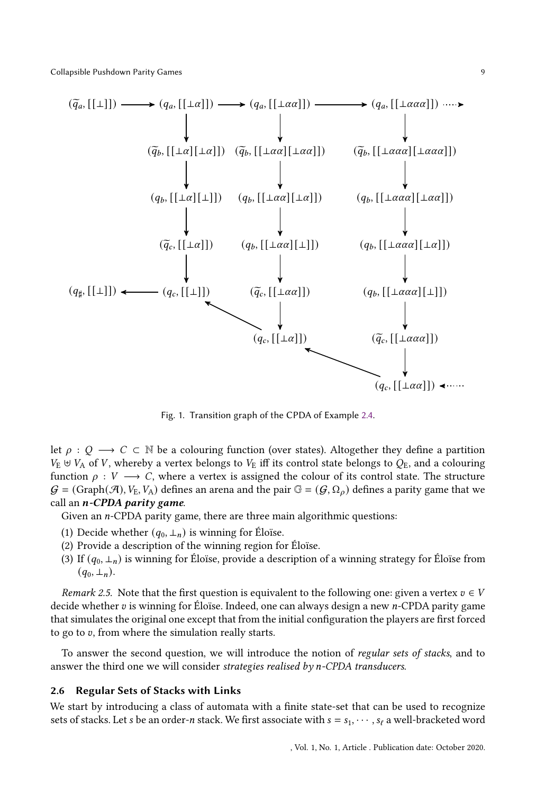<span id="page-8-0"></span>

Fig. 1. Transition graph of the CPDA of Example [2.4.](#page-7-0)

let  $\rho$  :  $Q \rightarrow C \subset \mathbb{N}$  be a colouring function (over states). Altogether they define a partition  $V_{\text{E}} \uplus V_{\text{A}}$  of V, whereby a vertex belongs to  $V_{\text{E}}$  iff its control state belongs to  $Q_{\text{E}}$ , and a colouring function  $\rho : V \longrightarrow C$ , where a vertex is assigned the colour of its control state. The structure  $G = (Graph(\mathcal{A}), V_E, V_A)$  defines an arena and the pair  $\mathbb{G} = (\mathcal{G}, \Omega_\rho)$  defines a parity game that we call an  $n$ -CPDA parity game.

Given an  $n$ -CPDA parity game, there are three main algorithmic questions:

- (1) Decide whether  $(q_0, \perp_n)$  is winning for Éloïse.
- (2) Provide a description of the winning region for Éloïse.
- (3) If  $(q_0, \perp_n)$  is winning for Éloïse, provide a description of a winning strategy for Éloïse from  $(q_0, \perp_n)$ .

*Remark 2.5.* Note that the first question is equivalent to the following one: given a vertex  $v \in V$ decide whether  $v$  is winning for Éloïse. Indeed, one can always design a new  $n$ -CPDA parity game that simulates the original one except that from the initial configuration the players are first forced to go to  $v$ , from where the simulation really starts.

To answer the second question, we will introduce the notion of regular sets of stacks, and to answer the third one we will consider strategies realised by  $n$ -CPDA transducers.

## <span id="page-8-1"></span>2.6 Regular Sets of Stacks with Links

We start by introducing a class of automata with a finite state-set that can be used to recognize sets of stacks. Let s be an order-n stack. We first associate with  $s = s_1, \dots, s_\ell$  a well-bracketed word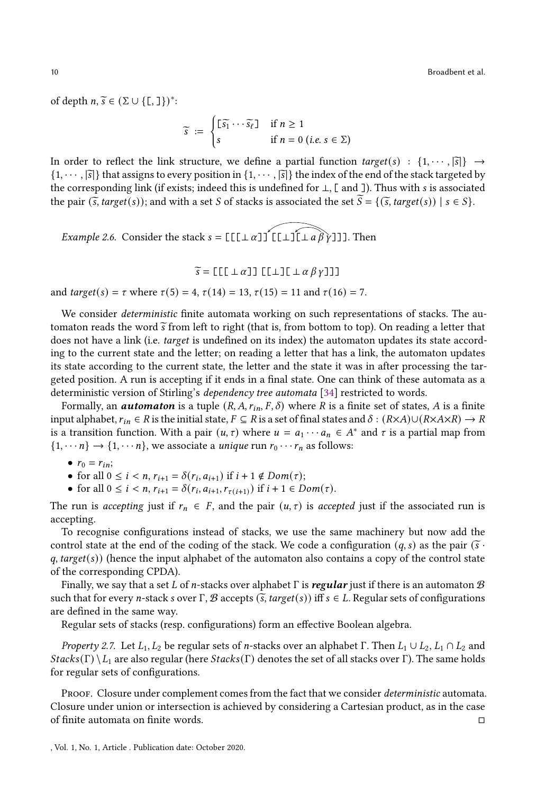10 Broadbent et al.

of depth  $n, \tilde{s} \in (\Sigma \cup \{\mathcal{L}, \mathcal{L}\})^*$ :

$$
\widetilde{s} := \begin{cases} \lfloor \widetilde{s_1} \cdots \widetilde{s_\ell} \rfloor & \text{if } n \ge 1 \\ s & \text{if } n = 0 \text{ (i.e. } s \in \Sigma) \end{cases}
$$

In order to reflect the link structure, we define a partial function  $target(s) : \{1, \dots, \overline{s}\}\rightarrow$  $\{1, \dots, |\vec{s}|\}$  that assigns to every position in  $\{1, \dots, |\vec{s}|\}$  the index of the end of the stack targeted by the corresponding link (if exists; indeed this is undefined for  $\bot$ , [ and ]). Thus with s is associated the pair  $(\widetilde{s}, \text{target}(s))$ ; and with a set S of stacks is associated the set  $\widetilde{S} = \{(\widetilde{s}, \text{target}(s)) | s \in S\}$ .

*Example 2.6.* Consider the stack  $s = [[[\bot \alpha]]^T [[\bot \bot \alpha \beta \gamma]]]$ . Then

$$
\widetilde{s} = [[[[\perp \alpha]] [[\perp] [[\perp \alpha \beta \gamma]]]]
$$

and *target*(*s*) =  $\tau$  where  $\tau(5) = 4$ ,  $\tau(14) = 13$ ,  $\tau(15) = 11$  and  $\tau(16) = 7$ .

We consider *deterministic* finite automata working on such representations of stacks. The automaton reads the word  $\tilde{s}$  from left to right (that is, from bottom to top). On reading a letter that does not have a link (i.e. *target* is undefined on its index) the automaton updates its state according to the current state and the letter; on reading a letter that has a link, the automaton updates its state according to the current state, the letter and the state it was in after processing the targeted position. A run is accepting if it ends in a final state. One can think of these automata as a deterministic version of Stirling's dependency tree automata [\[34](#page-50-10)] restricted to words.

Formally, an **automaton** is a tuple  $(R, A, r_{in}, F, \delta)$  where R is a finite set of states, A is a finite input alphabet,  $r_{in} \in R$  is the initial state,  $F \subseteq R$  is a set of final states and  $\delta : (R \times A) \cup (R \times A \times R) \to R$ is a transition function. With a pair  $(u, \tau)$  where  $u = a_1 \cdots a_n \in A^*$  and  $\tau$  is a partial map from  $\{1, \dots, n\} \rightarrow \{1, \dots, n\}$ , we associate a *unique* run  $r_0 \cdots r_n$  as follows:

•  $r_0 = r_{in}$ ;

• for all  $0 \le i < n$ ,  $r_{i+1} = \delta(r_i, a_{i+1})$  if  $i + 1 \notin Dom(\tau)$ ;

• for all  $0 \le i < n$ ,  $r_{i+1} = \delta(r_i, a_{i+1}, r_{\tau(i+1)})$  if  $i + 1 \in Dom(\tau)$ .

The run is accepting just if  $r_n \in F$ , and the pair  $(u, \tau)$  is accepted just if the associated run is accepting.

To recognise configurations instead of stacks, we use the same machinery but now add the control state at the end of the coding of the stack. We code a configuration  $(q, s)$  as the pair  $(\tilde{s} \cdot$  $q$ , target( $s$ )) (hence the input alphabet of the automaton also contains a copy of the control state of the corresponding CPDA).

Finally, we say that a set L of n-stacks over alphabet  $\Gamma$  is regular just if there is an automaton  $\mathcal B$ such that for every *n*-stack *s* over Γ, B accepts ( $\tilde{s}$ , target(*s*)) iff  $s \in L$ . Regular sets of configurations are defined in the same way.

Regular sets of stacks (resp. configurations) form an effective Boolean algebra.

*Property 2.7.* Let  $L_1, L_2$  be regular sets of *n*-stacks over an alphabet Γ. Then  $L_1 \cup L_2, L_1 \cap L_2$  and  $StackS(\Gamma) \setminus L_1$  are also regular (here  $StackS(\Gamma)$  denotes the set of all stacks over Γ). The same holds for regular sets of configurations.

PROOF. Closure under complement comes from the fact that we consider *deterministic* automata. Closure under union or intersection is achieved by considering a Cartesian product, as in the case of finite automata on finite words.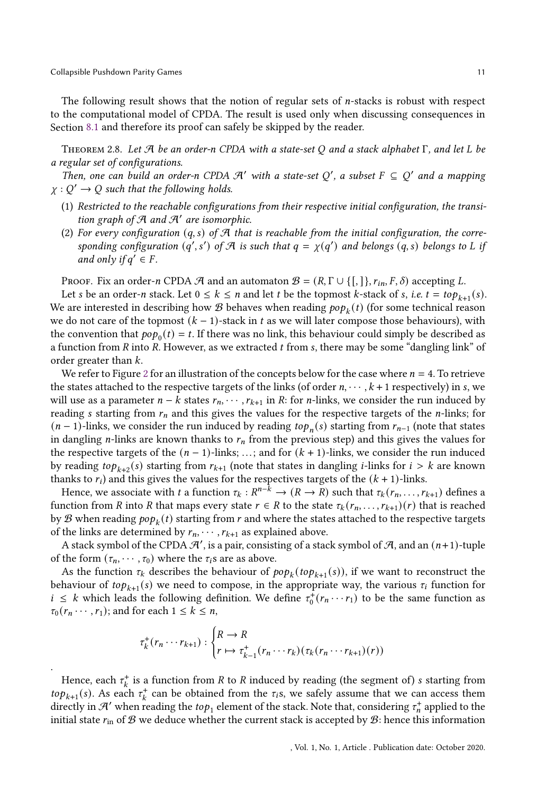.

The following result shows that the notion of regular sets of  $n$ -stacks is robust with respect to the computational model of CPDA. The result is used only when discussing consequences in Section [8.1](#page-45-1) and therefore its proof can safely be skipped by the reader.

<span id="page-10-0"></span>THEOREM 2.8. Let  $\mathcal A$  be an order-n CPDA with a state-set Q and a stack alphabet  $\Gamma$ , and let L be a regular set of configurations.

Then, one can build an order-n CPDA  $\mathcal{A}'$  with a state-set Q', a subset  $F \subseteq Q'$  and a mapping  $\chi: Q' \to Q$  such that the following holds.

- (1) Restricted to the reachable configurations from their respective initial configuration, the transition graph of  $A$  and  $A'$  are isomorphic.
- (2) For every configuration  $(q, s)$  of  $\mathcal{A}$  that is reachable from the initial configuration, the corresponding configuration  $(q', s')$  of A is such that  $q = \chi(q')$  and belongs  $(q, s)$  belongs to L if and only if  $q' \in F$ .

Proof. Fix an order-n CPDA  $\mathcal A$  and an automaton  $\mathcal B = (R, \Gamma \cup \{[, \}], r_{in}, F, \delta)$  accepting L.

Let s be an order-n stack. Let  $0 \leq k \leq n$  and let t be the topmost k-stack of s, i.e.  $t = top_{k+1}(s)$ . We are interested in describing how  ${\mathcal{B}}$  behaves when reading  $\mathit{pop}_k(t)$  (for some technical reason we do not care of the topmost  $(k - 1)$ -stack in t as we will later compose those behaviours), with the convention that  $pop_0(t) = t$ . If there was no link, this behaviour could simply be described as a function from  $R$  into  $R$ . However, as we extracted  $t$  from  $s$ , there may be some "dangling link" of order greater than  $k$ .

We refer to Figure [2](#page-11-0) for an illustration of the concepts below for the case where  $n = 4$ . To retrieve the states attached to the respective targets of the links (of order  $n, \dots, k+1$  respectively) in s, we will use as a parameter  $n - k$  states  $r_n, \dots, r_{k+1}$  in R: for *n*-links, we consider the run induced by reading s starting from  $r_n$  and this gives the values for the respective targets of the *n*-links; for  $(n-1)$ -links, we consider the run induced by reading  $top_n(s)$  starting from  $r_{n-1}$  (note that states in dangling *n*-links are known thanks to  $r_n$  from the previous step) and this gives the values for the respective targets of the  $(n - 1)$ -links; ...; and for  $(k + 1)$ -links, we consider the run induced by reading  $top_{k+2}(s)$  starting from  $r_{k+1}$  (note that states in dangling *i*-links for  $i > k$  are known thanks to  $r_i$ ) and this gives the values for the respectives targets of the  $(k + 1)$ -links.

Hence, we associate with t a function  $\tau_k: R^{n-k} \to (R \to R)$  such that  $\tau_k(r_n, \ldots, r_{k+1})$  defines a function from R into R that maps every state  $r \in R$  to the state  $\tau_k(r_n, \ldots, r_{k+1})(r)$  that is reached by  ${\mathcal{B}}$  when reading  $\operatorname{pop}_k(t)$  starting from  $r$  and where the states attached to the respective targets of the links are determined by  $r_n$ ,  $\cdots$ ,  $r_{k+1}$  as explained above.

A stack symbol of the CPDA  $\mathcal{A}'$ , is a pair, consisting of a stack symbol of  $\mathcal{A}$ , and an  $(n+1)$ -tuple of the form  $(\tau_n, \dots, \tau_0)$  where the  $\tau_i$ s are as above.

As the function  $\tau_k$  describes the behaviour of  $pop_k(top_{k+1}(s))$ , if we want to reconstruct the behaviour of  $top_{k+1}(s)$  we need to compose, in the appropriate way, the various  $\tau_i$  function for  $i \leq k$  which leads the following definition. We define  $\tau_0^+(r_n \cdots r_1)$  to be the same function as  $\tau_0(r_n \cdots, r_1)$ ; and for each  $1 \leq k \leq n$ ,

$$
\tau_k^+(r_n\cdots r_{k+1}) : \begin{cases} R \to R \\ r \mapsto \tau_{k-1}^+(r_n\cdots r_k)(\tau_k(r_n\cdots r_{k+1})(r)) \end{cases}
$$

Hence, each  $\tau_k^+$  is a function from R to R induced by reading (the segment of) s starting from  $top_{k+1}(s)$ . As each  $\tau_k^+$  can be obtained from the  $\tau_i$ s, we safely assume that we can access them directly in  $\mathcal{A}'$  when reading the  $top_1$  element of the stack. Note that, considering  $\tau_n^+$  applied to the initial state  $r_{\text{in}}$  of  $\mathcal{B}$  we deduce whether the current stack is accepted by  $\mathcal{B}$ : hence this information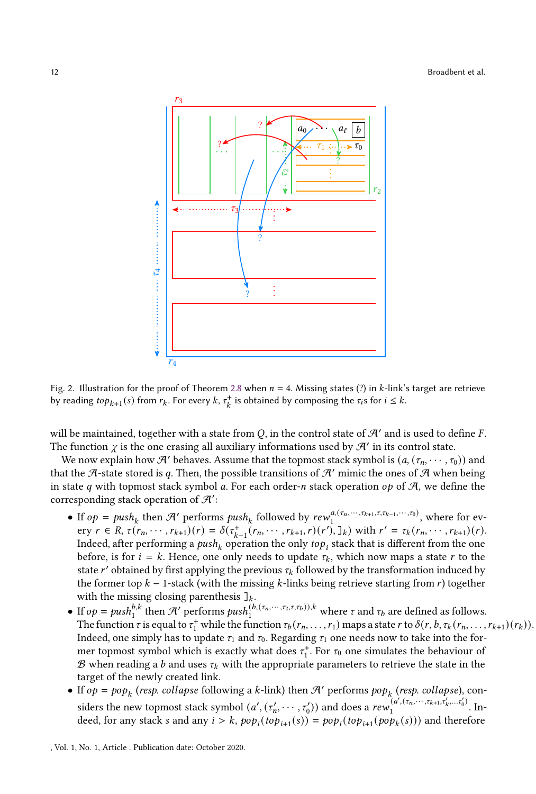<span id="page-11-0"></span>

Fig. 2. Illustration for the proof of Theorem [2.8](#page-10-0) when  $n = 4$ . Missing states (?) in k-link's target are retrieve by reading  $top_{k+1}(s)$  from  $r_k$ . For every  $k, \tau_k^+$  is obtained by composing the  $\tau_i$ s for  $i \leq k$ .

will be maintained, together with a state from  $Q$ , in the control state of  $\mathcal{H}'$  and is used to define F. The function  $\chi$  is the one erasing all auxiliary informations used by  $\mathcal{A}'$  in its control state.

We now explain how  $\mathcal{A}'$  behaves. Assume that the topmost stack symbol is  $(a, (\tau_n, \dots, \tau_0))$  and that the A-state stored is q. Then, the possible transitions of  $\mathcal{A}'$  mimic the ones of  $\mathcal{A}$  when being in state  $q$  with topmost stack symbol  $q$ . For each order- $n$  stack operation  $op$  of  $A$ , we define the corresponding stack operation of  $\mathcal{A}'$ :

- If  $op = push_k$  then  $\mathcal{A}'$  performs  $push_k$  followed by  $rew_1^{a,(r_n,\dots,r_{k+1},r,r_{k-1},\dots,r_0)}$ , where for ev- $\text{e} \text{r} \in R, \tau(r_n, \dots, r_{k+1}) (r) = \delta(\tau_{k-1}^+(r_n, \dots, r_{k+1}, r) (r'), \mathbf{I}_k) \text{ with } r' = \tau_k(r_n, \dots, r_{k+1}) (r).$ Indeed, after performing a  $\mathit{push}_k$  operation the only  $\mathit{top}_i$  stack that is different from the one before, is for  $i = k$ . Hence, one only needs to update  $\tau_k$ , which now maps a state r to the state  $r'$  obtained by first applying the previous  $\tau_k$  followed by the transformation induced by the former top  $k - 1$ -stack (with the missing  $k$ -links being retrieve starting from  $r$ ) together with the missing closing parenthesis  $\mathbb{I}_k$ .
- If  $op = push_1^{b,k}$  then  $\mathcal{H}'$  performs  $push_1^{(b,(\tau_n,\dots,\tau_2,\tau,t_b)),k}$  where  $\tau$  and  $\tau_b$  are defined as follows. The function  $\tau$  is equal to  $\tau_1^+$  while the function  $\tau_b(r_n,\ldots,r_1)$  maps a state  $r$  to  $\delta(r, b, \tau_k(r_n,\ldots,r_{k+1})(r_k)).$ Indeed, one simply has to update  $\tau_1$  and  $\tau_0$ . Regarding  $\tau_1$  one needs now to take into the former topmost symbol which is exactly what does  $\tau_1^*$ . For  $\tau_0$  one simulates the behaviour of  $\mathcal B$  when reading a b and uses  $\tau_k$  with the appropriate parameters to retrieve the state in the target of the newly created link.
- If  $op = pop_k$  (resp. collapse following a k-link) then  $\mathcal{A}'$  performs  $pop_k$  (resp. collapse), considers the new topmost stack symbol  $(a', (\tau_n', \dots, \tau_0'))$  and does a rew<sub>1</sub> $(a', (\tau_n', \dots, \tau_{k+1}, \tau_k', \dots, \tau_0'))$  $\frac{(u_1, v_1, \ldots, v_{k+1}, v_k, \ldots, v_0)}{1}$ . Indeed, for any stack s and any  $i > k$ ,  $pop_i(top_{i+1}(s)) = pop_i(top_{i+1}(pop_k(s)))$  and therefore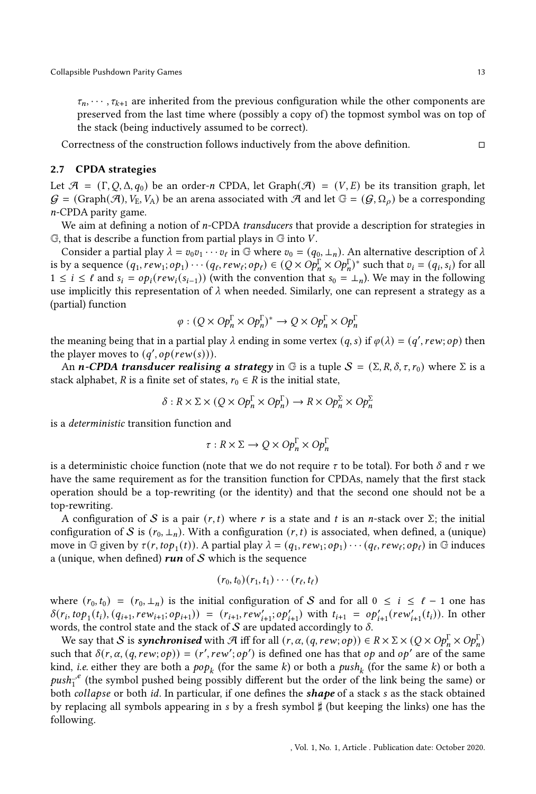$\tau_n, \dots, \tau_{k+1}$  are inherited from the previous configuration while the other components are preserved from the last time where (possibly a copy of) the topmost symbol was on top of the stack (being inductively assumed to be correct).

Correctness of the construction follows inductively from the above definition.

## 2.7 CPDA strategies

Let  $\mathcal{A} = (\Gamma, Q, \Delta, q_0)$  be an order-*n* CPDA, let Graph( $\mathcal{A}$ ) = ( $V, E$ ) be its transition graph, let  $G = (Graph(\mathcal{A}), V_E, V_A)$  be an arena associated with  $\mathcal{A}$  and let  $\mathbb{G} = (G, \Omega_o)$  be a corresponding  $n$ -CPDA parity game.

We aim at defining a notion of  $n$ -CPDA *transducers* that provide a description for strategies in  $G$ , that is describe a function from partial plays in  $G$  into  $V$ .

Consider a partial play  $\lambda = v_0 v_1 \cdots v_\ell$  in G where  $v_0 = (q_0, \perp_n)$ . An alternative description of  $\lambda$ is by a sequence  $(q_1, rew_1; op_1)\cdots(q_\ell,rew_\ell; op_\ell) \in (Q \times Op_n^{\Gamma} \times Op_n^{\Gamma})^*$  such that  $v_i = (q_i, s_i)$  for all  $1 \leq i \leq \ell$  and  $s_i = op_i(rew_i(s_{i-1}))$  (with the convention that  $s_0 = \perp_n$ ). We may in the following use implicitly this representation of  $\lambda$  when needed. Similarly, one can represent a strategy as a (partial) function

$$
\varphi:(Q\times Op_n^\Gamma\times Op_n^\Gamma)^*\to Q\times Op_n^\Gamma\times Op_n^\Gamma
$$

the meaning being that in a partial play  $\lambda$  ending in some vertex  $(q, s)$  if  $\varphi(\lambda) = (q', r \epsilon w; op)$  then the player moves to  $(q', op(rew(s)))$ .

An *n*-CPDA transducer realising a strategy in G is a tuple  $S = (\Sigma, R, \delta, \tau, r_0)$  where  $\Sigma$  is a stack alphabet, R is a finite set of states,  $r_0 \in R$  is the initial state,

$$
\delta: R \times \Sigma \times (Q \times Op_n^{\Gamma} \times Op_n^{\Gamma}) \to R \times Op_n^{\Sigma} \times Op_n^{\Sigma}
$$

is a deterministic transition function and

$$
\tau: R \times \Sigma \to Q \times Op_n^\Gamma \times Op_n^\Gamma
$$

is a deterministic choice function (note that we do not require  $\tau$  to be total). For both  $\delta$  and  $\tau$  we have the same requirement as for the transition function for CPDAs, namely that the first stack operation should be a top-rewriting (or the identity) and that the second one should not be a top-rewriting.

A configuration of S is a pair  $(r, t)$  where r is a state and t is an n-stack over  $\Sigma$ ; the initial configuration of S is  $(r_0, \perp_n)$ . With a configuration  $(r, t)$  is associated, when defined, a (unique) move in G given by  $\tau(r, top_1(t))$ . A partial play  $\lambda = (q_1, rew_1; op_1) \cdots (q_\ell,rew_\ell; op_\ell)$  in G induces a (unique, when defined)  $run$  of  $S$  which is the sequence

$$
(r_0,t_0)(r_1,t_1)\cdots(r_\ell,t_\ell)
$$

where  $(r_0, t_0) = (r_0, \perp_n)$  is the initial configuration of S and for all  $0 \le i \le \ell - 1$  one has  $\delta(r_i, top_1(t_i), (q_{i+1}, rew_{i+1}; op_{i+1})) = (r_{i+1}, rew'_{i+1}; op'_{i+1})$  with  $t_{i+1} = op'_{i+1}(rew'_{i+1}(t_i))$ . In other words, the control state and the stack of  $S$  are updated accordingly to  $\delta$ .

We say that S is **synchronised** with A iff for all  $(r, \alpha, (q, rew; op)) \in R \times \Sigma \times (Q \times Op_n^{\Gamma} \times Op_n^{\Gamma})$ such that  $\delta(r, \alpha, (q, rew; op)) = (r', rew'; op')$  is defined one has that  $op$  and  $op'$  are of the same kind, *i.e.* either they are both a  $pop_k$  (for the same  $k$ ) or both a  $push_k$  (for the same  $k$ ) or both a  $push_T^e$  (the symbol pushed being possibly different but the order of the link being the same) or both collapse or both id. In particular, if one defines the **shape** of a stack s as the stack obtained by replacing all symbols appearing in  $s$  by a fresh symbol  $\sharp$  (but keeping the links) one has the following.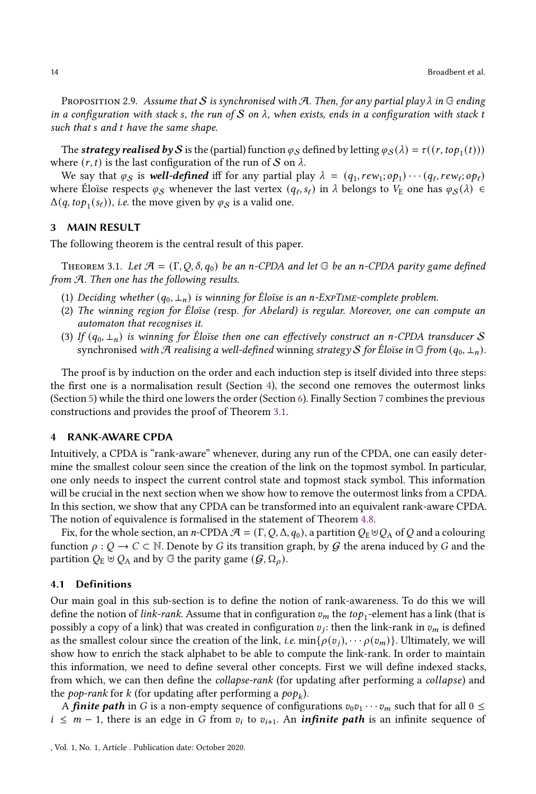PROPOSITION 2.9. Assume that S is synchronised with A. Then, for any partial play  $\lambda$  in G ending in a configuration with stack s, the run of S on  $\lambda$ , when exists, ends in a configuration with stack t such that s and t have the same shape.

The strategy realised by S is the (partial) function  $\varphi_S$  defined by letting  $\varphi_S(\lambda) = \tau((r,\text{top}_1(t)))$ where  $(r, t)$  is the last configuration of the run of S on  $\lambda$ .

We say that  $\varphi_S$  is well-defined iff for any partial play  $\lambda = (q_1, rew_1; op_1) \cdots (q_\ell,rew_\ell; op_\ell)$ where Éloïse respects  $\varphi_S$  whenever the last vertex  $(q_\ell, s_\ell)$  in  $\lambda$  belongs to  $V_E$  one has  $\varphi_S(\lambda) \in$  $\Delta(q, top_1(s_\ell)),$  i.e. the move given by  $\varphi_{\mathcal{S}}$  is a valid one.

# <span id="page-13-0"></span>3 MAIN RESULT

The following theorem is the central result of this paper.

<span id="page-13-2"></span>THEOREM 3.1. Let  $\mathcal{A} = (\Gamma, Q, \delta, q_0)$  be an n-CPDA and let  $\mathbb{G}$  be an n-CPDA parity game defined from A. Then one has the following results.

- (1) Deciding whether  $(q_0, \perp_n)$  is winning for Éloïse is an n-ExpTIME-complete problem.
- (2) The winning region for Éloïse (resp. for Abelard) is regular. Moreover, one can compute an automaton that recognises it.
- (3) If  $(q_0, \perp_n)$  is winning for Éloïse then one can effectively construct an n-CPDA transducer S synchronised with A realising a well-defined winning strategy S for Éloïse in G from  $(q_0, \perp_n)$ .

The proof is by induction on the order and each induction step is itself divided into three steps: the first one is a normalisation result (Section [4\)](#page-13-1), the second one removes the outermost links (Section [5\)](#page-22-0) while the third one lowers the order (Section [6\)](#page-30-0). Finally Section [7](#page-43-0) combines the previous constructions and provides the proof of Theorem [3.1.](#page-13-2)

## <span id="page-13-1"></span>4 RANK-AWARE CPDA

Intuitively, a CPDA is "rank-aware" whenever, during any run of the CPDA, one can easily determine the smallest colour seen since the creation of the link on the topmost symbol. In particular, one only needs to inspect the current control state and topmost stack symbol. This information will be crucial in the next section when we show how to remove the outermost links from a CPDA. In this section, we show that any CPDA can be transformed into an equivalent rank-aware CPDA. The notion of equivalence is formalised in the statement of Theorem [4.8.](#page-17-0)

Fix, for the whole section, an n-CPDA  $\mathcal{A} = (\Gamma, Q, \Delta, q_0)$ , a partition  $Q_E \oplus Q_A$  of Q and a colouring function  $\rho : Q \to C \subset \mathbb{N}$ . Denote by G its transition graph, by G the arena induced by G and the partition  $Q_{\text{E}} \cup Q_{\text{A}}$  and by G the parity game  $(\mathcal{G}, \Omega_{\rho})$ .

## 4.1 Definitions

Our main goal in this sub-section is to define the notion of rank-awareness. To do this we will define the notion of *link-rank.* Assume that in configuration  $v_m$  the  $top_1$ -element has a link (that is possibly a copy of a link) that was created in configuration  $v_j$ : then the link-rank in  $v_m$  is defined as the smallest colour since the creation of the link, *i.e.* min $\{\rho(v_i), \cdots \rho(v_m)\}\$ . Ultimately, we will show how to enrich the stack alphabet to be able to compute the link-rank. In order to maintain this information, we need to define several other concepts. First we will define indexed stacks, from which, we can then define the *collapse-rank* (for updating after performing a *collapse*) and the *pop-rank* for  $k$  (for updating after performing a  $pop_k$ ).

A finite path in G is a non-empty sequence of configurations  $v_0v_1 \cdots v_m$  such that for all  $0 \leq$  $i \leq m-1$ , there is an edge in G from  $v_i$  to  $v_{i+1}$ . An *infinite path* is an infinite sequence of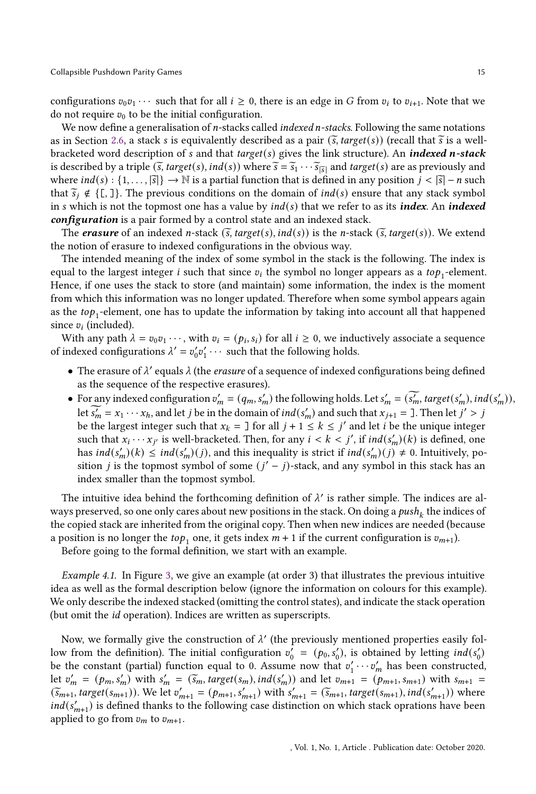configurations  $v_0v_1 \cdots$  such that for all  $i \geq 0$ , there is an edge in G from  $v_i$  to  $v_{i+1}$ . Note that we do not require  $v_0$  to be the initial configuration.

We now define a generalisation of  $n$ -stacks called *indexed*  $n$ -stacks. Following the same notations as in Section [2.6,](#page-8-1) a stack s is equivalently described as a pair  $(\tilde{s}, \text{target}(s))$  (recall that  $\tilde{s}$  is a wellbracketed word description of  $s$  and that target( $s$ ) gives the link structure). An indexed *n*-stack is described by a triple  $(\tilde{s}, target(s), ind(s))$  where  $\tilde{s} = \tilde{s}_1 \cdots \tilde{s}_{|\tilde{s}|}$  and target(s) are as previously and where  $ind(s): \{1, \ldots, |\overline{s}|\} \to \mathbb{N}$  is a partial function that is defined in any position  $j < |\overline{s}| - n$  such that  $\tilde{s}_i \notin \{[, \}$ . The previous conditions on the domain of  $ind(s)$  ensure that any stack symbol in s which is not the topmost one has a value by  $ind(s)$  that we refer to as its *index*. An *indexed* configuration is a pair formed by a control state and an indexed stack.

The **erasure** of an indexed *n*-stack  $(\tilde{s}, target(s), ind(s))$  is the *n*-stack  $(\tilde{s}, target(s))$ . We extend the notion of erasure to indexed configurations in the obvious way.

The intended meaning of the index of some symbol in the stack is the following. The index is equal to the largest integer i such that since  $v_i$  the symbol no longer appears as a to $p_1$ -element. Hence, if one uses the stack to store (and maintain) some information, the index is the moment from which this information was no longer updated. Therefore when some symbol appears again as the  $top_1$ -element, one has to update the information by taking into account all that happened since  $v_i$  (included).

With any path  $\lambda = v_0 v_1 \cdots$ , with  $v_i = (p_i, s_i)$  for all  $i \ge 0$ , we inductively associate a sequence of indexed configurations  $\lambda' = v'_0 v'_1 \cdots$  such that the following holds.

- The erasure of  $\lambda'$  equals  $\lambda$  (the erasure of a sequence of indexed configurations being defined as the sequence of the respective erasures).
- For any indexed configuration  $v'_m = (q_m, s'_m)$  the following holds. Let  $s'_m = (\widetilde{s'_m}, \text{target}(s'_m), \text{ind}(s'_m)),$ let  $\widetilde{s'_m} = x_1 \cdots x_h$ , and let  $j$  be in the domain of  $ind(s'_m)$  and such that  $x_{j+1} = 1$ . Then let  $j' > j$ be the largest integer such that  $x_k = \exists$  for all  $j + 1 \leq k \leq j'$  and let *i* be the unique integer such that  $x_i \cdots x_{j'}$  is well-bracketed. Then, for any  $i < k < j'$ , if  $ind(s'_m)(k)$  is defined, one has  $ind(s'_m)(k) \leq ind(s'_m)(j)$ , and this inequality is strict if  $ind(s'_m)(j) \neq 0$ . Intuitively, position *j* is the topmost symbol of some  $(j' - j)$ -stack, and any symbol in this stack has an index smaller than the topmost symbol.

The intuitive idea behind the forthcoming definition of  $\lambda'$  is rather simple. The indices are always preserved, so one only cares about new positions in the stack. On doing a  $\mathit{push}_k$  the indices of the copied stack are inherited from the original copy. Then when new indices are needed (because a position is no longer the  $top_1$  one, it gets index  $m + 1$  if the current configuration is  $v_{m+1}$ ).

Before going to the formal definition, we start with an example.

Example 4.1. In Figure [3,](#page-15-0) we give an example (at order 3) that illustrates the previous intuitive idea as well as the formal description below (ignore the information on colours for this example). We only describe the indexed stacked (omitting the control states), and indicate the stack operation (but omit the id operation). Indices are written as superscripts.

Now, we formally give the construction of  $\lambda'$  (the previously mentioned properties easily follow from the definition). The initial configuration  $v'_0 = (p_0, s'_0)$ , is obtained by letting  $ind(s'_0)$ be the constant (partial) function equal to 0. Assume now that  $v'_1 \cdots v'_m$  has been constructed, let  $v'_m = (p_m, s'_m)$  with  $s'_m = (\widetilde{s}_m, target(s_m), ind(s'_m))$  and let  $v_{m+1} = (p_{m+1}, s_{m+1})$  with  $s_{m+1} = (\widetilde{s}_m, \widetilde{t}_m, \widetilde{t}_m)$  $(\widetilde{s}_{m+1}, target(s_{m+1}))$ . We let  $v'_{m+1} = (p_{m+1}, s'_{m+1})$  with  $s'_{m+1} = (\widetilde{s}_{m+1}, target(s_{m+1}), ind(s'_{m+1}))$  where  $ind(s'_{m+1})$  is defined thanks to the following case distinction on which stack oprations have been applied to go from  $v_m$  to  $v_{m+1}$ .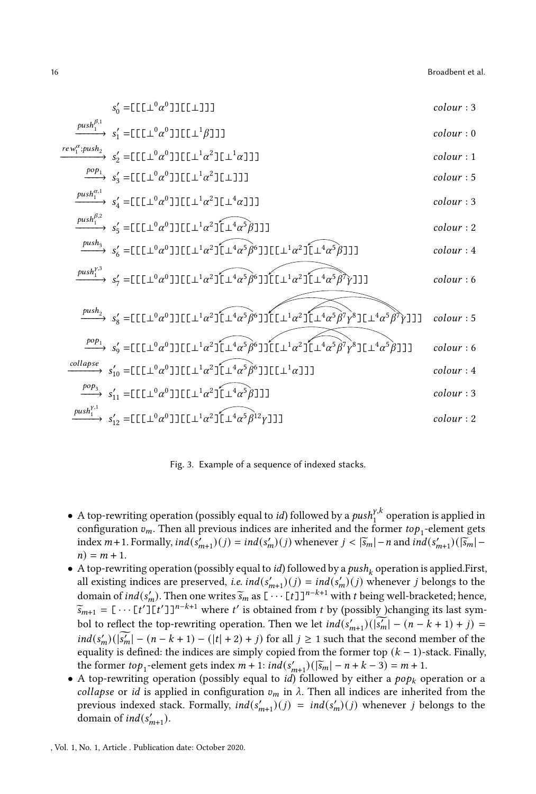<span id="page-15-0"></span>

Fig. 3. Example of a sequence of indexed stacks.

- $\bullet$  A top-rewriting operation (possibly equal to *id*) followed by a  $\mathit{push}_1^{\gamma,k}$  operation is applied in configuration  $v_m$ . Then all previous indices are inherited and the former  $top_1$ -element gets index  $m+1$ . Formally,  $ind(s'_{m+1})(j) = ind(s'_{m})(j)$  whenever  $j < |\tilde{s}_{m}| - n$  and  $ind(s'_{m+1})(|\tilde{s}_{m}| - n)$  $n) = m + 1.$
- $\bullet$  A top-rewriting operation (possibly equal to *id*) followed by a  $push_k$  operation is applied.First, all existing indices are preserved, *i.e.*  $ind(s'_{m+1})(j) = ind(s'_{m})(j)$  whenever j belongs to the domain of  $ind(s'_m)$ . Then one writes  $\widetilde{s}_m$  as  $[\cdots [t]]^{n-k+1}$  with  $t$  being well-bracketed; hence,  $\widetilde{s}_{m+1} = [\cdots [t'] [t']]^{n-k+1}$  where  $t'$  is obtained from  $t$  by (possibly )changing its last symbol to reflect the top-rewriting operation. Then we let  $ind(s'_{m+1})(|\vec{s'_m}| - (n-k+1) + j) =$  $ind(s'_m)(\overline{s'_m}) - (n-k+1) - (|t| + 2) + j$  for all  $j \ge 1$  such that the second member of the equality is defined: the indices are simply copied from the former top  $(k - 1)$ -stack. Finally, the former  $top_1$ -element gets index  $m + 1$ :  $ind(s'_{m+1})(\bar{s}_m) - n + k - 3) = m + 1$ .
- A top-rewriting operation (possibly equal to *id*) followed by either a  $pop_k$  operation or a collapse or id is applied in configuration  $v_m$  in  $\lambda$ . Then all indices are inherited from the previous indexed stack. Formally,  $ind(s'_{m+1})(j) = ind(s'_{m})(j)$  whenever j belongs to the domain of  $ind(s'_{m+1})$ .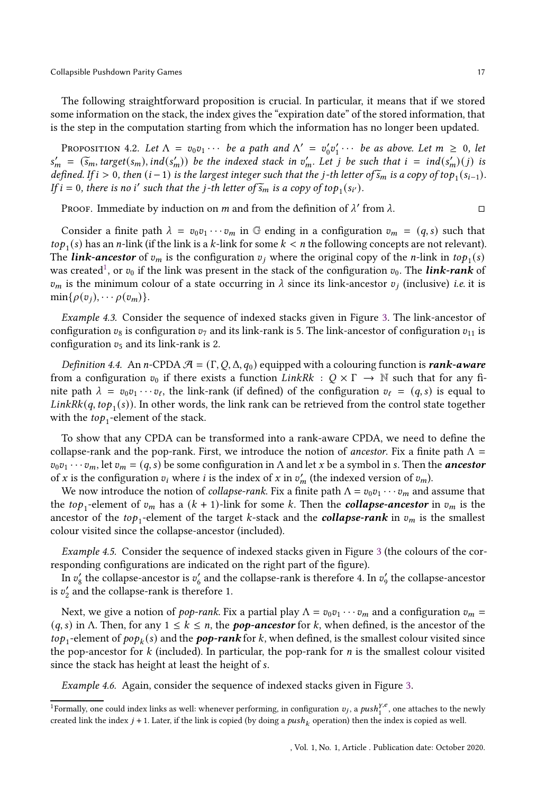The following straightforward proposition is crucial. In particular, it means that if we stored some information on the stack, the index gives the "expiration date" of the stored information, that is the step in the computation starting from which the information has no longer been updated.

<span id="page-16-1"></span>PROPOSITION 4.2. Let  $\Lambda = v_0v_1 \cdots$  be a path and  $\Lambda' = v'_0v'_1 \cdots$  be as above. Let  $m \geq 0$ , let  $s'_m = (\tilde{s}_m, target(s_m), ind(s'_m))$  be the indexed stack in  $v'_m$ . Let *j* be such that  $i = ind(s'_m)(j)$  is defined. If  $i > 0$ , then  $(i - 1)$  is the largest integer such that the  $j$ -th letter of  $\widetilde{s}_m$  is a copy of top<sub>1</sub>( $s_{i-1}$ ). If  $i = 0$ , there is no i' such that the j-th letter of  $\widetilde{s}_m$  is a copy of top<sub>1</sub>(s<sub>i'</sub>).

PROOF. Immediate by induction on  $m$  and from the definition of  $\lambda'$  from  $\lambda$ .

Consider a finite path  $\lambda = v_0 v_1 \cdots v_m$  in G ending in a configuration  $v_m = (q, s)$  such that *to* $p_1(s)$  has an *n*-link (if the link is a *k*-link for some  $k < n$  the following concepts are not relevant). The *link-ancestor* of  $v_m$  is the configuration  $v_j$  where the original copy of the *n*-link in top<sub>1</sub>(s) was created<sup>[1](#page-16-0)</sup>, or  $v_0$  if the link was present in the stack of the configuration  $v_0$ . The *link-rank* of  $v_m$  is the minimum colour of a state occurring in  $\lambda$  since its link-ancestor  $v_j$  (inclusive) i.e. it is  $min\{\rho(v_i), \cdots \rho(v_m)\}.$ 

Example 4.3. Consider the sequence of indexed stacks given in Figure [3.](#page-15-0) The link-ancestor of configuration  $v_8$  is configuration  $v_7$  and its link-rank is 5. The link-ancestor of configuration  $v_{11}$  is configuration  $v_5$  and its link-rank is 2.

Definition 4.4. An n-CPDA  $\mathcal{A} = (\Gamma, Q, \Delta, q_0)$  equipped with a colouring function is **rank-aware** from a configuration  $v_0$  if there exists a function  $LinkRk : Q \times \Gamma \rightarrow \mathbb{N}$  such that for any finite path  $\lambda = v_0v_1 \cdots v_\ell$ , the link-rank (if defined) of the configuration  $v_\ell = (q, s)$  is equal to  $LinkRk(q, top_1(s))$ . In other words, the link rank can be retrieved from the control state together with the  $top_1$ -element of the stack.

To show that any CPDA can be transformed into a rank-aware CPDA, we need to define the collapse-rank and the pop-rank. First, we introduce the notion of *ancestor*. Fix a finite path  $\Lambda$  =  $v_0v_1 \cdots v_m$ , let  $v_m = (q, s)$  be some configuration in  $\Lambda$  and let  $x$  be a symbol in  $s$ . Then the **ancestor** of x is the configuration  $v_i$  where *i* is the index of x in  $v'_m$  (the indexed version of  $v_m$ ).

We now introduce the notion of *collapse-rank*. Fix a finite path  $\Lambda = v_0 v_1 \cdots v_m$  and assume that the top<sub>1</sub>-element of  $v_m$  has a  $(k + 1)$ -link for some k. Then the **collapse-ancestor** in  $v_m$  is the ancestor of the  $top_1$ -element of the target *k*-stack and the  $\it collapse\text{-}rank}$  in  $v_m$  is the smallest colour visited since the collapse-ancestor (included).

Example 4.5. Consider the sequence of indexed stacks given in Figure [3](#page-15-0) (the colours of the corresponding configurations are indicated on the right part of the figure).

In  $v'_8$  the collapse-ancestor is  $v'_6$  and the collapse-rank is therefore 4. In  $v'_9$  the collapse-ancestor is  $v_2'$  and the collapse-rank is therefore 1.

Next, we give a notion of *pop-rank*. Fix a partial play  $\Lambda = v_0 v_1 \cdots v_m$  and a configuration  $v_m$  =  $(q, s)$  in  $\Lambda$ . Then, for any  $1 \leq k \leq n$ , the **pop-ancestor** for k, when defined, is the ancestor of the to $p_1$ -element of  $pop_k(s)$  and the  $pop\text{-}rank$  for  $k$ , when defined, is the smallest colour visited since the pop-ancestor for  $k$  (included). In particular, the pop-rank for  $n$  is the smallest colour visited since the stack has height at least the height of s.

Example 4.6. Again, consider the sequence of indexed stacks given in Figure [3.](#page-15-0)

<span id="page-16-0"></span><sup>&</sup>lt;sup>1</sup>Formally, one could index links as well: whenever performing, in configuration  $v_j$ , a  $push_1^{y,e}$ , one attaches to the newly created link the index  $j + 1$ . Later, if the link is copied (by doing a  $push_k$  operation) then the index is copied as well.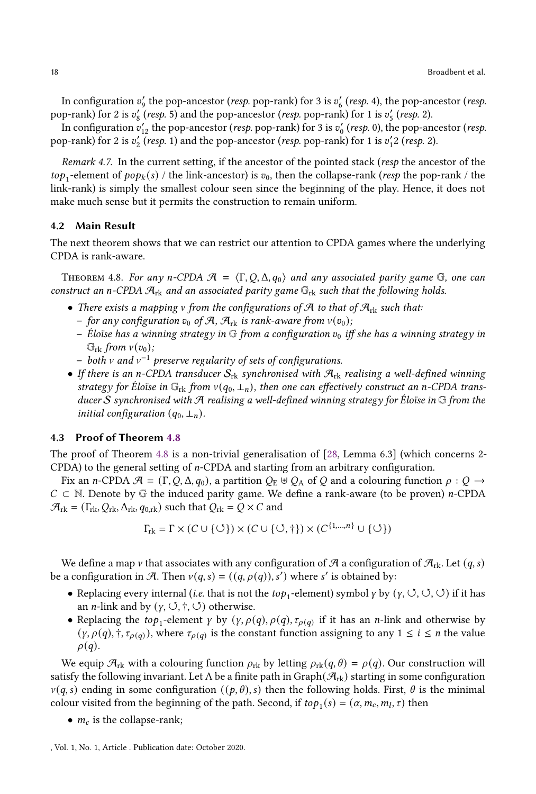In configuration  $v_9'$  the pop-ancestor (*resp.* pop-rank) for 3 is  $v_6'$  (*resp.* 4), the pop-ancestor (*resp.* pop-rank) for 2 is  $v'_8$  (resp. 5) and the pop-ancestor (resp. pop-rank) for 1 is  $v'_5$  (resp. 2).

In configuration  $v_{12}'$  the pop-ancestor (*resp.* pop-rank) for 3 is  $v_0'$  (*resp.* 0), the pop-ancestor (*resp.* pop-rank) for 2 is  $v_2'$  (resp. 1) and the pop-ancestor (resp. pop-rank) for 1 is  $v_1'2$  (resp. 2).

<span id="page-17-1"></span>Remark 4.7. In the current setting, if the ancestor of the pointed stack (resp the ancestor of the  $top_1$ -element of  $pop_k(s)$  / the link-ancestor) is  $v_0$ , then the collapse-rank (*resp* the pop-rank / the link-rank) is simply the smallest colour seen since the beginning of the play. Hence, it does not make much sense but it permits the construction to remain uniform.

## 4.2 Main Result

The next theorem shows that we can restrict our attention to CPDA games where the underlying CPDA is rank-aware.

<span id="page-17-0"></span>THEOREM 4.8. For any n-CPDA  $\mathcal{A} = \langle \Gamma, Q, \Delta, q_0 \rangle$  and any associated parity game G, one can construct an n-CPDA  $\mathcal{A}_{rk}$  and an associated parity game  $\mathbb{G}_{rk}$  such that the following holds.

- There exists a mapping v from the configurations of  $\mathcal{A}$  to that of  $\mathcal{A}_{rk}$  such that:
	- for any configuration  $v_0$  of A,  $\mathcal{A}_{rk}$  is rank-aware from  $v(v_0)$ ;
	- Éloïse has a winning strategy in  $\mathbb G$  from a configuration  $v_0$  iff she has a winning strategy in  $\mathbb{G}_{\text{rk}}$  from  $v(v_0)$ ;
	- $-$  both  $v$  and  $v^{-1}$  preserve regularity of sets of configurations.
- If there is an n-CPDA transducer  $S_{rk}$  synchronised with  $\mathcal{A}_{rk}$  realising a well-defined winning strategy for Éloïse in  $\mathbb{G}_{rk}$  from  $v(q_0, \perp_n)$ , then one can effectively construct an n-CPDA transducer S synchronised with A realising a well-defined winning strategy for Éloïse in  $\mathbb G$  from the initial configuration  $(q_0, \perp_n)$ .

## 4.3 Proof of Theorem [4.8](#page-17-0)

The proof of Theorem [4.8](#page-17-0) is a non-trivial generalisation of [\[28,](#page-49-16) Lemma 6.3] (which concerns 2- CPDA) to the general setting of  $n$ -CPDA and starting from an arbitrary configuration.

Fix an *n*-CPDA  $\mathcal{A} = (\Gamma, Q, \Delta, q_0)$ , a partition  $Q_E \uplus Q_A$  of Q and a colouring function  $\rho : Q \rightarrow$  $C \subset \mathbb{N}$ . Denote by G the induced parity game. We define a rank-aware (to be proven) *n*-CPDA  $\mathcal{A}_{\text{rk}} = (\Gamma_{\text{rk}}, Q_{\text{rk}}, \Delta_{\text{rk}}, q_{0,\text{rk}})$  such that  $Q_{\text{rk}} = Q \times C$  and

$$
\Gamma_{\mathrm{rk}} = \Gamma \times (C \cup \{\circlearrowleft\}) \times (C \cup \{\circlearrowleft, \dagger\}) \times (C^{\{1,\dots,n\}} \cup \{\circlearrowleft\})
$$

We define a map v that associates with any configuration of  $\mathcal{A}$  a configuration of  $\mathcal{A}_{\text{rk}}$ . Let  $(q, s)$ be a configuration in A. Then  $v(q, s) = ((q, \rho(q)), s')$  where s' is obtained by:

- Replacing every internal (*i.e.* that is not the  $top_1$ -element) symbol  $\gamma$  by  $(\gamma, \circlearrowleft, \circlearrowleft, \circlearrowright)$  if it has an *n*-link and by  $(y, \cup, \dagger, \cup)$  otherwise.
- Replacing the  $top_1$ -element  $\gamma$  by  $(\gamma, \rho(q), \rho(q), \tau_{\rho(q)})$  if it has an *n*-link and otherwise by  $(\gamma, \rho(q), \dagger, \tau_{\rho(q)})$ , where  $\tau_{\rho(q)}$  is the constant function assigning to any  $1 \leq i \leq n$  the value  $\rho(q)$ .

We equip  $\mathcal{A}_{\text{rk}}$  with a colouring function  $\rho_{\text{rk}}$  by letting  $\rho_{\text{rk}}(q, \theta) = \rho(q)$ . Our construction will satisfy the following invariant. Let  $\Lambda$  be a finite path in Graph( $\mathcal{A}_{rk}$ ) starting in some configuration  $\nu(q, s)$  ending in some configuration  $((p, \theta), s)$  then the following holds. First,  $\theta$  is the minimal colour visited from the beginning of the path. Second, if  $top_1(s) = (\alpha, m_c, m_l, \tau)$  then

•  $m_c$  is the collapse-rank;

, Vol. 1, No. 1, Article . Publication date: October 2020.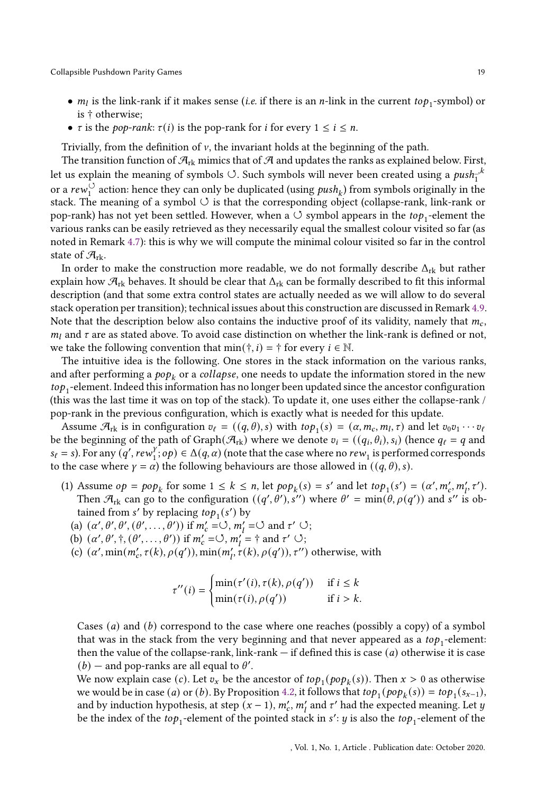- $m_l$  is the link-rank if it makes sense (*i.e.* if there is an *n*-link in the current  $top_1$ -symbol) or is † otherwise;
- $\tau$  is the *pop-rank*:  $\tau(i)$  is the pop-rank for *i* for every  $1 \le i \le n$ .

Trivially, from the definition of  $\nu$ , the invariant holds at the beginning of the path.

The transition function of  $\mathcal{A}_{rk}$  mimics that of  $\mathcal{A}$  and updates the ranks as explained below. First, let us explain the meaning of symbols  $\circlearrowleft. \right.$  Such symbols will never been created using a  $\mathit{push}^{-k}_1$ or a  $rew_1^{\bigcirc}$  action: hence they can only be duplicated (using  $push_k$ ) from symbols originally in the stack. The meaning of a symbol  $\circlearrowleft$  is that the corresponding object (collapse-rank, link-rank or pop-rank) has not yet been settled. However, when a  $\circlearrowleft$  symbol appears in the top<sub>1</sub>-element the various ranks can be easily retrieved as they necessarily equal the smallest colour visited so far (as noted in Remark [4.7\)](#page-17-1): this is why we will compute the minimal colour visited so far in the control state of  $\mathcal{A}_{rk}$ .

In order to make the construction more readable, we do not formally describe  $\Delta_{rk}$  but rather explain how  $\mathcal{A}_{rk}$  behaves. It should be clear that  $\Delta_{rk}$  can be formally described to fit this informal description (and that some extra control states are actually needed as we will allow to do several stack operation per transition); technical issues about this construction are discussed in Remark [4.9.](#page-20-0) Note that the description below also contains the inductive proof of its validity, namely that  $m_c$ ,  $m_l$  and  $\tau$  are as stated above. To avoid case distinction on whether the link-rank is defined or not, we take the following convention that min( $\dagger$ , *i*) =  $\dagger$  for every *i*  $\in \mathbb{N}$ .

The intuitive idea is the following. One stores in the stack information on the various ranks, and after performing a  $\emph{pop}_k$  or a  $\emph{collapse},$  one needs to update the information stored in the new  $top_1$  -element. Indeed this information has no longer been updated since the ancestor configuration (this was the last time it was on top of the stack). To update it, one uses either the collapse-rank / pop-rank in the previous configuration, which is exactly what is needed for this update.

Assume  $\mathcal{A}_{rk}$  is in configuration  $v_{\ell} = ((q, \theta), s)$  with  $top_1(s) = (\alpha, m_c, m_l, \tau)$  and let  $v_0v_1 \cdots v_\ell$ be the beginning of the path of Graph $(\mathcal{A}_{rk})$  where we denote  $v_i = ((q_i, \theta_i), s_i)$  (hence  $q_\ell = q$  and  $s_{\ell} = s$ ). For any  $(q',\text{rew}_1^{\gamma})$  $\{f_1, op\} \in \Delta(q, \alpha)$  (note that the case where no  $rew_1$  is performed corresponds to the case where  $\gamma = \alpha$ ) the following behaviours are those allowed in  $((q, \theta), s)$ .

- (1) Assume  $op = pop_k$  for some  $1 \le k \le n$ , let  $pop_k(s) = s'$  and let  $top_1(s') = (\alpha', m'_k, m'_l, \tau')$ . Then  $\mathcal{A}_{rk}$  can go to the configuration  $((q', \theta'), s'')$  where  $\theta' = \min(\theta, \rho(q'))$  and s'' is obtained from s' by replacing  $top_1(s')$  by
	- (a)  $(\alpha', \theta', \theta', (\theta', \ldots, \theta'))$  if  $m'_c = \circlearrowleft, m'_l = \circlearrowleft$  and  $\tau' \circlearrowleft$ ;
	- (b)  $(\alpha', \theta', \dagger, (\theta', \ldots, \theta'))$  if  $m'_c = \circlearrowleft, m'_l = \dagger$  and  $\tau' \circlearrowleft$ ;
	- (c)  $(\alpha', \min(m'_c, \tau(k), \rho(q')), \min(m'_l, \tau(k), \rho(q')), \tau'')$  otherwise, with

$$
\tau''(i) = \begin{cases} \min(\tau'(i), \tau(k), \rho(q')) & \text{if } i \leq k \\ \min(\tau(i), \rho(q')) & \text{if } i > k. \end{cases}
$$

Cases  $(a)$  and  $(b)$  correspond to the case where one reaches (possibly a copy) of a symbol that was in the stack from the very beginning and that never appeared as a  $top_1$ -element: then the value of the collapse-rank, link-rank  $-$  if defined this is case ( $a$ ) otherwise it is case  $(b)$  – and pop-ranks are all equal to  $\theta'$ .

We now explain case (*c*). Let  $v_x$  be the ancestor of  $top_1(pop_k(s))$ . Then  $x > 0$  as otherwise we would be in case (*a*) or (*b*). By Proposition [4.2,](#page-16-1) it follows that  $top_1(pop_k(s)) = top_1(s_{x-1}),$ and by induction hypothesis, at step  $(x - 1)$ ,  $m'_c$ ,  $m'_l$  and  $\tau'$  had the expected meaning. Let  $y$ be the index of the top<sub>1</sub>-element of the pointed stack in  $s'$ :  $y$  is also the top<sub>1</sub>-element of the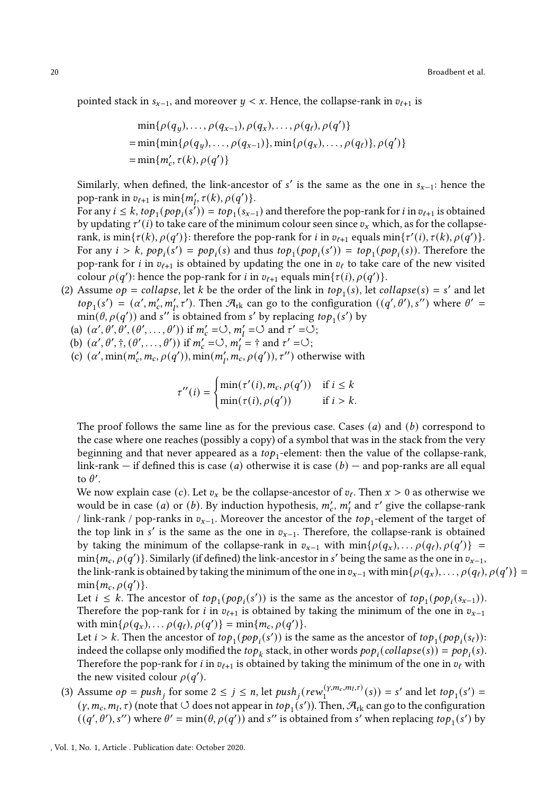pointed stack in  $s_{x-1}$ , and moreover  $y \leq x$ . Hence, the collapse-rank in  $v_{\ell+1}$  is

$$
\min\{\rho(q_y), \dots, \rho(q_{x-1}), \rho(q_x), \dots, \rho(q_\ell), \rho(q'))\}
$$
  
= 
$$
\min\{\min\{\rho(q_y), \dots, \rho(q_{x-1})\}, \min\{\rho(q_x), \dots, \rho(q_\ell)\}, \rho(q')\}
$$
  
= 
$$
\min\{m'_c, \tau(k), \rho(q')\}
$$

Similarly, when defined, the link-ancestor of  $s'$  is the same as the one in  $s_{x-1}$ : hence the pop-rank in  $v_{\ell+1}$  is  $\min\{m'_l, \tau(k), \rho(q')\}.$ 

For any  $i \leq k$ ,  $top_1(pop_i(s')) = top_1(s_{x-1})$  and therefore the pop-rank for  $i$  in  $v_{\ell+1}$  is obtained by updating  $\tau'(i)$  to take care of the minimum colour seen since  $v_x$  which, as for the collapserank, is  $\min{\tau(k), \rho(q')}$ : therefore the pop-rank for *i* in  $v_{\ell+1}$  equals  $\min{\tau'(i), \tau(k), \rho(q')}$ . For any  $i > k$ ,  $pop_i(s') = pop_i(s)$  and thus  $top_1(pop_i(s')) = top_1(pop_i(s))$ . Therefore the pop-rank for *i* in  $v_{\ell+1}$  is obtained by updating the one in  $v_{\ell}$  to take care of the new visited colour  $\rho(q')$ : hence the pop-rank for *i* in  $v_{\ell+1}$  equals  $\min{\lbrace \tau(i), \rho(q') \rbrace}$ .

(2) Assume  $op = collapse$ , let k be the order of the link in  $top_1(s)$ , let  $collapse(s) = s'$  and let  $top_1(s') = (\alpha', m'_c, m'_l, \tau')$ . Then  $\mathcal{A}_{rk}$  can go to the configuration  $((q', \theta'), s'')$  where  $\theta' =$  $\min(\theta, \rho(q'))$  and s" is obtained from s' by replacing  $top_1(s')$  by

(a)  $(\alpha', \theta', \theta', (\theta', \ldots, \theta'))$  if  $m'_c = \circlearrowleft, m'_1 = \circlearrowleft$  and  $\tau' = \circlearrowleft$ ;

- (b)  $(\alpha', \theta', \dagger, (\theta', \dots, \theta'))$  if  $m'_c = \circlearrowleft, m'_1 = \dagger$  and  $\tau' = \circlearrowleft$ ;
- (c)  $(\alpha', \min(m'_c, m_c, \rho(q')), \min(m'_l, m'_c, \rho(q')), \tau'')$  otherwise with

$$
\tau''(i) = \begin{cases} \min(\tau'(i), m_c, \rho(q')) & \text{if } i \le k \\ \min(\tau(i), \rho(q')) & \text{if } i > k. \end{cases}
$$

The proof follows the same line as for the previous case. Cases  $(a)$  and  $(b)$  correspond to the case where one reaches (possibly a copy) of a symbol that was in the stack from the very beginning and that never appeared as a  $\mathit{top}_1$ -element: then the value of the collapse-rank, link-rank — if defined this is case (*a*) otherwise it is case (*b*) — and pop-ranks are all equal to  $\theta'$ .

We now explain case (*c*). Let  $v_x$  be the collapse-ancestor of  $v_\ell$ . Then  $x > 0$  as otherwise we would be in case (*a*) or (*b*). By induction hypothesis,  $m'_c$ ,  $m'_l$  and  $\tau'$  give the collapse-rank / link-rank / pop-ranks in  $v_{x-1}$ . Moreover the ancestor of the  $top_1$ -element of the target of the top link in  $s'$  is the same as the one in  $v_{x-1}$ . Therefore, the collapse-rank is obtained by taking the minimum of the collapse-rank in  $v_{x-1}$  with  $min\{\rho(q_x), \ldots \rho(q_\ell), \rho(q')\}$  $\min\{m_c, \rho(q')\}$ . Similarly (if defined) the link-ancestor in s' being the same as the one in  $v_{x-1}$ , the link-rank is obtained by taking the minimum of the one in  $v_{x-1}$  with  $\min\{\rho(q_x), \ldots, \rho(q_\ell), \rho(q')\}$  $min{m_c, \rho(q')}$ .

Let  $i \leq k$ . The ancestor of  $top_1(pop_i(s'))$  is the same as the ancestor of  $top_1(pop_i(s_{x-1}))$ . Therefore the pop-rank for *i* in  $v_{\ell+1}$  is obtained by taking the minimum of the one in  $v_{x-1}$ with  $\min\{\rho(q_x), \ldots \rho(q_\ell), \rho(q')\} = \min\{m_c, \rho(q')\}.$ 

Let  $i > k$ . Then the ancestor of  $top_1(pop_i(s'))$  is the same as the ancestor of  $top_1(pop_i(s_\ell))$ : indeed the collapse only modified the  $top_k$  stack, in other words  $pop_i(collapse(s)) = pop_i(s)$ . Therefore the pop-rank for *i* in  $v_{t+1}$  is obtained by taking the minimum of the one in  $v_{\ell}$  with the new visited colour  $\rho(q')$ .

(3) Assume  $op = push_j$  for some  $2 \le j \le n$ , let  $push_j(rew_1^{(\gamma,m_c,m_l,\tau)})$  $\binom{(y,m_c,m_l,\tau)}{1}(s)$  = s' and let  $top_1(s')$  =  $(y, m_c, m_l, \tau)$  (note that  $\circlearrowleft$  does not appear in  $top_1(s')$ ). Then,  $\mathcal{A}_{rk}$  can go to the configuration  $((q', \theta'), s'')$  where  $\theta' = \min(\theta, \rho(q'))$  and s'' is obtained from s' when replacing  $top_1(s')$  by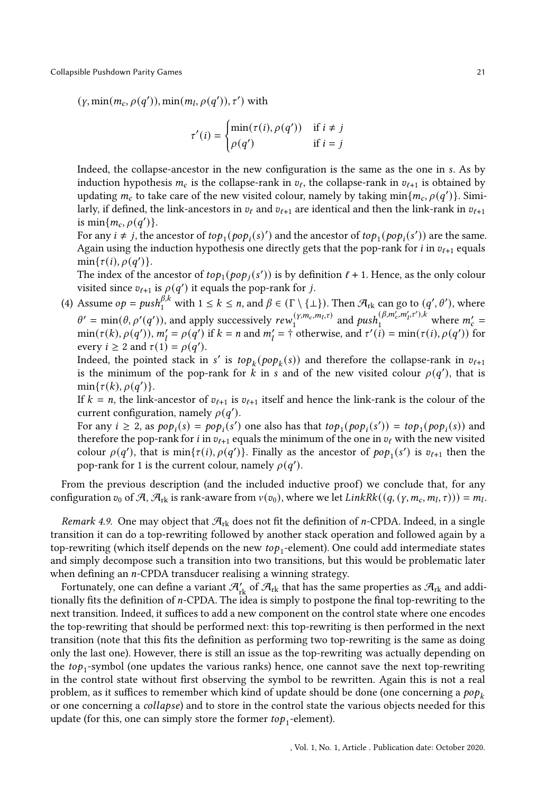$(\gamma, \min(m_c, \rho(q')), \min(m_l, \rho(q')), \tau')$  with

$$
\tau'(i) = \begin{cases} \min(\tau(i), \rho(q')) & \text{if } i \neq j \\ \rho(q') & \text{if } i = j \end{cases}
$$

Indeed, the collapse-ancestor in the new configuration is the same as the one in s. As by induction hypothesis  $m_c$  is the collapse-rank in  $v_\ell$ , the collapse-rank in  $v_{\ell+1}$  is obtained by updating  $m_c$  to take care of the new visited colour, namely by taking  $\min\{m_c, \rho(q')\}$ . Similarly, if defined, the link-ancestors in  $v_{\ell}$  and  $v_{\ell+1}$  are identical and then the link-rank in  $v_{\ell+1}$ is min $\{m_c, \rho(q')\}.$ 

For any  $i \neq j$ , the ancestor of  $top_1(pop_i(s)')$  and the ancestor of  $top_1(pop_i(s'))$  are the same. Again using the induction hypothesis one directly gets that the pop-rank for *i* in  $v_{\ell+1}$  equals  $min{\tau(i), \rho(q')}$ .

The index of the ancestor of  $top_1(pop_j(s'))$  is by definition  $\ell + 1$ . Hence, as the only colour visited since  $v_{\ell+1}$  is  $\rho(q')$  it equals the pop-rank for j.

(4) Assume  $op = push_1^{\beta,k}$  with  $1 \le k \le n$ , and  $\beta \in (\Gamma \setminus \{\bot\})$ . Then  $\mathcal{A}_{rk}$  can go to  $(q', \theta')$ , where  $\theta' = \min(\theta, \rho'(q'))$ , and apply successively  $rew_1^{(\gamma, m_c, m_l, \tau)}$  $\sum_{i=1}^{(\gamma,m_c,m_l,\tau)}$  and  $push_1^{(\beta,m_c',m_l',\tau'),k}$  where  $m_c' =$  $\min(\tau(k), \rho(q'))$ ,  $m'_l = \rho(q')$  if  $k = n$  and  $m'_l = \dagger$  otherwise, and  $\tau'(i) = \min(\tau(i), \rho(q'))$  for every  $i \geq 2$  and  $\tau(1) = \rho(q')$ .

Indeed, the pointed stack in s' is  $top_k (pop_k(s))$  and therefore the collapse-rank in  $v_{\ell+1}$ is the minimum of the pop-rank for  $k$  in  $s$  and of the new visited colour  $\rho(q')$ , that is  $min{\tau(k), \rho(q')}$ .

If  $k = n$ , the link-ancestor of  $v_{\ell+1}$  is  $v_{\ell+1}$  itself and hence the link-rank is the colour of the current configuration, namely  $\rho(q')$ .

For any  $i \ge 2$ , as  $pop_i(s) = pop_i(s')$  one also has that  $top_1(pop_i(s')) = top_1(pop_i(s))$  and therefore the pop-rank for *i* in  $v_{\ell+1}$  equals the minimum of the one in  $v_{\ell}$  with the new visited colour  $\rho(q')$ , that is  $\min{\lbrace \tau(i), \rho(q') \rbrace}$ . Finally as the ancestor of  $pop_1(s')$  is  $v_{\ell+1}$  then the pop-rank for 1 is the current colour, namely  $\rho(q')$ .

From the previous description (and the included inductive proof) we conclude that, for any configuration  $v_0$  of A,  $\mathcal{A}_{rk}$  is rank-aware from  $v(v_0)$ , where we let  $LinkRk((q, (y, m_c, m_l, \tau))) = m_l$ .

<span id="page-20-0"></span>Remark 4.9. One may object that  $\mathcal{A}_{rk}$  does not fit the definition of *n*-CPDA. Indeed, in a single transition it can do a top-rewriting followed by another stack operation and followed again by a top-rewriting (which itself depends on the new  $\mathit{top}_1\text{-element}$ ). One could add intermediate states and simply decompose such a transition into two transitions, but this would be problematic later when defining an  $n$ -CPDA transducer realising a winning strategy.

Fortunately, one can define a variant  $\mathcal{A}'_{\sf rk}$  of  $\mathcal{A}_{\sf rk}$  that has the same properties as  $\mathcal{A}_{\sf rk}$  and additionally fits the definition of *n*-CPDA. The idea is simply to postpone the final top-rewriting to the next transition. Indeed, it suffices to add a new component on the control state where one encodes the top-rewriting that should be performed next: this top-rewriting is then performed in the next transition (note that this fits the definition as performing two top-rewriting is the same as doing only the last one). However, there is still an issue as the top-rewriting was actually depending on the  $top_1$ -symbol (one updates the various ranks) hence, one cannot save the next top-rewriting in the control state without first observing the symbol to be rewritten. Again this is not a real problem, as it suffices to remember which kind of update should be done (one concerning a  $pop_k$ or one concerning a *collapse*) and to store in the control state the various objects needed for this update (for this, one can simply store the former  $top_1$ -element).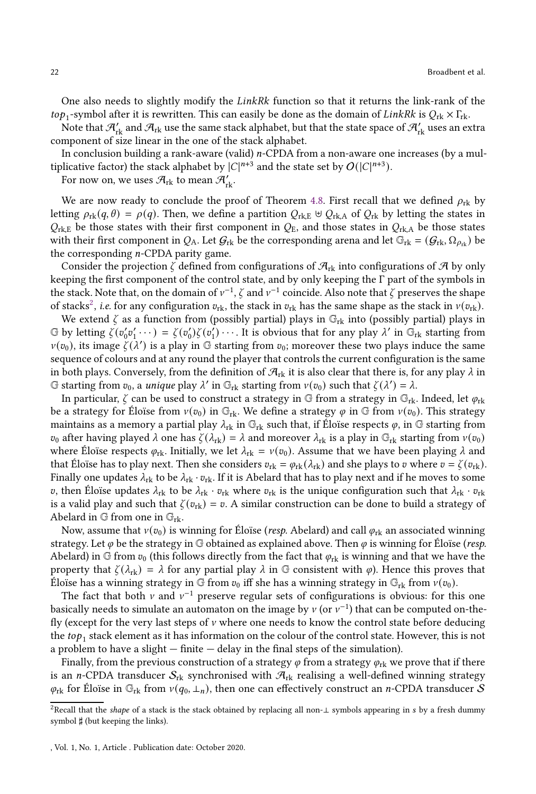One also needs to slightly modify the LinkRk function so that it returns the link-rank of the  $top_1$ -symbol after it is rewritten. This can easily be done as the domain of  $LinkRk$  is  $Q_{rk} \times \Gamma_{rk}$ .

Note that  $\mathcal{H}_{\rm rk}$  and  $\mathcal{H}_{\rm rk}$  use the same stack alphabet, but that the state space of  $\mathcal{H}_{\rm rk}'$  uses an extra component of size linear in the one of the stack alphabet.

In conclusion building a rank-aware (valid)  $n$ -CPDA from a non-aware one increases (by a multiplicative factor) the stack alphabet by  $|C|^{n+3}$  and the state set by  $O(|C|^{n+3})$ .

For now on, we uses  $\mathcal{A}_{\text{rk}}$  to mean  $\mathcal{A}_{\text{rk}}'$ .

We are now ready to conclude the proof of Theorem [4.8.](#page-17-0) First recall that we defined  $\rho_{rk}$  by letting  $\rho_{rk}(q,\theta) = \rho(q)$ . Then, we define a partition  $Q_{rk} \oplus Q_{rk}$  of  $Q_{rk}$  by letting the states in  $Q_{\text{rk},E}$  be those states with their first component in  $Q_{\text{E}}$ , and those states in  $Q_{\text{rk},A}$  be those states with their first component in  $Q_A$ . Let  $G_{rk}$  be the corresponding arena and let  $\mathbb{G}_{rk} = (G_{rk}, \Omega_{\rho_{rk}})$  be the corresponding  $n$ -CPDA parity game.

Consider the projection  $\zeta$  defined from configurations of  $\mathcal{A}_{rk}$  into configurations of  $\mathcal A$  by only keeping the first component of the control state, and by only keeping the Γ part of the symbols in the stack. Note that, on the domain of  $v^{-1}$ ,  $\zeta$  and  $v^{-1}$  coincide. Also note that  $\zeta$  preserves the shape of stacks<sup>[2](#page-21-0)</sup>, *i.e.* for any configuration  $v_{\text{rk}}$ , the stack in  $v_{\text{rk}}$  has the same shape as the stack in  $v(v_{\text{rk}})$ .

We extend  $\zeta$  as a function from (possibly partial) plays in  $\mathbb{G}_{rk}$  into (possibly partial) plays in  $\mathbb G$  by letting  $\zeta(v_0'v_1'\cdots) = \zeta(v_0')\zeta(v_1')\cdots$ . It is obvious that for any play  $\lambda'$  in  $\mathbb G_{\rm rk}$  starting from  $v(v_0)$ , its image  $\zeta(\lambda')$  is a play in G starting from  $v_0$ ; moreover these two plays induce the same sequence of colours and at any round the player that controls the current configuration is the same in both plays. Conversely, from the definition of  $\mathcal{A}_{rk}$  it is also clear that there is, for any play  $\lambda$  in G starting from  $v_0$ , a *unique* play  $\lambda'$  in  $\mathbb{G}_{\text{rk}}$  starting from  $v(v_0)$  such that  $\zeta(\lambda') = \lambda$ .

In particular,  $\zeta$  can be used to construct a strategy in  $\mathbb{G}$  from a strategy in  $\mathbb{G}_{\text{rk}}$ . Indeed, let  $\varphi_{\text{rk}}$ be a strategy for Éloïse from  $v(v_0)$  in  $\mathbb{G}_{rk}$ . We define a strategy  $\varphi$  in  $\mathbb{G}$  from  $v(v_0)$ . This strategy maintains as a memory a partial play  $\lambda_{\rm rk}$  in  $\mathbb{G}_{\rm rk}$  such that, if Éloïse respects  $\varphi$ , in  $\mathbb{G}$  starting from  $v_0$  after having played  $\lambda$  one has  $\zeta(\lambda_{\rm rk}) = \lambda$  and moreover  $\lambda_{\rm rk}$  is a play in  $\mathbb{G}_{\rm rk}$  starting from  $v(v_0)$ where Éloïse respects  $\varphi_{rk}$ . Initially, we let  $\lambda_{rk} = v(v_0)$ . Assume that we have been playing  $\lambda$  and that Éloïse has to play next. Then she considers  $v_{\text{rk}} = \varphi_{\text{rk}}(\lambda_{\text{rk}})$  and she plays to v where  $v = \zeta(v_{\text{rk}})$ . Finally one updates  $\lambda_{rk}$  to be  $\lambda_{rk} \cdot v_{rk}$ . If it is Abelard that has to play next and if he moves to some v, then Éloïse updates  $\lambda_{rk}$  to be  $\lambda_{rk} \cdot v_{rk}$  where  $v_{rk}$  is the unique configuration such that  $\lambda_{rk} \cdot v_{rk}$ is a valid play and such that  $\zeta(v_{rk}) = v$ . A similar construction can be done to build a strategy of Abelard in  $\mathbb{G}$  from one in  $\mathbb{G}_{rk}$ .

Now, assume that  $v(v_0)$  is winning for Éloïse (resp. Abelard) and call  $\varphi_{rk}$  an associated winning strategy. Let  $\varphi$  be the strategy in G obtained as explained above. Then  $\varphi$  is winning for Éloïse (*resp.* Abelard) in G from  $v_0$  (this follows directly from the fact that  $\varphi_{rk}$  is winning and that we have the property that  $\zeta(\lambda_{rk}) = \lambda$  for any partial play  $\lambda$  in G consistent with  $\varphi$ ). Hence this proves that Éloïse has a winning strategy in G from  $v_0$  iff she has a winning strategy in  $\mathbb{G}_{\text{rk}}$  from  $v(v_0)$ .

The fact that both  $\nu$  and  $\nu^{-1}$  preserve regular sets of configurations is obvious: for this one basically needs to simulate an automaton on the image by  $\nu$  (or  $\nu^{-1}$ ) that can be computed on-thefly (except for the very last steps of  $\nu$  where one needs to know the control state before deducing the  $top_1$  stack element as it has information on the colour of the control state. However, this is not a problem to have a slight  $-$  finite  $-$  delay in the final steps of the simulation).

Finally, from the previous construction of a strategy  $\varphi$  from a strategy  $\varphi_{rk}$  we prove that if there is an *n*-CPDA transducer  $S_{rk}$  synchronised with  $\mathcal{A}_{rk}$  realising a well-defined winning strategy  $\varphi_{\rm rk}$  for Éloïse in  $\mathbb{G}_{\rm rk}$  from  $v(q_0, \perp_n)$ , then one can effectively construct an *n*-CPDA transducer S

<span id="page-21-0"></span><sup>&</sup>lt;sup>2</sup>Recall that the shape of a stack is the stack obtained by replacing all non-⊥ symbols appearing in s by a fresh dummy symbol  $\sharp$  (but keeping the links).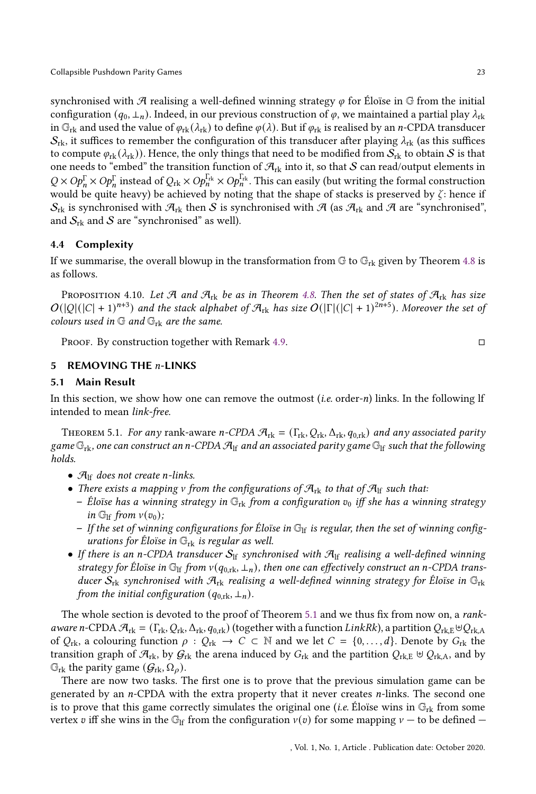synchronised with A realising a well-defined winning strategy  $\varphi$  for Éloïse in G from the initial configuration  $(q_0, \perp_n)$ . Indeed, in our previous construction of  $\varphi$ , we maintained a partial play  $\lambda_{rk}$ in  $\mathbb{G}_{\text{rk}}$  and used the value of  $\varphi_{\text{rk}}(\lambda_{\text{rk}})$  to define  $\varphi(\lambda)$ . But if  $\varphi_{\text{rk}}$  is realised by an *n*-CPDA transducer  $S_{\rm rk}$ , it suffices to remember the configuration of this transducer after playing  $\lambda_{\rm rk}$  (as this suffices to compute  $\varphi_{rk}(\lambda_{rk})$ ). Hence, the only things that need to be modified from  $S_{rk}$  to obtain S is that one needs to "embed" the transition function of  $\mathcal{A}_{rk}$  into it, so that S can read/output elements in  $Q \times Op_n^{\Gamma} \times Op_n^{\Gamma}$  instead of  $Q_{rk} \times Op_n^{\Gamma_{rk}} \times Op_n^{\Gamma_{rk}}$ . This can easily (but writing the formal construction would be quite heavy) be achieved by noting that the shape of stacks is preserved by  $\zeta$ : hence if

## 4.4 Complexity

If we summarise, the overall blowup in the transformation from  $\mathbb{G}$  to  $\mathbb{G}_{rk}$  given by Theorem [4.8](#page-17-0) is as follows.

 $S_{rk}$  is synchronised with  $\mathcal{A}_{rk}$  then S is synchronised with  $\mathcal{A}$  (as  $\mathcal{A}_{rk}$  and  $\mathcal{A}$  are "synchronised",

<span id="page-22-2"></span>PROPOSITION 4.10. Let A and  $\mathcal{A}_{rk}$  be as in Theorem [4.8.](#page-17-0) Then the set of states of  $\mathcal{A}_{rk}$  has size  $O(|Q|(|C|+1)^{n+3})$  and the stack alphabet of  $\mathcal{A}_{rk}$  has size  $O(|\Gamma|(|C|+1)^{2n+5})$ . Moreover the set of colours used in  $\mathbb{G}$  and  $\mathbb{G}_{rk}$  are the same.

Proof. By construction together with Remark [4.9.](#page-20-0)

## <span id="page-22-0"></span>5 REMOVING THE  $n$ -LINKS

and  $S_{rk}$  and S are "synchronised" as well).

# 5.1 Main Result

In this section, we show how one can remove the outmost (*i.e.* order- $n$ ) links. In the following lf intended to mean link-free.

<span id="page-22-1"></span>THEOREM 5.1. For any rank-aware n-CPDA  $\mathcal{A}_{rk} = (\Gamma_{rk}, Q_{rk}, \Delta_{rk}, q_{0,rk})$  and any associated parity game  $\mathbb{G}_{rk}$ , one can construct an n-CPDA  $\mathcal{A}_{lf}$  and an associated parity game  $\mathbb{G}_{lf}$  such that the following holds.

- $\mathcal{A}_{\text{lf}}$  does not create n-links.
- There exists a mapping v from the configurations of  $\mathcal{A}_{rk}$  to that of  $\mathcal{A}_{lf}$  such that:
	- Éloïse has a winning strategy in  $\mathbb{G}_{\text{rk}}$  from a configuration  $v_0$  iff she has a winning strategy in  $\mathbb{G}_{\text{lf}}$  from  $v(v_0)$ ;
	- If the set of winning configurations for Éloïse in  $\mathbb{G}_{\mathrm{lf}}$  is regular, then the set of winning configurations for Eloïse in  $\mathbb{G}_{\mathrm{rk}}$  is regular as well.
- If there is an n-CPDA transducer  $S_{\text{lf}}$  synchronised with  $\mathcal{A}_{\text{lf}}$  realising a well-defined winning strategy for Éloïse in  $\mathbb{G}_{\text{lf}}$  from  $v(q_{0,\text{rk}}, \perp_n)$ , then one can effectively construct an n-CPDA transducer  $S_{rk}$  synchronised with  $\mathcal{A}_{rk}$  realising a well-defined winning strategy for Éloïse in  $\mathbb{G}_{rk}$ from the initial configuration  $(q_{0,\text{rk}}, \perp_n)$ .

The whole section is devoted to the proof of Theorem [5.1](#page-22-1) and we thus fix from now on, a *rank*aware n-CPDA  $\mathcal{A}_{rk} = (\Gamma_{rk}, Q_{rk}, \Delta_{rk}, q_{0,rk})$  (together with a function LinkRk), a partition  $Q_{rk}E \oplus Q_{rk}A$ of  $Q_{\text{rk}}$ , a colouring function  $\rho : Q_{\text{rk}} \to C \subset \mathbb{N}$  and we let  $C = \{0, \ldots, d\}$ . Denote by  $G_{\text{rk}}$  the transition graph of  $\mathcal{A}_{rk}$ , by  $\mathcal{G}_{rk}$  the arena induced by  $G_{rk}$  and the partition  $\mathcal{Q}_{rk}$ ,  $\forall \mathcal{Q}_{rk}$ , and by  $\mathbb{G}_{\text{rk}}$  the parity game  $(\mathcal{G}_{\text{rk}}, \Omega_o)$ .

There are now two tasks. The first one is to prove that the previous simulation game can be generated by an  $n$ -CPDA with the extra property that it never creates  $n$ -links. The second one is to prove that this game correctly simulates the original one (*i.e.* Éloïse wins in  $\mathbb{G}_{\text{rk}}$  from some vertex v iff she wins in the G<sub>If</sub> from the configuration  $v(v)$  for some mapping  $v -$  to be defined  $-$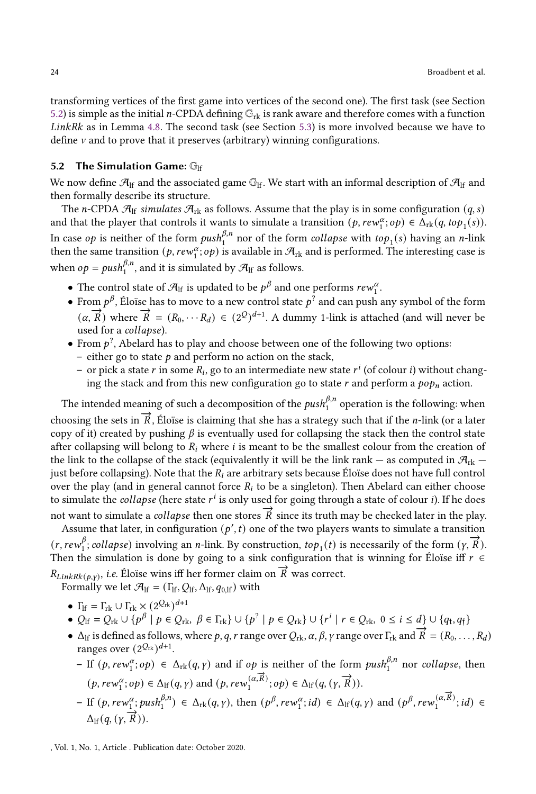transforming vertices of the first game into vertices of the second one). The first task (see Section [5.2\)](#page-23-0) is simple as the initial *n*-CPDA defining  $\mathbb{G}_{rk}$  is rank aware and therefore comes with a function LinkRk as in Lemma [4.8.](#page-17-0) The second task (see Section [5.3\)](#page-24-0) is more involved because we have to define  $\nu$  and to prove that it preserves (arbitrary) winning configurations.

#### <span id="page-23-0"></span>5.2 The Simulation Game:  $\mathbb{G}_{\mathrm{lf}}$

We now define  $\mathcal{A}_{lf}$  and the associated game  $\mathbb{G}_{lf}$ . We start with an informal description of  $\mathcal{A}_{lf}$  and then formally describe its structure.

The *n*-CPDA  $\mathcal{A}_{\text{lf}}$  simulates  $\mathcal{A}_{\text{rk}}$  as follows. Assume that the play is in some configuration  $(q, s)$ and that the player that controls it wants to simulate a transition  $(p, rew_1^{\alpha}; op) \in \overline{\Delta}_{rk}(q, top_1(s)).$ In case  $op$  is neither of the form  $push_1^{\beta,n}$  nor of the form  $collapse$  with  $top_1(s)$  having an  $n$ -link then the same transition  $(p, rew_1^{\alpha};op)$  is available in  $\mathcal{A}_{\rm rk}$  and is performed. The interesting case is when  $op = push_1^{\beta,n}$ , and it is simulated by  $\mathcal{A}_{\text{lf}}$  as follows.

- The control state of  $\mathcal{A}_{\text{lf}}$  is updated to be  $p^{\beta}$  and one performs  $rew_{1}^{\alpha}$ .
- $\bullet$  From  $p^\beta$ , Éloïse has to move to a new control state  $p^?$  and can push any symbol of the form  $(\alpha, \vec{R})$  where  $\vec{R} = (R_0, \dots R_d) \in (2^Q)^{d+1}$ . A dummy 1-link is attached (and will never be used for a *collapse*).
- From  $p^?$ , Abelard has to play and choose between one of the following two options: – either go to state  $p$  and perform no action on the stack,
	- or pick a state  $r$  in some  $R_i$ , go to an intermediate new state  $r^i$  (of colour  $i$ ) without changing the stack and from this new configuration go to state  $r$  and perform a  $p \circ p_n$  action.

The intended meaning of such a decomposition of the  $\mathit{push}_1^{\beta,n}$  operation is the following: when

choosing the sets in  $\overline{R}$ , Éloïse is claiming that she has a strategy such that if the *n*-link (or a later copy of it) created by pushing  $\beta$  is eventually used for collapsing the stack then the control state after collapsing will belong to  $R_i$  where  $i$  is meant to be the smallest colour from the creation of the link to the collapse of the stack (equivalently it will be the link rank — as computed in  $\mathcal{A}_{\rm rk}$  just before collapsing). Note that the  $R_i$  are arbitrary sets because Éloïse does not have full control over the play (and in general cannot force  $R_i$  to be a singleton). Then Abelard can either choose to simulate the  $\emph{collapse}$  (here state  $r^i$  is only used for going through a state of colour  $i$ ). If he does

not want to simulate a *collapse* then one stores  $\vec{R}$  since its truth may be checked later in the play.

Assume that later, in configuration  $(p', t)$  one of the two players wants to simulate a transition  $(r,rew_1^\beta)$  $\frac{\beta}{\beta}$ ; collapse) involving an *n*-link. By construction,  $top_1(t)$  is necessarily of the form  $(\gamma, \vec{R})$ . Then the simulation is done by going to a sink configuration that is winning for Éloïse iff  $r \in$  $R_{LinkRk(p,y)}$ , i.e. Éloïse wins iff her former claim on  $\overrightarrow{R}$  was correct.

Formally we let  $\mathcal{A}_{\text{lf}} = (\Gamma_{\text{lf}}, Q_{\text{lf}}, \Delta_{\text{lf}}, q_{0,\text{lf}}))$  with

- $\Gamma_{\text{lf}} = \Gamma_{\text{rk}} \cup \Gamma_{\text{rk}} \times (2^{Q_{\text{rk}}})^{d+1}$
- $Q_{\text{lf}} = Q_{\text{rk}} \cup \{p^{\beta} \mid p \in Q_{\text{rk}}, \beta \in \Gamma_{\text{rk}}\} \cup \{p^{\gamma} \mid p \in Q_{\text{rk}}\} \cup \{r^i \mid r \in Q_{\text{rk}}, 0 \le i \le d\} \cup \{q_t, q_f\}$
- $\Delta_{\text{lf}}$  is defined as follows, where p, q, r range over  $Q_{\text{rk}}$ ,  $\alpha$ ,  $\beta$ ,  $\gamma$  range over  $\Gamma_{\text{rk}}$  and  $\vec{R} = (R_0, \ldots, R_d)$ ranges over  $(2^{Q_{\text{rk}}})^{d+1}$ .
	- $-$  If  $(p, rew_1^{\alpha}; op) \in \Delta_{rk}(q, \gamma)$  and if  $op$  is neither of the form  $push_1^{\beta,n}$  nor collapse, then  $(p,rew_1^{\alpha},\overrightarrow{R}) \in \Delta_{\text{lf}}(q, \gamma)$  and  $(p,rew_1^{\alpha},\overrightarrow{R})$ ;  $op) \in \Delta_{\text{lf}}(q, (\gamma, \overrightarrow{R})).$
	- $-$  If  $(p, rew_1^{\alpha}; push_1^{\beta,n}) \in \Delta_{rk}(q, \gamma)$ , then  $(p^{\beta}, rew_1^{\alpha}; id) \in \Delta_{lf}(q, \gamma)$  and  $(p^{\beta},rew_1^{(\alpha,\overrightarrow{R})}; id) \in \Delta_{rk}(q, \gamma)$  $\Delta_{\text{lf}}(q, (\gamma, \overrightarrow{R})).$

, Vol. 1, No. 1, Article . Publication date: October 2020.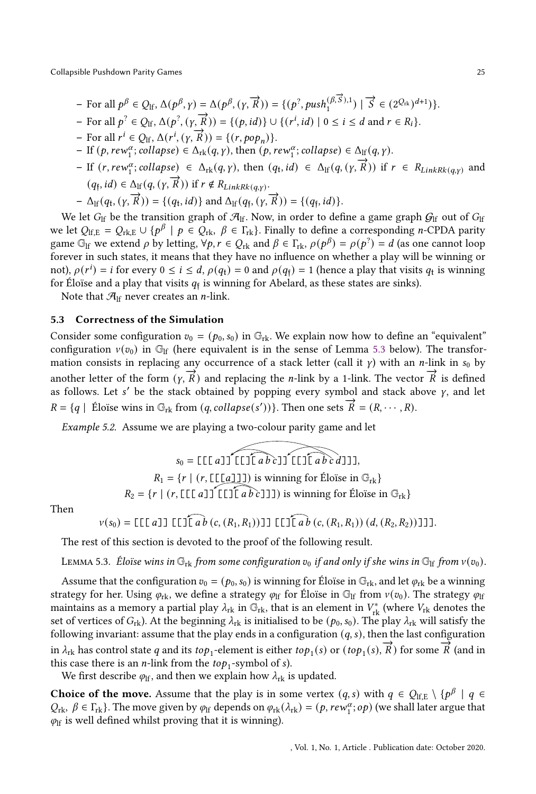- $-\text{ For all }p^{\beta} \in Q_{\text{lf}}, \Delta(p^{\beta}, \gamma) = \Delta(p^{\beta}, (\gamma, \vec{R})) = \{ (p^2, push_1^{(\beta, \vec{S}}), 1) \mid \vec{S} \in (2^{Q_{\text{rk}}})^{d+1}) \}.$
- $-$  For all  $p^2 \in Q_H$ ,  $\Delta(p^2, (\gamma, \vec{R})) = \{(p, id)\} \cup \{(r^i, id) \mid 0 \le i \le d \text{ and } r \in R_i\}.$
- $-$  For all  $r^i \in Q_H$ ,  $\Delta(r^i, (y, \vec{R})) = \{(r, pop_n)\}.$
- $-$  If  $(p, rew_1^{\alpha}; collapse) \in \Delta_{rk}(q, \gamma)$ , then  $(p,rew_1^{\alpha}; collapse) \in \Delta_{lf}(q, \gamma)$ .
- $-$  If  $(r,rew_1^{\alpha};$   $collapse) \in \Delta_{rk}(q, \gamma)$ , then  $(q_t, id) \in \Delta_{lf}(q, (\gamma, \vec{R}))$  if  $r \in R_{LinkRk(q, \gamma)}$  and  $(q_f, id) \in \Delta_H(q, (y, \vec{R}))$  if  $r \notin R_{LinkRk(q,y)}$ .
- $-\Delta_{\text{lf}}(q_t, (y, \vec{R})) = \{(q_t, id)\}$  and  $\Delta_{\text{lf}}(q_f, (y, \vec{R})) = \{(q_f, id)\}.$

We let  $G_{\text{lf}}$  be the transition graph of  $\mathcal{A}_{\text{lf}}$ . Now, in order to define a game graph  $G_{\text{lf}}$  out of  $G_{\text{lf}}$ we let  $Q_{\text{lf},E} = Q_{\text{rk},E} \cup \{p^{\beta} \mid p \in Q_{\text{rk}}, \beta \in \Gamma_{\text{rk}}\}$ . Finally to define a corresponding *n*-CPDA parity game  $\mathbb{G}_{\rm lf}$  we extend  $\rho$  by letting,  $\forall p, r \in Q_{\rm rk}$  and  $\beta \in \Gamma_{\rm rk}$ ,  $\rho(p^\beta) = \rho(p^2) = d$  (as one cannot loop forever in such states, it means that they have no influence on whether a play will be winning or not),  $\rho(r^i) = i$  for every  $0 \le i \le d$ ,  $\rho(q_t) = 0$  and  $\rho(q_f) = 1$  (hence a play that visits  $q_t$  is winning for Éloïse and a play that visits  $q_\mathfrak{f}$  is winning for Abelard, as these states are sinks).

<span id="page-24-0"></span>Note that  $\mathcal{A}_{\text{lf}}$  never creates an *n*-link.

## 5.3 Correctness of the Simulation

Consider some configuration  $v_0 = (p_0, s_0)$  in  $\mathbb{G}_{\text{rk}}$ . We explain now how to define an "equivalent" configuration  $v(v_0)$  in G<sub>If</sub> (here equivalent is in the sense of Lemma [5.3](#page-24-1) below). The transformation consists in replacing any occurrence of a stack letter (call it  $\gamma$ ) with an *n*-link in  $s_0$  by another letter of the form  $(\gamma, \vec{R})$  and replacing the *n*-link by a 1-link. The vector  $\vec{R}$  is defined as follows. Let  $s'$  be the stack obtained by popping every symbol and stack above  $\gamma$ , and let  $R = \{q \mid \text{Éloise wins in } \mathbb{G}_{rk} \text{ from } (q, collapse(s'))\}.$  Then one sets  $\overrightarrow{R} = (R, \dots, R)$ .

Example 5.2. Assume we are playing a two-colour parity game and let

$$
s_0 = \text{L}\left[\begin{array}{c}\n\overbrace{a} & \overbrace{b} \\
\overbrace{c} & \overbrace{d} \\
\overbrace{d} & \overbrace{d} \\
\overbrace{d} & \overbrace{d} \\
\overbrace{d} & \overbrace{d} \\
\overbrace{d} & \overbrace{d} \\
\overbrace{d} & \overbrace{d} \\
\overbrace{d} & \overbrace{d} \\
\overbrace{d} & \overbrace{d} \\
\overbrace{d} & \overbrace{d} \\
\overbrace{d} & \overbrace{d} \\
\overbrace{d} & \overbrace{d} \\
\overbrace{d} & \overbrace{d} \\
\overbrace{d} & \overbrace{d} \\
\overbrace{d} & \overbrace{d} \\
\overbrace{d} & \overbrace{d} \\
\overbrace{d} & \overbrace{d} \\
\overbrace{d} & \overbrace{d} \\
\overbrace{d} & \overbrace{d} \\
\overbrace{d} & \overbrace{d} \\
\overbrace{d} & \overbrace{d} \\
\overbrace{d} & \overbrace{d} \\
\overbrace{d} & \overbrace{d} \\
\overbrace{d} & \overbrace{d} \\
\overbrace{d} & \overbrace{d} \\
\overbrace{d} & \overbrace{d} \\
\overbrace{d} & \overbrace{d} \\
\overbrace{d} & \overbrace{d} \\
\overbrace{d} & \overbrace{d} \\
\overbrace{d} & \overbrace{d} \\
\overbrace{d} & \overbrace{d} \\
\overbrace{d} & \overbrace{d} \\
\overbrace{d} & \overbrace{d} \\
\overbrace{d} & \overbrace{d} \\
\overbrace{d} & \overbrace{d} \\
\overbrace{d} & \overbrace{d} \\
\overbrace{d} & \overbrace{d} \\
\overbrace{d} & \overbrace{d} \\
\overbrace{d} & \overbrace{d} \\
\overbrace{d} & \overbrace{d} \\
\overbrace{d} & \overbrace{d} \\
\overbrace{d} & \overbrace{d} \\
\overbrace{d} & \overbrace{d} \\
\overbrace{d} & \overbrace{d} \\
\overbrace{d} & \overbrace{d} \\
\overbrace{d} & \overbrace{d} \\
\overbrace{d} & \overbrace{d} \\
\overbrace{d} & \overbrace{d} \\
\overbrace{d} & \overbrace{d} \\
\overbrace{d} & \overbrace{d} \\
\overbrace{d} & \overbrace{d} \\
\overbrace{d} & \overbrace{d} \\
\overbrace{d} & \overbrace{d}
$$

Then

$$
v(s_0) = [[[[a]] [[][a]b (c, (R_1, R_1))]] [[][a]b (c, (R_1, R_1)) (d, (R_2, R_2))]]].
$$

The rest of this section is devoted to the proof of the following result.

<span id="page-24-1"></span>LEMMA 5.3. Éloïse wins in  $\mathbb{G}_{rk}$  from some configuration  $v_0$  if and only if she wins in  $\mathbb{G}_{kf}$  from  $v(v_0)$ .

Assume that the configuration  $v_0 = (p_0, s_0)$  is winning for Éloïse in  $\mathbb{G}_{rk}$ , and let  $\varphi_{rk}$  be a winning strategy for her. Using  $\varphi_{\rm rk}$ , we define a strategy  $\varphi_{\rm lf}$  for Éloïse in  $\mathbb{G}_{\rm lf}$  from  $v(v_0)$ . The strategy  $\varphi_{\rm lf}$ maintains as a memory a partial play  $\lambda_{rk}$  in  $\mathbb{G}_{rk}$ , that is an element in  $V^*_{rk}$  (where  $V_{rk}$  denotes the set of vertices of  $G_{rk}$ ). At the beginning  $\lambda_{rk}$  is initialised to be  $(p_0, s_0)$ . The play  $\lambda_{rk}$  will satisfy the following invariant: assume that the play ends in a configuration  $(q, s)$ , then the last configuration in  $\lambda_{\text{rk}}$  has control state q and its top<sub>1</sub>-element is either top<sub>1</sub>(s) or (top<sub>1</sub>(s),  $\vec{R}$ ) for some  $\vec{R}$  (and in this case there is an *n*-link from the  $top_1$ -symbol of *s*).

We first describe  $\varphi_{\text{lf}}$ , and then we explain how  $\lambda_{\text{rk}}$  is updated.

**Choice of the move.** Assume that the play is in some vertex  $(q, s)$  with  $q \in Q_{\text{lf},E} \setminus \{p^{\beta} \mid q \in Q_{\text{rf}}\}$  $Q_{rk}, \beta \in \Gamma_{rk}$ . The move given by  $\varphi_{lf}$  depends on  $\varphi_{rk}(\lambda_{rk}) = (p, rew_1^{\alpha};op)$  (we shall later argue that  $\varphi$ <sup>If</sup> is well defined whilst proving that it is winning).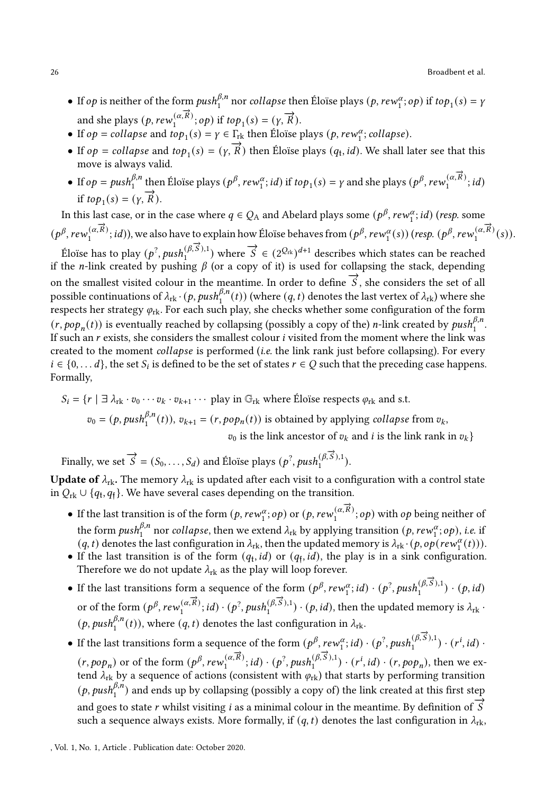- If  $op$  is neither of the form  $push_1^{\beta,n}$  nor collapse then Éloïse plays  $(p, rew_1^{\alpha};op)$  if  $top_1(s) = y$ and she plays  $(p, rew_1^{(\alpha,\vec{R})};op)$  if  $top_1(s) = (y, \vec{R})$ .
- If  $op = collapse$  and  $top_1(s) = \gamma \in \Gamma_{rk}$  then Éloïse plays  $(p, rew_1^{\alpha}; collapse)$ .
- If  $op = \text{collapse}$  and  $top_1(s) = (\gamma, \vec{R})$  then Éloïse plays  $(q_t, id)$ . We shall later see that this move is always valid.
- If  $op = push_1^{\beta,n}$  then Éloïse plays  $(p^\beta, rew_1^\alpha; id)$  if  $top_1(s) = \gamma$  and she plays  $(p^\beta, rew_1^{(\alpha,\overrightarrow{R})}; id)$ if  $top_1(s) = (\gamma, \vec{R})$ .

In this last case, or in the case where  $q \in Q_A$  and Abelard plays some  $(p^\beta, rew_1^\alpha; id)$  (*resp.* some  $(p^\beta, rew_1^{(\alpha,\vec{R})};id)$ , we also have to explain how Éloïse behaves from  $(p^\beta,rew_1^{\alpha}(s))$  (resp.  $(p^\beta,rew_1^{(\alpha,\vec{R})}(s))$ .

Eloïse has to play  $(p^2, push_1^{(\beta, \vec{S}), 1})$  where  $\vec{S} \in (2^{\mathcal{Q}_{\text{rk}}})^{d+1}$  describes which states can be reached if the *n*-link created by pushing  $\beta$  (or a copy of it) is used for collapsing the stack, depending on the smallest visited colour in the meantime. In order to define  $\vec{S}$ , she considers the set of all possible continuations of  $\lambda_{\rm rk} \cdot (p, \textit{push}_1^{\beta,n}(t))$  (where  $(q,t)$  denotes the last vertex of  $\lambda_{\rm rk}$ ) where she respects her strategy  $\varphi_{\text{rk}}$ . For each such play, she checks whether some configuration of the form  $(r, pop_n(t))$  is eventually reached by collapsing (possibly a copy of the) *n*-link created by  $push_1^{\beta,n}$ . If such an  $r$  exists, she considers the smallest colour  $i$  visited from the moment where the link was created to the moment *collapse* is performed *(i.e.* the link rank just before collapsing). For every  $i \in \{0, \ldots d\}$ , the set  $S_i$  is defined to be the set of states  $r \in Q$  such that the preceding case happens. Formally,

$$
S_i = \{r \mid \exists \lambda_{rk} \cdot v_0 \cdots v_k \cdot v_{k+1} \cdots \text{ play in } \mathbb{G}_{rk} \text{ where } \text{Éloise respects } \varphi_{rk} \text{ and s.t.}
$$

$$
v_0 = (p, push_1^{\beta, n}(t)), v_{k+1} = (r, pop_n(t)) \text{ is obtained by applying collapse from } v_k,
$$

$$
v_0 \text{ is the link ancestor of } v_k \text{ and } i \text{ is the link rank in } v_k \}
$$

Finally, we set  $\overrightarrow{S} = (S_0, \ldots, S_d)$  and Éloïse plays  $(p^?, push_1^{(\beta, \overrightarrow{S}), 1}).$ 

**Update of**  $\lambda_{rk}$ . The memory  $\lambda_{rk}$  is updated after each visit to a configuration with a control state in  $Q_{rk} \cup \{q_t, q_f\}$ . We have several cases depending on the transition.

- $\bullet$  If the last transition is of the form  $(p,rew^{\alpha}_1; op)$  or  $(p,rew^{\alpha,\overrightarrow{R}}_1; op)$  with  $op$  being neither of the form  $push_1^{\beta,n}$  nor collapse, then we extend  $\lambda_{\rm rk}$  by applying transition  $(p,rew_1^\alpha; op),$  i.e. if  $(q, t)$  denotes the last configuration in  $\lambda_{rk}$ , then the updated memory is  $\lambda_{rk} \cdot (p, op(rew^{\alpha}_1(t)))$ .
- If the last transition is of the form  $(q_t, id)$  or  $(q_f, id)$ , the play is in a sink configuration. Therefore we do not update  $\lambda_{rk}$  as the play will loop forever.
- If the last transitions form a sequence of the form  $(p^{\beta}, rew_1^{\alpha};id) \cdot (p^2, push_1^{(\beta,\vec{S}),1}) \cdot (p,id)$ or of the form  $(p^{\beta}, rew_1^{(\alpha,\vec{R})}; id) \cdot (p^2, push_1^{(\beta,\vec{S}),1}) \cdot (p, id)$ , then the updated memory is  $\lambda_{\text{rk}}$ .  $(p, push_1^{\beta,n}(t)),$  where  $(q, t)$  denotes the last configuration in  $\lambda_{\text{rk}}$ .
- If the last transitions form a sequence of the form  $(p^{\beta}, rew_1^{\alpha};id) \cdot (p^2,push_1^{(\beta,\vec{S}),1}) \cdot (r^i, id) \cdot$  $(r, pop_n)$  or of the form  $(p^{\beta}, rew_1^{(\alpha,\vec{R})}; id) \cdot (p^2, push_1^{(\beta,\vec{S}),1}) \cdot (r^i, id) \cdot (r, pop_n)$ , then we extend  $\lambda_{\rm rk}$  by a sequence of actions (consistent with  $\varphi_{\rm rk}$ ) that starts by performing transition  $(p, push_{1}^{\beta,n})$  and ends up by collapsing (possibly a copy of) the link created at this first step and goes to state r whilst visiting *i* as a minimal colour in the meantime. By definition of  $\overrightarrow{S}$ such a sequence always exists. More formally, if  $(q, t)$  denotes the last configuration in  $\lambda_{rk}$ ,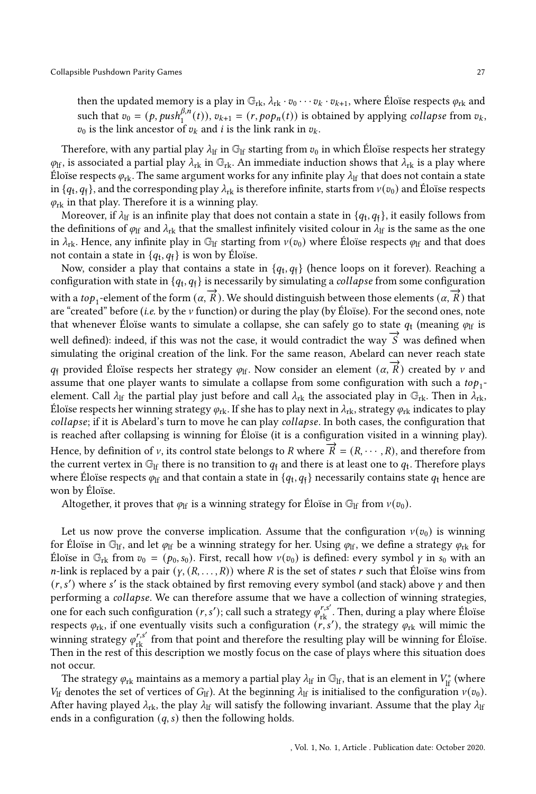then the updated memory is a play in  $\mathbb{G}_{rk}$ ,  $\lambda_{rk} \cdot v_0 \cdots v_k \cdot v_{k+1}$ , where Éloïse respects  $\varphi_{rk}$  and such that  $v_0 = (p, push_1^{\beta,n}(t)), v_{k+1} = (r, pop_n(t))$  is obtained by applying *collapse* from  $v_k$ ,  $v_0$  is the link ancestor of  $v_k$  and *i* is the link rank in  $v_k$ .

Therefore, with any partial play  $\lambda_{\text{lf}}$  in  $\mathbb{G}_{\text{lf}}$  starting from  $v_0$  in which Éloïse respects her strategy  $\varphi_{\text{lf}}$ , is associated a partial play  $\lambda_{\text{rk}}$  in  $\mathbb{G}_{\text{rk}}$ . An immediate induction shows that  $\lambda_{\text{rk}}$  is a play where Éloïse respects  $\varphi_{\rm rk}$ . The same argument works for any infinite play  $\lambda_{\rm lf}$  that does not contain a state in  $\{q_{\rm t},q_{\rm \bar{f}}\}$ , and the corresponding play  $\lambda_{\rm rk}$  is therefore infinite, starts from  $v(v_0)$  and Éloïse respects  $\varphi_{\rm rk}$  in that play. Therefore it is a winning play.

Moreover, if  $\lambda_{\rm lf}$  is an infinite play that does not contain a state in  $\{q_{\rm t},q_{\rm \bar{f}}\}$ , it easily follows from the definitions of  $\varphi_{\text{lf}}$  and  $\lambda_{\text{rk}}$  that the smallest infinitely visited colour in  $\lambda_{\text{lf}}$  is the same as the one in  $\lambda_{rk}$ . Hence, any infinite play in  $\mathbb{G}_{lf}$  starting from  $v(v_0)$  where Éloïse respects  $\varphi_{lf}$  and that does not contain a state in  $\{q_{\rm t}, q_{\rm \bar{f}}\}$  is won by Éloïse.

Now, consider a play that contains a state in  $\{q_{\text{t}}, q_{\text{f}}\}$  (hence loops on it forever). Reaching a configuration with state in  $\{q_{\rm t}, q_{\rm \bar{f}}\}$  is necessarily by simulating a *collapse* from some configuration with a *top*<sub>1</sub>-element of the form  $(\alpha, \overrightarrow{R})$ . We should distinguish between those elements  $(\alpha, \overrightarrow{R})$  that are "created" before (i.e. by the  $\nu$  function) or during the play (by Éloïse). For the second ones, note that whenever Éloïse wants to simulate a collapse, she can safely go to state  $q_t$  (meaning  $\varphi$ <sub>lf</sub> is well defined): indeed, if this was not the case, it would contradict the way  $\vec{S}$  was defined when simulating the original creation of the link. For the same reason, Abelard can never reach state  $q_{\text{f}}$  provided Éloïse respects her strategy  $\varphi_{\text{lf}}$ . Now consider an element  $(\alpha, \overrightarrow{R})$  created by  $\nu$  and assume that one player wants to simulate a collapse from some configuration with such a  $top_1$ element. Call  $\lambda_{\text{lf}}$  the partial play just before and call  $\lambda_{\text{rk}}$  the associated play in  $\mathbb{G}_{\text{rk}}$ . Then in  $\lambda_{\text{rk}}$ , Éloïse respects her winning strategy  $\varphi_{rk}$ . If she has to play next in  $\lambda_{rk}$ , strategy  $\varphi_{rk}$  indicates to play collapse; if it is Abelard's turn to move he can play collapse. In both cases, the configuration that is reached after collapsing is winning for Éloïse (it is a configuration visited in a winning play). Hence, by definition of  $\nu$ , its control state belongs to R where  $\vec{R} = (R, \dots, R)$ , and therefore from the current vertex in  $\mathbb{G}_{\mathrm{lf}}$  there is no transition to  $q_{\mathrm{f}}$  and there is at least one to  $q_{\mathrm{t}}$ . Therefore plays where Éloïse respects  $\varphi_{\rm lf}$  and that contain a state in  $\{q_{\rm t},q_{\rm f}\}$  necessarily contains state  $q_{\rm t}$  hence are won by Éloïse.

Altogether, it proves that  $\varphi_{\text{lf}}$  is a winning strategy for Éloïse in  $\mathbb{G}_{\text{lf}}$  from  $v(v_0)$ .

Let us now prove the converse implication. Assume that the configuration  $v(v_0)$  is winning for Éloïse in  $\mathbb{G}_H$ , and let  $\varphi_H$  be a winning strategy for her. Using  $\varphi_H$ , we define a strategy  $\varphi_{rk}$  for Éloïse in  $\mathbb{G}_{\text{rk}}$  from  $v_0 = (p_0, s_0)$ . First, recall how  $v(v_0)$  is defined: every symbol  $\gamma$  in  $s_0$  with an *n*-link is replaced by a pair  $(y, (R, \ldots, R))$  where R is the set of states r such that Éloïse wins from  $(r, s')$  where s' is the stack obtained by first removing every symbol (and stack) above  $\gamma$  and then performing a collapse. We can therefore assume that we have a collection of winning strategies, one for each such configuration  $(r, s')$ ; call such a strategy  $\varphi_{rk}^{r,s'}$ . Then, during a play where Éloïse respects  $\varphi_{rk}$ , if one eventually visits such a configuration  $(\overrightarrow{r}, s')$ , the strategy  $\varphi_{rk}$  will mimic the winning strategy  $\varphi_{rk}^{r,s'}$  from that point and therefore the resulting play will be winning for Éloïse. Then in the rest of this description we mostly focus on the case of plays where this situation does not occur.

The strategy  $\varphi_{rk}$  maintains as a memory a partial play  $\lambda_{lf}$  in  $\mathbb{G}_{lf}$ , that is an element in  $V_{lf}^*$  (where  $V_{\text{lf}}$  denotes the set of vertices of  $G_{\text{lf}}$ ). At the beginning  $\lambda_{\text{lf}}$  is initialised to the configuration  $v(v_0)$ . After having played  $\lambda_{rk}$ , the play  $\lambda_{lf}$  will satisfy the following invariant. Assume that the play  $\lambda_{lf}$ ends in a configuration  $(q, s)$  then the following holds.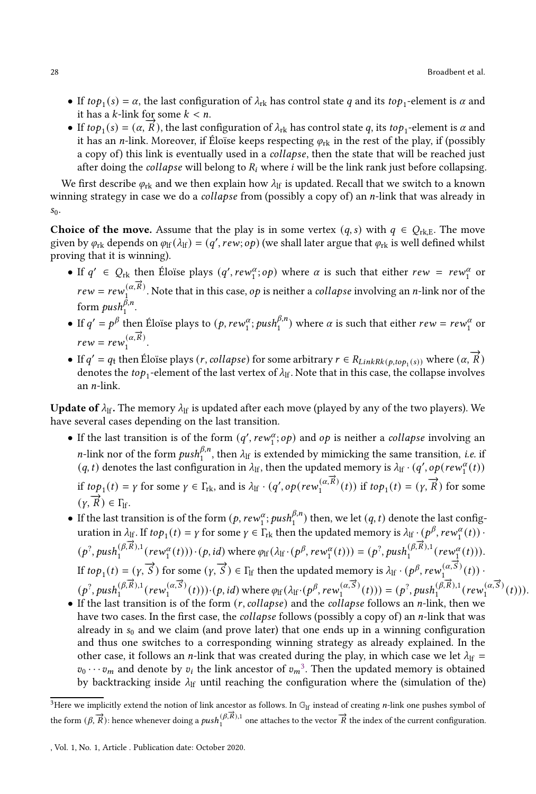- If  $top_1(s) = \alpha$ , the last configuration of  $\lambda_{rk}$  has control state q and its  $top_1$ -element is  $\alpha$  and it has a  $k$ -link for some  $k < n$ .
- If  $top_1(s) = (\alpha, \overrightarrow{R})$ , the last configuration of  $\lambda_{rk}$  has control state q, its  $top_1$ -element is  $\alpha$  and it has an *n*-link. Moreover, if Éloïse keeps respecting  $\varphi_{rk}$  in the rest of the play, if (possibly a copy of) this link is eventually used in a *collapse*, then the state that will be reached just after doing the *collapse* will belong to  $R_i$  where *i* will be the link rank just before collapsing.

We first describe  $\varphi_{\rm rk}$  and we then explain how  $\lambda_{\rm lf}$  is updated. Recall that we switch to a known winning strategy in case we do a *collapse* from (possibly a copy of) an *n*-link that was already in  $s_0$ .

Choice of the move. Assume that the play is in some vertex  $(q, s)$  with  $q \in Q_{rk,E}$ . The move given by  $\varphi_{rk}$  depends on  $\varphi_{lf}(\lambda_{lf}) = (q',rew; op)$  (we shall later argue that  $\varphi_{rk}$  is well defined whilst proving that it is winning).

- If  $q' \in Q_{rk}$  then Éloïse plays  $(q', rew_1^{\alpha}; op)$  where  $\alpha$  is such that either  $rew = rew_1^{\alpha}$  or  $rew = rew_1^{(\alpha, \vec{R})}$ . Note that in this case, *op* is neither a *collapse* involving an *n*-link nor of the form  $push_1^{\beta,n}$ .
- If  $q' = p^{\beta}$  then Éloïse plays to  $(p, rew_1^{\alpha}; push_1^{\beta,n})$  where  $\alpha$  is such that either  $rew = rew_1^{\alpha}$  or  $rew = rew_1^{(\alpha,\overrightarrow{R})}.$
- If  $q' = q_t$  then Éloïse plays (r, collapse) for some arbitrary  $r \in R_{LinkRk(p,top_1(s))}$  where  $(\alpha, \overrightarrow{R})$ denotes the  $top_1$ -element of the last vertex of  $\lambda_{\rm lf}$ . Note that in this case, the collapse involves an  $n$ -link.

**Update of**  $\lambda_{\text{lf}}$ . The memory  $\lambda_{\text{lf}}$  is updated after each move (played by any of the two players). We have several cases depending on the last transition.

- If the last transition is of the form  $(q', rew_1^\alpha; op)$  and  $op$  is neither a collapse involving an *n*-link nor of the form  $push_1^{\beta,n}$ , then  $\lambda_{\text{lf}}$  is extended by mimicking the same transition, *i.e.* if  $(q, t)$  denotes the last configuration in  $\lambda_{\text{lf}}$ , then the updated memory is  $\lambda_{\text{lf}}\cdot(q', op(rew^{\alpha}_1(t)))$ if  $top_1(t) = \gamma$  for some  $\gamma \in \Gamma_{\text{rk}}$ , and is  $\lambda_{\text{lf}} \cdot (q', op(rew_1^{(\alpha, \vec{R})}(t))$  if  $top_1(t) = (\gamma, \vec{R})$  for some  $(\gamma, \overrightarrow{R}) \in \Gamma_{\text{lf}}.$
- If the last transition is of the form  $(p, rew_1^\alpha; push_1^{\beta,n})$  then, we let  $(q, t)$  denote the last configuration in  $\lambda_{\text{lf}}$ . If  $top_1(t) = \gamma$  for some  $\gamma \in \Gamma_{\text{rk}}$  then the updated memory is  $\lambda_{\text{lf}} \cdot (p^{\beta}, rev_1^{\alpha}(t))$ .  $(p^2, push_1^{(\beta, \vec{R}),1}(rew_1^{\alpha}(t))) \cdot (p, id)$  where  $\varphi_H(\lambda_H \cdot (p^{\beta}, rew_1^{\alpha}(t))) = (p^2, push_1^{(\beta, \vec{R}),1}(rew_1^{\alpha}(t))).$ If  $top_1(t) = (y, \vec{S})$  for some  $(y, \vec{S}) \in \Gamma_H$  then the updated memory is  $\lambda_H \cdot (p^{\beta}, \text{rew}_1^{(\alpha, \vec{S})}(t))$ .  $(p^2, push_1^{(\beta, \vec{R}),1}(rew_1^{(\alpha, \vec{S})}(t))) \cdot (p, id)$  where  $\varphi_{\text{lf}}(\lambda_{\text{lf}} \cdot (p^{\beta}, rew_1^{(\alpha, \vec{S})}(t))) = (p^2, push_1^{(\beta, \vec{R}),1}(rew_1^{(\alpha, \vec{S})}(t))).$
- If the last transition is of the form  $(r, collapse)$  and the collapse follows an *n*-link, then we have two cases. In the first case, the *collapse* follows (possibly a copy of) an  $n$ -link that was already in  $s_0$  and we claim (and prove later) that one ends up in a winning configuration and thus one switches to a corresponding winning strategy as already explained. In the other case, it follows an *n*-link that was created during the play, in which case we let  $\lambda_{\text{lf}} =$  $v_0 \cdots v_m$  and denote by  $v_i$  the link ancestor of  $v_m^3$  $v_m^3$ . Then the updated memory is obtained by backtracking inside  $\lambda_{\text{lf}}$  until reaching the configuration where the (simulation of the)

<span id="page-27-0"></span><sup>&</sup>lt;sup>3</sup>Here we implicitly extend the notion of link ancestor as follows. In  $\mathbb{G}_{\rm If}$  instead of creating *n*-link one pushes symbol of the form  $(\beta, \vec{R})$ : hence whenever doing a  $push_1^{(\beta, \vec{R}),1}$  one attaches to the vector  $\vec{R}$  the index of the current configuration.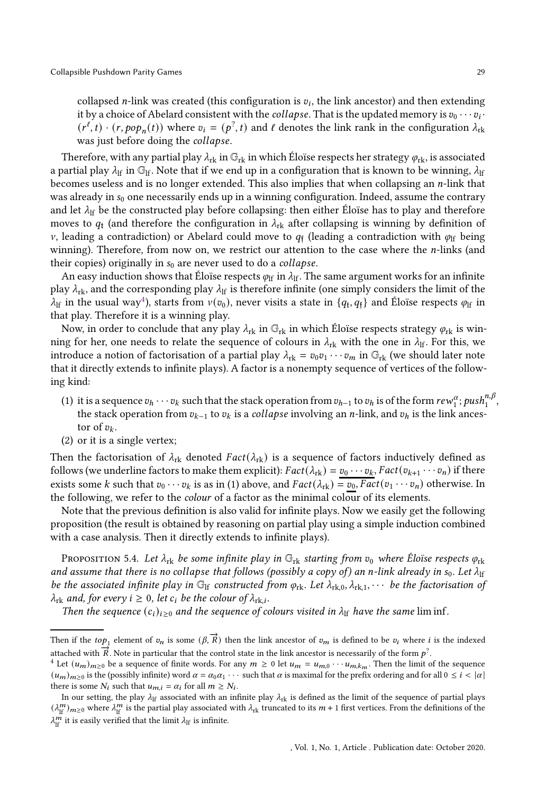collapsed *n*-link was created (this configuration is  $v_i$ , the link ancestor) and then extending it by a choice of Abelard consistent with the *collapse*. That is the updated memory is  $v_0 \cdots v_i \cdot$  $(r^{\ell}, t) \cdot (r, pop_n(t))$  where  $v_i = (p^2, t)$  and  $\ell$  denotes the link rank in the configuration  $\lambda_{rk}$ was just before doing the collapse.

Therefore, with any partial play  $\lambda_{rk}$  in  $\mathbb{G}_{rk}$  in which Éloïse respects her strategy  $\varphi_{rk}$ , is associated a partial play  $\lambda_{\text{lf}}$  in  $\mathbb{G}_{\text{lf}}$ . Note that if we end up in a configuration that is known to be winning,  $\lambda_{\text{lf}}$ becomes useless and is no longer extended. This also implies that when collapsing an  $n$ -link that was already in  $s_0$  one necessarily ends up in a winning configuration. Indeed, assume the contrary and let  $\lambda_{\text{lf}}$  be the constructed play before collapsing: then either Éloïse has to play and therefore moves to  $q_t$  (and therefore the configuration in  $\lambda_{rk}$  after collapsing is winning by definition of v, leading a contradiction) or Abelard could move to  $q_i$  (leading a contradiction with  $\varphi$ <sub>If</sub> being winning). Therefore, from now on, we restrict our attention to the case where the  $n$ -links (and their copies) originally in  $s_0$  are never used to do a *collapse*.

An easy induction shows that Éloïse respects  $\varphi_{\text{lf}}$  in  $\lambda_{\text{lf}}$ . The same argument works for an infinite play  $\lambda_{rk}$ , and the corresponding play  $\lambda_{lf}$  is therefore infinite (one simply considers the limit of the  $\lambda_{\rm lf}$  in the usual way<sup>[4](#page-28-0)</sup>), starts from  $v(v_0)$ , never visits a state in  $\{q_{\rm t}, q_{\rm t}\}$  and Éloïse respects  $\varphi_{\rm lf}$  in that play. Therefore it is a winning play.

Now, in order to conclude that any play  $\lambda_{rk}$  in  $\mathbb{G}_{rk}$  in which Éloïse respects strategy  $\varphi_{rk}$  is winning for her, one needs to relate the sequence of colours in  $\lambda_{rk}$  with the one in  $\lambda_{lf}$ . For this, we introduce a notion of factorisation of a partial play  $\lambda_{rk} = v_0v_1 \cdots v_m$  in  $\mathbb{G}_{rk}$  (we should later note that it directly extends to infinite plays). A factor is a nonempty sequence of vertices of the following kind:

- (1) it is a sequence  $v_h\cdots v_k$  such that the stack operation from  $v_{h-1}$  to  $v_h$  is of the form  $rew_1^\alpha; push_1^{n,\beta},$ the stack operation from  $v_{k-1}$  to  $v_k$  is a *collapse* involving an *n*-link, and  $v_h$  is the link ancestor of  $v_k$ .
- (2) or it is a single vertex;

Then the factorisation of  $\lambda_{rk}$  denoted Fact $(\lambda_{rk})$  is a sequence of factors inductively defined as follows (we underline factors to make them explicit):  $Fact(\lambda_{rk}) = v_0 \cdots v_k$ ,  $Fact(v_{k+1} \cdots v_n)$  if there exists some k such that  $v_0 \cdots v_k$  is as in (1) above, and  $Fact(\lambda_{rk}) = v_0$ ,  $Fact(v_1 \cdots v_n)$  otherwise. In the following, we refer to the colour of a factor as the minimal colour of its elements.

Note that the previous definition is also valid for infinite plays. Now we easily get the following proposition (the result is obtained by reasoning on partial play using a simple induction combined with a case analysis. Then it directly extends to infinite plays).

PROPOSITION 5.4. Let  $\lambda_{rk}$  be some infinite play in  $\mathbb{G}_{rk}$  starting from  $v_0$  where Éloïse respects  $\varphi_{rk}$ and assume that there is no collapse that follows (possibly a copy of) an n-link already in s<sub>0</sub>. Let  $\lambda_{\rm lf}$ be the associated infinite play in  $\mathbb{G}_F$  constructed from  $\varphi_{rk}$ . Let  $\lambda_{rk,0}, \lambda_{rk,1}, \cdots$  be the factorisation of  $\lambda_{\text{rk}}$  and, for every  $i \geq 0$ , let  $c_i$  be the colour of  $\lambda_{\text{rk},i}$ .

Then the sequence  $(c_i)_{i\geq 0}$  and the sequence of colours visited in  $\lambda_{\text{lf}}$  have the same lim inf.

Then if the top<sub>1</sub> element of  $v_n$  is some  $(\beta, \vec{R})$  then the link ancestor of  $v_m$  is defined to be  $v_i$  where i is the indexed attached with  $\overrightarrow{R}$ . Note in particular that the control state in the link ancestor is necessarily of the form  $p^2$ .

<span id="page-28-0"></span><sup>&</sup>lt;sup>4</sup> Let  $(u_m)_{m\geq 0}$  be a sequence of finite words. For any  $m \geq 0$  let  $u_m = u_{m,0} \cdots u_{m,k_m}$ . Then the limit of the sequence  $(u_m)_{m\geq 0}$  is the (possibly infinite) word  $\alpha = \alpha_0 \alpha_1 \cdots$  such that  $\alpha$  is maximal for the prefix ordering and for all  $0 \leq i < |\alpha|$ there is some  $N_i$  such that  $u_{m,i} = \alpha_i$  for all  $m \geq N_i$ .

In our setting, the play  $\lambda_{\text{lf}}$  associated with an infinite play  $\lambda_{\text{rk}}$  is defined as the limit of the sequence of partial plays  $(\lambda^m_{\rm lf})_{m\geq 0}$  where  $\lambda^m_{\rm lf}$  is the partial play associated with  $\lambda_{\rm rk}$  truncated to its  $m+1$  first vertices. From the definitions of the  $\lambda_{\text{lf}}^{m}$  it is easily verified that the limit  $\lambda_{\text{lf}}$  is infinite.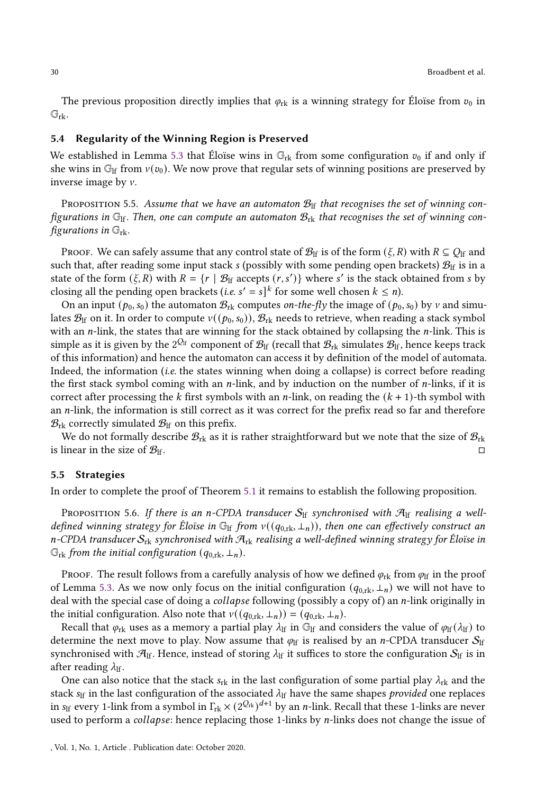The previous proposition directly implies that  $\varphi_{rk}$  is a winning strategy for Éloïse from  $v_0$  in  $\mathbb{G}_{\mathrm{rk}}$ .

# 5.4 Regularity of the Winning Region is Preserved

We established in Lemma [5.3](#page-24-1) that Éloïse wins in  $\mathbb{G}_{rk}$  from some configuration  $v_0$  if and only if she wins in  $\mathbb{G}_{\text{If}}$  from  $v(v_0)$ . We now prove that regular sets of winning positions are preserved by inverse image by  $\nu$ .

<span id="page-29-0"></span>PROPOSITION 5.5. Assume that we have an automaton  $\mathcal{B}_{\text{lf}}$  that recognises the set of winning configurations in  $\mathbb{G}_{\text{lf}}$ . Then, one can compute an automaton  $\mathcal{B}_{\text{rk}}$  that recognises the set of winning configurations in  $\mathbb{G}_{\text{rk}}$ .

PROOF. We can safely assume that any control state of  $\mathcal{B}_{\text{lf}}$  is of the form  $(\xi, R)$  with  $R \subseteq Q_{\text{lf}}$  and such that, after reading some input stack s (possibly with some pending open brackets)  $\mathcal{B}_{\text{lf}}$  is in a state of the form  $(\xi, R)$  with  $R = \{r | \mathcal{B}_{\text{lf}} \text{ accepts } (r, s')\}$  where s' is the stack obtained from s by closing all the pending open brackets (*i.e.*  $s' = s$ ]<sup>k</sup> for some well chosen  $k \le n$ ).

On an input ( $p_0$ ,  $s_0$ ) the automaton  $B_{rk}$  computes *on-the-fly* the image of ( $p_0$ ,  $s_0$ ) by  $\nu$  and simulates  $\mathcal{B}_{\text{lf}}$  on it. In order to compute  $v((p_0, s_0)), \mathcal{B}_{\text{rk}}$  needs to retrieve, when reading a stack symbol with an  $n$ -link, the states that are winning for the stack obtained by collapsing the  $n$ -link. This is simple as it is given by the  $2^{Q_{\text{lf}}}$  component of  $\mathcal{B}_{\text{lf}}$  (recall that  $\mathcal{B}_{\text{rk}}$  simulates  $\mathcal{B}_{\text{lf}}$ , hence keeps track of this information) and hence the automaton can access it by definition of the model of automata. Indeed, the information *(i.e.* the states winning when doing a collapse) is correct before reading the first stack symbol coming with an  $n$ -link, and by induction on the number of  $n$ -links, if it is correct after processing the k first symbols with an *n*-link, on reading the  $(k + 1)$ -th symbol with an  $n$ -link, the information is still correct as it was correct for the prefix read so far and therefore  $\mathcal{B}_{\text{rk}}$  correctly simulated  $\mathcal{B}_{\text{lf}}$  on this prefix.

We do not formally describe  $\mathcal{B}_{rk}$  as it is rather straightforward but we note that the size of  $\mathcal{B}_{rk}$ is linear in the size of  $\mathcal{B}_{\text{lf}}$ .

#### 5.5 Strategies

In order to complete the proof of Theorem [5.1](#page-22-1) it remains to establish the following proposition.

<span id="page-29-1"></span>PROPOSITION 5.6. If there is an n-CPDA transducer  $S_{\text{lf}}$  synchronised with  $\mathcal{A}_{\text{lf}}$  realising a welldefined winning strategy for Éloïse in  $\mathbb{G}_{\mathrm{lf}}$  from  $v((q_{0,\mathrm{rk}}, \perp_n))$ , then one can effectively construct an n-CPDA transducer  $S_{rk}$  synchronised with  $\mathcal{A}_{rk}$  realising a well-defined winning strategy for Éloïse in  $\mathbb{G}_{\text{rk}}$  from the initial configuration  $(q_{0,\text{rk}}, \perp_n)$ .

PROOF. The result follows from a carefully analysis of how we defined  $\varphi_{rk}$  from  $\varphi_{lf}$  in the proof of Lemma [5.3.](#page-24-1) As we now only focus on the initial configuration  $(q_{0,\text{rk}}, \perp_n)$  we will not have to deal with the special case of doing a *collapse* following (possibly a copy of) an *n*-link originally in the initial configuration. Also note that  $v((q_{0,\text{rk}}, \perp_n)) = (q_{0,\text{rk}}, \perp_n)$ .

Recall that  $\varphi_{rk}$  uses as a memory a partial play  $\lambda_{lf}$  in  $\mathbb{G}_{lf}$  and considers the value of  $\varphi_{lf}(\lambda_{lf})$  to determine the next move to play. Now assume that  $\varphi_{\text{lf}}$  is realised by an *n*-CPDA transducer  $S_{\text{lf}}$ synchronised with  $\mathcal{A}_{\text{lf}}$ . Hence, instead of storing  $\lambda_{\text{lf}}$  it suffices to store the configuration  $\mathcal{S}_{\text{lf}}$  is in after reading  $\lambda_{\text{lf}}$ .

One can also notice that the stack  $s_{rk}$  in the last configuration of some partial play  $\lambda_{rk}$  and the stack  $s_{\text{lf}}$  in the last configuration of the associated  $\lambda_{\text{lf}}$  have the same shapes provided one replaces in  $s_{\rm lf}$  every 1-link from a symbol in  $\Gamma_{\rm rk}\times (2^{{Q_{\rm rk}}})^{d+1}$  by an  $n$ -link. Recall that these 1-links are never used to perform a *collapse*: hence replacing those 1-links by  $n$ -links does not change the issue of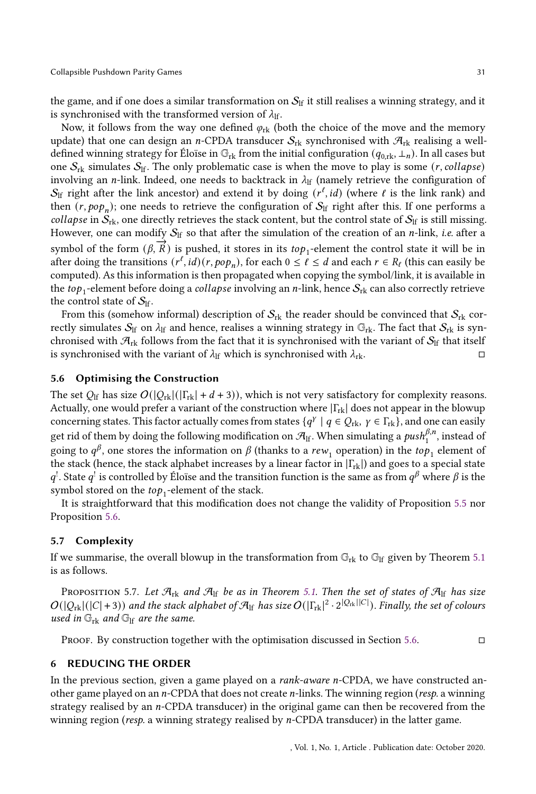the game, and if one does a similar transformation on  $S_{\text{lf}}$  it still realises a winning strategy, and it is synchronised with the transformed version of  $\lambda_{\text{lf}}$ .

Now, it follows from the way one defined  $\varphi_{rk}$  (both the choice of the move and the memory update) that one can design an *n*-CPDA transducer  $S_{rk}$  synchronised with  $\mathcal{A}_{rk}$  realising a welldefined winning strategy for Éloïse in  $\mathbb{G}_{rk}$  from the initial configuration  $(q_{0,rk}, \perp_n)$ . In all cases but one  $S_{rk}$  simulates  $S_{lf}$ . The only problematic case is when the move to play is some (*r*, collapse) involving an *n*-link. Indeed, one needs to backtrack in  $\lambda_{\text{lf}}$  (namely retrieve the configuration of  $\mathcal{S}_{\text{lf}}$  right after the link ancestor) and extend it by doing  $(r^\ell,id)$  (where  $\ell$  is the link rank) and then  $(r, pop_n)$ ; one needs to retrieve the configuration of  $\mathcal{S}_\text{lf}$  right after this. If one performs a *collapse* in  $S_{rk}$ , one directly retrieves the stack content, but the control state of  $S_{lf}$  is still missing. However, one can modify  $S_{\text{lf}}$  so that after the simulation of the creation of an *n*-link, *i.e.* after a symbol of the form  $(\beta, \overrightarrow{R})$  is pushed, it stores in its  $top_1$ -element the control state it will be in after doing the transitions  $(r^{\ell}, id)(r, pop_n)$ , for each  $0 \leq \ell \leq d$  and each  $r \in R_{\ell}$  (this can easily be computed). As this information is then propagated when copying the symbol/link, it is available in the  $top_1$ -element before doing a *collapse* involving an  $n$ -link, hence  $\mathcal{S}_\text{rk}$  can also correctly retrieve the control state of  $S_{\text{lf}}$ .

From this (somehow informal) description of  $S_{rk}$  the reader should be convinced that  $S_{rk}$  correctly simulates  $S_{\text{lf}}$  on  $\lambda_{\text{lf}}$  and hence, realises a winning strategy in  $\mathbb{G}_{\text{rk}}$ . The fact that  $S_{\text{rk}}$  is synchronised with  $\mathcal{A}_{rk}$  follows from the fact that it is synchronised with the variant of  $\mathcal{S}_{lf}$  that itself is synchronised with the variant of  $\lambda_{\text{lf}}$  which is synchronised with  $\lambda_{\text{rk}}$ .

## <span id="page-30-1"></span>5.6 Optimising the Construction

The set  $Q_{\text{lf}}$  has size  $O(|Q_{\text{rk}}|(|\Gamma_{\text{rk}}| + d + 3))$ , which is not very satisfactory for complexity reasons. Actually, one would prefer a variant of the construction where  $|\Gamma_{\text{rk}}|$  does not appear in the blowup concerning states. This factor actually comes from states  $\{q^{\gamma}\mid q\in Q_{\rm rk},\ \gamma\in\Gamma_{\rm rk}\}$ , and one can easily get rid of them by doing the following modification on  $\mathcal{A}_{lf}$ . When simulating a  $\mathit{push}_1^{\beta,n}$ , instead of going to  $q^\beta$ , one stores the information on  $\beta$  (thanks to a  $rew_1$  operation) in the  $top_1$  element of the stack (hence, the stack alphabet increases by a linear factor in  $|\Gamma_{rk}|$ ) and goes to a special state  $q^!$ . State  $q^!$  is controlled by Éloïse and the transition function is the same as from  $q^\beta$  where  $\beta$  is the symbol stored on the  $top_1$ -element of the stack.

It is straightforward that this modification does not change the validity of Proposition [5.5](#page-29-0) nor Proposition [5.6.](#page-29-1)

## 5.7 Complexity

If we summarise, the overall blowup in the transformation from  $\mathbb{G}_{rk}$  to  $\mathbb{G}_{lf}$  given by Theorem [5.1](#page-22-1) is as follows.

<span id="page-30-2"></span>PROPOSITION 5.7. Let  $\mathcal{A}_{rk}$  and  $\mathcal{A}_{lf}$  be as in Theorem [5.1.](#page-22-1) Then the set of states of  $\mathcal{A}_{lf}$  has size  $O(|Q_{\rm rk}|(|C|+3))$  and the stack alphabet of  $\mathcal{A}_{\rm lf}$  has size  $O(|\Gamma_{\rm rk}|^2\cdot 2^{|Q_{\rm rk}||C|})$ . Finally, the set of colours used in  $\mathbb{G}_{\mathrm{rk}}$  and  $\mathbb{G}_{\mathrm{lf}}$  are the same.

**PROOF.** By construction together with the optimisation discussed in Section [5.6.](#page-30-1)  $\Box$ 

# <span id="page-30-0"></span>6 REDUCING THE ORDER

In the previous section, given a game played on a *rank-aware n*-CPDA, we have constructed another game played on an  $n$ -CPDA that does not create  $n$ -links. The winning region ( $resp.$  a winning strategy realised by an  $n$ -CPDA transducer) in the original game can then be recovered from the winning region (resp. a winning strategy realised by n-CPDA transducer) in the latter game.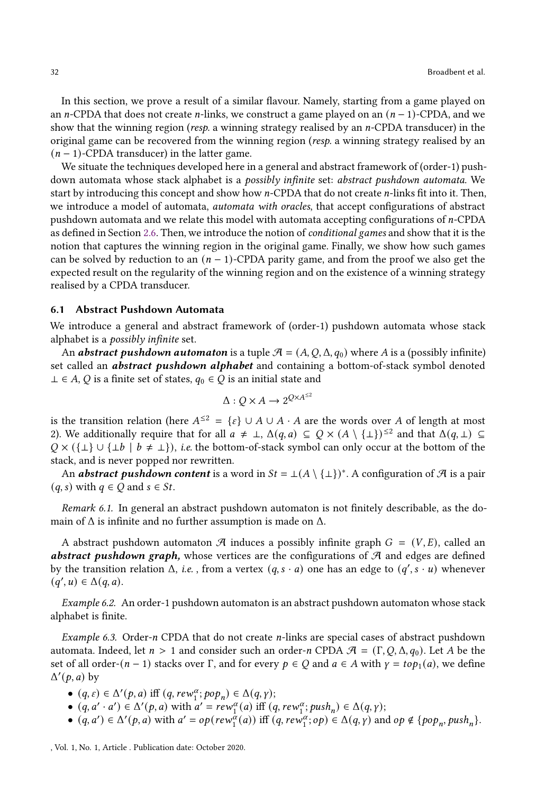In this section, we prove a result of a similar flavour. Namely, starting from a game played on an *n*-CPDA that does not create *n*-links, we construct a game played on an  $(n - 1)$ -CPDA, and we show that the winning region (resp. a winning strategy realised by an  $n$ -CPDA transducer) in the original game can be recovered from the winning region (resp. a winning strategy realised by an  $(n - 1)$ -CPDA transducer) in the latter game.

We situate the techniques developed here in a general and abstract framework of (order-1) pushdown automata whose stack alphabet is a *possibly infinite* set: *abstract pushdown automata*. We start by introducing this concept and show how  $n$ -CPDA that do not create  $n$ -links fit into it. Then, we introduce a model of automata, *automata with oracles*, that accept configurations of abstract pushdown automata and we relate this model with automata accepting configurations of  $n$ -CPDA as defined in Section [2.6.](#page-8-1) Then, we introduce the notion of conditional games and show that it is the notion that captures the winning region in the original game. Finally, we show how such games can be solved by reduction to an  $(n - 1)$ -CPDA parity game, and from the proof we also get the expected result on the regularity of the winning region and on the existence of a winning strategy realised by a CPDA transducer.

#### 6.1 Abstract Pushdown Automata

We introduce a general and abstract framework of (order-1) pushdown automata whose stack alphabet is a possibly infinite set.

An *abstract pushdown automaton* is a tuple  $\mathcal{A} = (A, Q, \Delta, q_0)$  where A is a (possibly infinite) set called an *abstract pushdown alphabet* and containing a bottom-of-stack symbol denoted  $\perp \in A$ , Q is a finite set of states,  $q_0 \in Q$  is an initial state and

$$
\Delta:Q\times A\to 2^{Q\times A^{\leq 2}}
$$

is the transition relation (here  $A^{\leq 2} = \{\varepsilon\} \cup A \cup A \cdot A$  are the words over A of length at most 2). We additionally require that for all  $a \neq \perp$ ,  $\Delta(q, a) \subseteq Q \times (A \setminus {\perp})^{\leq 2}$  and that  $\Delta(q, \perp) \subseteq$  $Q \times (\{\perp\} \cup {\{\perp\}} \mid b \neq \perp)$ , *i.e.* the bottom-of-stack symbol can only occur at the bottom of the stack, and is never popped nor rewritten.

An **abstract pushdown content** is a word in  $St = \perp (A \setminus \{\perp\})^*$ . A configuration of  $\mathcal A$  is a pair  $(q, s)$  with  $q \in Q$  and  $s \in St$ .

Remark 6.1. In general an abstract pushdown automaton is not finitely describable, as the domain of  $\Delta$  is infinite and no further assumption is made on  $\Delta$ .

A abstract pushdown automaton  $\mathcal{A}$  induces a possibly infinite graph  $G = (V, E)$ , called an **abstract pushdown graph,** whose vertices are the configurations of  $\mathcal{A}$  and edges are defined by the transition relation  $\Delta$ , *i.e.*, from a vertex  $(q, s \cdot a)$  one has an edge to  $(q', s \cdot u)$  whenever  $(q', u) \in \Delta(q, a).$ 

<span id="page-31-1"></span>Example 6.2. An order-1 pushdown automaton is an abstract pushdown automaton whose stack alphabet is finite.

<span id="page-31-0"></span>Example 6.3. Order- $n$  CPDA that do not create  $n$ -links are special cases of abstract pushdown automata. Indeed, let  $n > 1$  and consider such an order-n CPDA  $\mathcal{A} = (\Gamma, Q, \Delta, q_0)$ . Let A be the set of all order- $(n-1)$  stacks over Γ, and for every  $p \in Q$  and  $a \in A$  with  $\gamma = top_1(a)$ , we define  $\Delta'(p, a)$  by

- $(q, \varepsilon) \in \Delta'(p, a)$  iff  $(q, \text{rew}_1^{\alpha}; \text{pop}_n) \in \Delta(q, \gamma)$ ;
- $(q, a' \cdot a') \in \Delta'(p, a)$  with  $a' = rew_1^{\alpha}(a)$  iff  $(q, rew_1^{\alpha}; push_n) \in \Delta(q, \gamma)$ ;
- $(q, a') \in \Delta'(p, a)$  with  $a' = op(rew_1^{\alpha}(a))$  iff  $(q, rew_1^{\alpha}; op) \in \Delta(q, \gamma)$  and  $op \notin \{pop_n, push_n\}$ .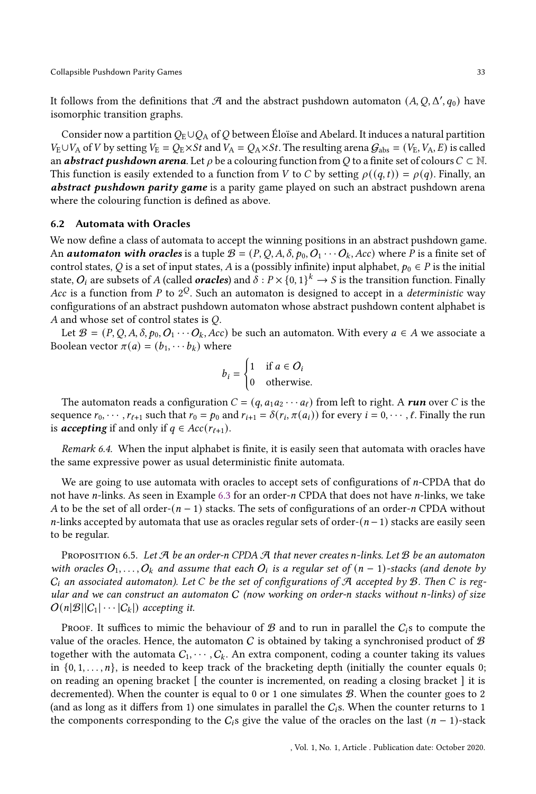It follows from the definitions that  $\mathcal A$  and the abstract pushdown automaton  $(A,Q,\Delta',q_0)$  have isomorphic transition graphs.

Consider now a partition  $Q_E \cup Q_A$  of Q between Éloïse and Abelard. It induces a natural partition  $V_{\rm E}\cup V_{\rm A}$  of V by setting  $V_{\rm E} = Q_{\rm E}\times St$  and  $V_{\rm A} = Q_{\rm A}\times St$ . The resulting arena  $G_{\rm abs} = (V_{\rm E}, V_{\rm A}, E)$  is called an **abstract pushdown arena**. Let  $\rho$  be a colouring function from Q to a finite set of colours  $C \subset \mathbb{N}$ . This function is easily extended to a function from V to C by setting  $\rho((q, t)) = \rho(q)$ . Finally, an abstract pushdown parity game is a parity game played on such an abstract pushdown arena where the colouring function is defined as above.

## 6.2 Automata with Oracles

We now define a class of automata to accept the winning positions in an abstract pushdown game. An **automaton with oracles** is a tuple  $\mathcal{B} = (P, Q, A, \delta, p_0, Q_1 \cdots Q_k, Acc)$  where P is a finite set of control states, Q is a set of input states, A is a (possibly infinite) input alphabet,  $p_0 \in P$  is the initial state,  $O_i$  are subsets of A (called  $oracles$ ) and  $\delta:P\times\{0,1\}^k\to S$  is the transition function. Finally Acc is a function from P to  $2^{\mathcal{Q}}$ . Such an automaton is designed to accept in a *deterministic* way configurations of an abstract pushdown automaton whose abstract pushdown content alphabet is A and whose set of control states is  $Q$ .

Let  $\mathcal{B} = (P, Q, A, \delta, p_0, Q_1 \cdots Q_k, Acc)$  be such an automaton. With every  $a \in A$  we associate a Boolean vector  $\pi(a) = (b_1, \cdots, b_k)$  where

$$
b_i = \begin{cases} 1 & \text{if } a \in O_i \\ 0 & \text{otherwise.} \end{cases}
$$

The automaton reads a configuration  $C = (q, a_1 a_2 \cdots a_\ell)$  from left to right. A run over C is the sequence  $r_0, \dots, r_{\ell+1}$  such that  $r_0 = p_0$  and  $r_{i+1} = \delta(r_i, \pi(a_i))$  for every  $i = 0, \dots, \ell$ . Finally the run is **accepting** if and only if  $q \in Acc(r_{\ell+1})$ .

Remark 6.4. When the input alphabet is finite, it is easily seen that automata with oracles have the same expressive power as usual deterministic finite automata.

We are going to use automata with oracles to accept sets of configurations of  $n$ -CPDA that do not have *n*-links. As seen in Example [6.3](#page-31-0) for an order-*n* CPDA that does not have *n*-links, we take A to be the set of all order- $(n - 1)$  stacks. The sets of configurations of an order-n CPDA without *n*-links accepted by automata that use as oracles regular sets of order- $(n-1)$  stacks are easily seen to be regular.

<span id="page-32-0"></span>PROPOSITION 6.5. Let  $\mathcal A$  be an order-n CPDA  $\mathcal A$  that never creates n-links. Let  $\mathcal B$  be an automaton with oracles  $O_1, \ldots, O_k$  and assume that each  $O_i$  is a regular set of  $(n-1)$ -stacks (and denote by  $C_i$  an associated automaton). Let C be the set of configurations of A accepted by B. Then C is regular and we can construct an automaton  $C$  (now working on order-n stacks without n-links) of size  $O(n|\mathcal{B}||C_1|\cdots|C_k|)$  accepting it.

PROOF. It suffices to mimic the behaviour of  $\mathcal B$  and to run in parallel the  $C_i$ s to compute the value of the oracles. Hence, the automaton C is obtained by taking a synchronised product of  $\mathcal B$ together with the automata  $C_1, \dots, C_k$ . An extra component, coding a counter taking its values in  $\{0, 1, \ldots, n\}$ , is needed to keep track of the bracketing depth (initially the counter equals 0; on reading an opening bracket [ the counter is incremented, on reading a closing bracket ] it is decremented). When the counter is equal to 0 or 1 one simulates  $B$ . When the counter goes to 2 (and as long as it differs from 1) one simulates in parallel the  $C_i$ s. When the counter returns to 1 the components corresponding to the  $C_i$ s give the value of the oracles on the last  $(n - 1)$ -stack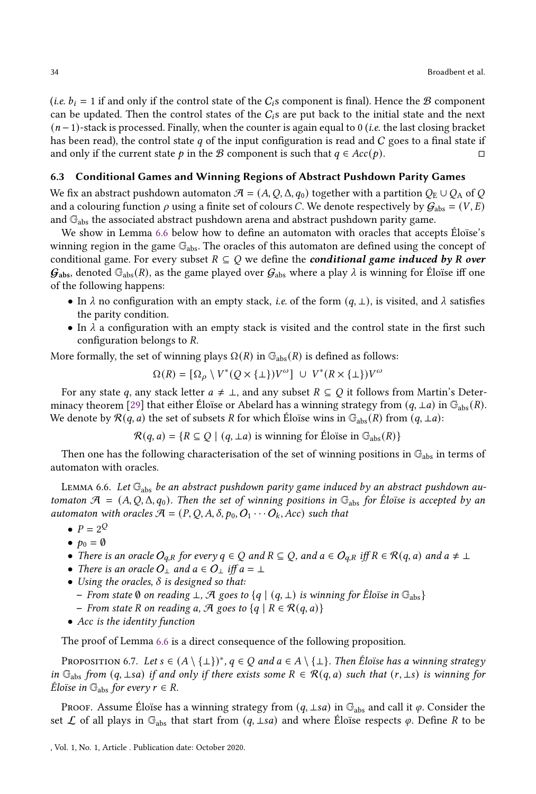(*i.e.*  $b_i = 1$  if and only if the control state of the  $C_i$ s component is final). Hence the  $B$  component can be updated. Then the control states of the  $C_i$ s are put back to the initial state and the next  $(n-1)$ -stack is processed. Finally, when the counter is again equal to 0 (*i.e.* the last closing bracket has been read), the control state  $q$  of the input configuration is read and  $C$  goes to a final state if and only if the current state  $p$  in the B component is such that  $q \in Acc(p)$ .

#### 6.3 Conditional Games and Winning Regions of Abstract Pushdown Parity Games

We fix an abstract pushdown automaton  $\mathcal{A} = (A, Q, \Delta, q_0)$  together with a partition  $Q_E \cup Q_A$  of Q and a colouring function  $\rho$  using a finite set of colours C. We denote respectively by  $G_{\text{abs}} = (V, E)$ and Gabs the associated abstract pushdown arena and abstract pushdown parity game.

We show in Lemma [6.6](#page-33-0) below how to define an automaton with oracles that accepts Éloïse's winning region in the game  $\mathbb{G}_{\text{abs}}$ . The oracles of this automaton are defined using the concept of conditional game. For every subset  $R \subseteq Q$  we define the **conditional game induced by R** over  $\mathcal{G}_{\text{abs}}$ , denoted  $\mathbb{G}_{\text{abs}}(R)$ , as the game played over  $\mathcal{G}_{\text{abs}}$  where a play  $\lambda$  is winning for Éloïse iff one of the following happens:

- In  $\lambda$  no configuration with an empty stack, *i.e.* of the form  $(q, \perp)$ , is visited, and  $\lambda$  satisfies the parity condition.
- In  $\lambda$  a configuration with an empty stack is visited and the control state in the first such configuration belongs to R.

More formally, the set of winning plays  $\Omega(R)$  in  $\mathbb{G}_{\text{abs}}(R)$  is defined as follows:

$$
\Omega(R) = [\Omega_{\rho} \setminus V^*(Q \times \{\bot\})V^{\omega}] \cup V^*(R \times \{\bot\})V^{\omega}
$$

For any state q, any stack letter  $a \neq \perp$ , and any subset  $R \subseteq Q$  it follows from Martin's Deter-minacy theorem [\[29](#page-49-17)] that either Éloïse or Abelard has a winning strategy from  $(q, \perp a)$  in  $\mathbb{G}_{\text{abs}}(R)$ . We denote by  $\mathcal{R}(q, a)$  the set of subsets R for which Éloïse wins in  $\mathbb{G}_{\text{abs}}(R)$  from  $(q, \perp a)$ :

 $\mathcal{R}(q, a) = \{R \subseteq Q \mid (q, \perp a) \text{ is winning for Eloise in } \mathbb{G}_{\text{abs}}(R)\}\$ 

Then one has the following characterisation of the set of winning positions in  $\mathbb{G}_{\text{abs}}$  in terms of automaton with oracles.

<span id="page-33-0"></span>LEMMA 6.6. Let  $\mathbb{G}_{\text{abs}}$  be an abstract pushdown parity game induced by an abstract pushdown automaton  $\mathcal{A} = (A, Q, \Delta, q_0)$ . Then the set of winning positions in  $\mathbb{G}_{\text{abs}}$  for Éloïse is accepted by an automaton with oracles  $A = (P, Q, A, \delta, p_0, O_1 \cdots O_k, Acc)$  such that

- $P = 2^Q$
- $p_0 = \emptyset$
- There is an oracle  $O_{q,R}$  for every  $q \in Q$  and  $R \subseteq Q$ , and  $a \in O_{q,R}$  iff  $R \in \mathcal{R}(q,a)$  and  $a \neq \bot$
- There is an oracle  $O_{\perp}$  and  $a \in O_{\perp}$  iff  $a = \perp$
- Using the oracles,  $\delta$  is designed so that:
	- From state  $\emptyset$  on reading  $\bot$ ,  $\mathcal A$  goes to  $\{q \mid (q, \bot)$  is winning for Éloïse in  $\mathbb G_{\text{abs}}\}$
	- From state R on reading a, A goes to  $\{q \mid R \in \mathcal{R}(q, a)\}$
- Acc is the identity function

The proof of Lemma [6.6](#page-33-0) is a direct consequence of the following proposition.

PROPOSITION 6.7. Let  $s \in (A \setminus {\{\perp}\})^*$ ,  $q \in Q$  and  $a \in A \setminus {\{\perp}\}$ . Then Éloïse has a winning strategy in  $\mathbb{G}_{\text{abs}}$  from  $(q, \perp s a)$  if and only if there exists some  $R \in \mathcal{R}(q, a)$  such that  $(r, \perp s)$  is winning for *Éloïse in*  $\mathbb{G}_{\text{abs}}$  *for every*  $r \in R$ .

Proof. Assume Éloïse has a winning strategy from  $(q, \perp s a)$  in  $\mathbb{G}_{\text{abs}}$  and call it  $\varphi$ . Consider the set  $\mathcal L$  of all plays in  $\mathbb G_{\text{abs}}$  that start from  $(q, \perp s a)$  and where Éloïse respects  $\varphi$ . Define R to be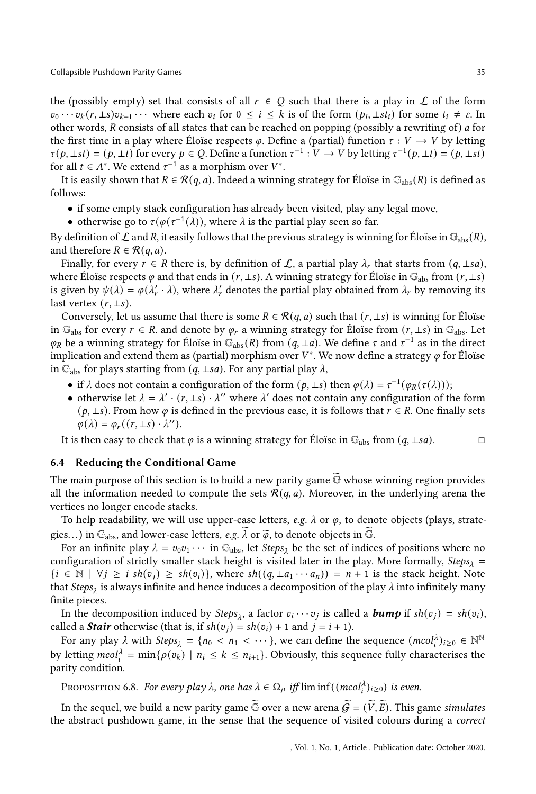the (possibly empty) set that consists of all  $r \in Q$  such that there is a play in  $\mathcal L$  of the form  $v_0 \cdots v_k(r, \perp s)v_{k+1} \cdots$  where each  $v_i$  for  $0 \leq i \leq k$  is of the form  $(p_i, \perp st_i)$  for some  $t_i \neq \varepsilon$ . In other words,  $R$  consists of all states that can be reached on popping (possibly a rewriting of)  $a$  for the first time in a play where Éloïse respects  $\varphi$ . Define a (partial) function  $\tau : V \to V$  by letting  $\tau(p, \pm st) = (p, \pm t)$  for every  $p \in Q$ . Define a function  $\tau^{-1}: V \to V$  by letting  $\tau^{-1}(p, \pm t) = (p, \pm st)$ for all  $t \in A^*$ . We extend  $\tau^{-1}$  as a morphism over  $V^*$ .

It is easily shown that  $R \in \mathcal{R}(q, a)$ . Indeed a winning strategy for Éloïse in  $\mathbb{G}_{\text{abs}}(R)$  is defined as follows:

- if some empty stack configuration has already been visited, play any legal move,
- otherwise go to  $\tau(\varphi(\tau^{-1}(\lambda)))$ , where  $\lambda$  is the partial play seen so far.

By definition of  $\mathcal L$  and R, it easily follows that the previous strategy is winning for Éloïse in  $\mathbb G_{\text{abs}}(R)$ , and therefore  $R \in \mathcal{R}(q, a)$ .

Finally, for every  $r \in R$  there is, by definition of  $\mathcal{L}$ , a partial play  $\lambda_r$  that starts from  $(q, \perp s a)$ , where Éloïse respects  $\varphi$  and that ends in  $(r, \perp s)$ . A winning strategy for Éloïse in  $\mathbb{G}_{\text{abs}}$  from  $(r, \perp s)$ is given by  $\psi(\lambda) = \varphi(\lambda'_r \cdot \lambda)$ , where  $\lambda'_r$  denotes the partial play obtained from  $\lambda_r$  by removing its last vertex  $(r, \perp s)$ .

Conversely, let us assume that there is some  $R \in \mathcal{R}(q, a)$  such that  $(r, \perp s)$  is winning for Éloïse in  $\mathbb{G}_{\text{abs}}$  for every  $r \in \mathbb{R}$ . and denote by  $\varphi_r$  a winning strategy for Éloïse from  $(r, \perp s)$  in  $\mathbb{G}_{\text{abs}}$ . Let  $\varphi_R$  be a winning strategy for Éloïse in  $\mathbb{G}_{\text{abs}}(R)$  from  $(q, \perp a)$ . We define  $\tau$  and  $\tau^{-1}$  as in the direct implication and extend them as (partial) morphism over  $V^*$ . We now define a strategy  $\varphi$  for Éloïse in  $\mathbb{G}_{\text{abs}}$  for plays starting from  $(q, \perp s a)$ . For any partial play  $\lambda$ ,

- if  $\lambda$  does not contain a configuration of the form  $(p, \perp s)$  then  $\varphi(\lambda) = \tau^{-1}(\varphi_R(\tau(\lambda)))$ ;
- otherwise let  $\lambda = \lambda' \cdot (r, \pm s) \cdot \lambda''$  where  $\lambda'$  does not contain any configuration of the form  $(p, \perp s)$ . From how  $\varphi$  is defined in the previous case, it is follows that  $r \in R$ . One finally sets  $\varphi(\lambda) = \varphi_r((r, \perp s) \cdot \lambda'').$

It is then easy to check that  $\varphi$  is a winning strategy for Éloïse in G<sub>abs</sub> from (*q*, ⊥*sa*). □

#### <span id="page-34-1"></span>6.4 Reducing the Conditional Game

The main purpose of this section is to build a new parity game  $\overline{G}$  whose winning region provides all the information needed to compute the sets  $\mathcal{R}(q, a)$ . Moreover, in the underlying arena the vertices no longer encode stacks.

To help readability, we will use upper-case letters, e.g.  $\lambda$  or  $\varphi$ , to denote objects (plays, strategies...) in  $\mathbb{G}_{\text{abs}}$ , and lower-case letters, e.g.  $\lambda$  or  $\widetilde{\varphi}$ , to denote objects in  $\mathbb{G}$ .

For an infinite play  $\lambda = v_0 v_1 \cdots$  in  $\mathbb{G}_{\text{abs}}$ , let *Steps*<sub> $\lambda$ </sub> be the set of indices of positions where no configuration of strictly smaller stack height is visited later in the play. More formally, Steps<sub>1</sub> =  $\{i \in \mathbb{N} \mid \forall j \geq i \; sh(v_i) \geq sh(v_i)\}$ , where  $sh((q, \perp a_1 \cdots a_n)) = n + 1$  is the stack height. Note that  $\mathit{Steps}_{\lambda}$  is always infinite and hence induces a decomposition of the play  $\lambda$  into infinitely many finite pieces.

In the decomposition induced by  $Steps_{\lambda}$ , a factor  $v_i \cdots v_j$  is called a  $bump$  if  $sh(v_j) = sh(v_i)$ , called a *Stair* otherwise (that is, if  $sh(v_i) = sh(v_i) + 1$  and  $j = i + 1$ ).

For any play  $\lambda$  with  $Steps_{\lambda} = \{n_0 < n_1 < \cdots\}$ , we can define the sequence  $(mcol_i^{\lambda})_{i \geq 0} \in \mathbb{N}^{\mathbb{N}}$ by letting  $mcol_i^{\lambda} = \min\{\rho(v_k) \mid n_i \leq k \leq n_{i+1}\}.$  Obviously, this sequence fully characterises the parity condition.

<span id="page-34-0"></span>PROPOSITION 6.8. For every play  $\lambda$ , one has  $\lambda \in \Omega_\rho$  iff  $\liminf((mcol_i^{\lambda})_{i\geq 0})$  is even.

In the sequel, we build a new parity game  $\widetilde{\mathbb{G}}$  over a new arena  $\widetilde{\mathcal{G}} = (\widetilde{V}, \widetilde{E})$ . This game simulates the abstract pushdown game, in the sense that the sequence of visited colours during a correct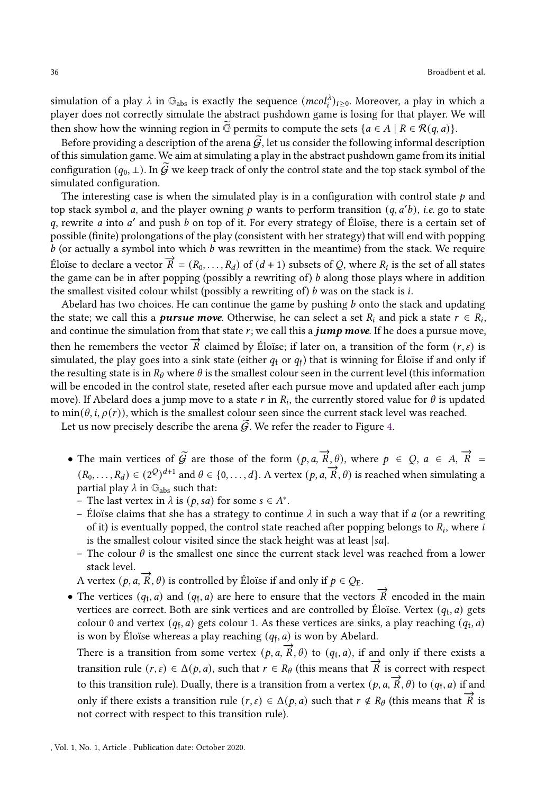simulation of a play  $\lambda$  in  $\mathbb{G}_{\text{abs}}$  is exactly the sequence  $(mcol_i^{\lambda})_{i\geq 0}$ . Moreover, a play in which a player does not correctly simulate the abstract pushdown game is losing for that player. We will then show how the winning region in G permits to compute the sets  $\{a \in A \mid R \in \mathcal{R}(q, a)\}\$ .

Before providing a description of the arena  $\tilde{G}$ , let us consider the following informal description of this simulation game. We aim at simulating a play in the abstract pushdown game from its initial configuration  $(q_0, \perp)$ . In  $\mathcal G$  we keep track of only the control state and the top stack symbol of the simulated configuration.

The interesting case is when the simulated play is in a configuration with control state  $p$  and top stack symbol a, and the player owning p wants to perform transition  $(q, a'b)$ , i.e. go to state  $q$ , rewrite  $a$  into  $a'$  and push  $b$  on top of it. For every strategy of Éloïse, there is a certain set of possible (finite) prolongations of the play (consistent with her strategy) that will end with popping  $b$  (or actually a symbol into which  $b$  was rewritten in the meantime) from the stack. We require  $\vec{E}$ loïse to declare a vector  $\vec{R} = (R_0, \ldots, R_d)$  of  $(d+1)$  subsets of Q, where  $R_i$  is the set of all states the game can be in after popping (possibly a rewriting of)  $b$  along those plays where in addition the smallest visited colour whilst (possibly a rewriting of) b was on the stack is i.

Abelard has two choices. He can continue the game by pushing  $b$  onto the stack and updating the state; we call this a *pursue move*. Otherwise, he can select a set  $R_i$  and pick a state  $r \in R_i$ , and continue the simulation from that state  $r$ ; we call this a *jump move*. If he does a pursue move, then he remembers the vector  $\vec{R}$  claimed by Éloïse; if later on, a transition of the form  $(r, \varepsilon)$  is simulated, the play goes into a sink state (either  $q_{\rm t}$  or  $q_{\rm f}$ ) that is winning for Éloïse if and only if the resulting state is in  $R_{\theta}$  where  $\theta$  is the smallest colour seen in the current level (this information will be encoded in the control state, reseted after each pursue move and updated after each jump move). If Abelard does a jump move to a state  $r$  in  $R_i$ , the currently stored value for  $\theta$  is updated to min( $\theta$ , *i*,  $\rho(r)$ ), which is the smallest colour seen since the current stack level was reached.

Let us now precisely describe the arena  $\tilde{G}$ . We refer the reader to Figure [4.](#page-36-0)

- The main vertices of  $\widetilde{\mathcal{G}}$  are those of the form  $(p, a, \overrightarrow{R}, \theta)$ , where  $p \in \mathcal{Q}$ ,  $a \in A$ ,  $\overrightarrow{R} =$ ( $R_0, \ldots, R_d$ )  $\in (2^Q)^{d+1}$  and  $\theta \in \{0, \ldots, d\}$ . A vertex  $(p, a, \overrightarrow{R}, \theta)$  is reached when simulating a partial play  $\lambda$  in  $\mathbb{G}_{\text{abs}}$  such that:
	- The last vertex in  $\lambda$  is  $(p, sa)$  for some  $s \in A^*$ .
	- Éloïse claims that she has a strategy to continue  $\lambda$  in such a way that if a (or a rewriting of it) is eventually popped, the control state reached after popping belongs to  $R_i$ , where  $i$ is the smallest colour visited since the stack height was at least  $|sa|$ .
	- The colour  $\theta$  is the smallest one since the current stack level was reached from a lower stack level.
	- A vertex  $(p, a, \overrightarrow{R}, \theta)$  is controlled by Éloïse if and only if  $p \in Q_E$ .
- The vertices  $(q_t, a)$  and  $(q_f, a)$  are here to ensure that the vectors  $\overrightarrow{R}$  encoded in the main vertices are correct. Both are sink vertices and are controlled by Éloïse. Vertex  $\left( q_{\text{t}},a\right)$  gets colour 0 and vertex  $(q_f, a)$  gets colour 1. As these vertices are sinks, a play reaching  $(q_t, a)$ is won by Éloïse whereas a play reaching (𝑞<sup>𝔣</sup> , 𝑎) is won by Abelard.

There is a transition from some vertex  $(p, a, \overrightarrow{R}, \theta)$  to  $(q_t, a)$ , if and only if there exists a transition rule  $(r, \varepsilon) \in \Delta(p, a)$ , such that  $r \in R_\theta$  (this means that  $\overrightarrow{R}$  is correct with respect to this transition rule). Dually, there is a transition from a vertex  $(p, a, \overrightarrow{R}, \theta)$  to  $(q_f, a)$  if and only if there exists a transition rule  $(r, \varepsilon) \in \Delta(p, a)$  such that  $r \notin R_\theta$  (this means that  $\overrightarrow{R}$  is not correct with respect to this transition rule).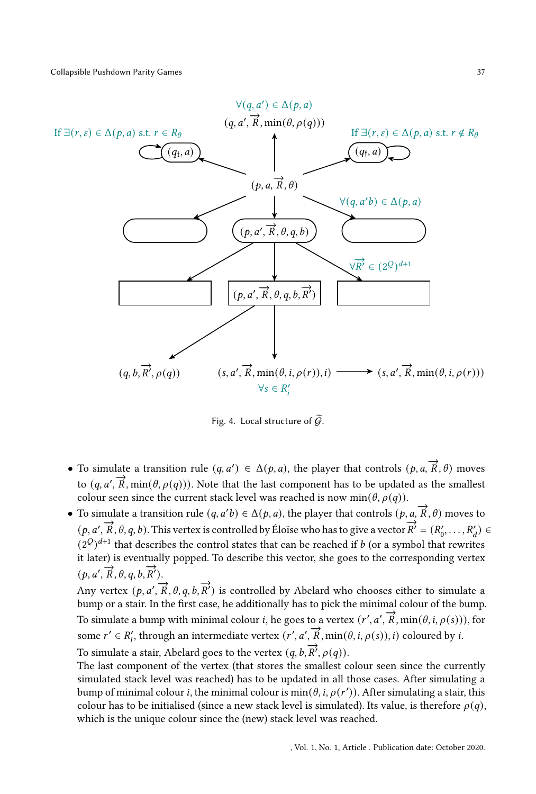<span id="page-36-0"></span>

Fig. 4. Local structure of  $\widetilde{G}$ .

- To simulate a transition rule  $(q, a') \in \Delta(p, a)$ , the player that controls  $(p, a, \overrightarrow{R}, \theta)$  moves to  $(q, a', \overrightarrow{R}, \min(\theta, \rho(q)))$ . Note that the last component has to be updated as the smallest colour seen since the current stack level was reached is now min( $\theta$ ,  $\rho(q)$ ).
- To simulate a transition rule  $(q, a'b) \in \Delta(p, a)$ , the player that controls  $(p, a, \overrightarrow{R}, \theta)$  moves to  $(p, a', \overrightarrow{R}, \theta, q, b)$ . This vertex is controlled by Éloïse who has to give a vector  $\overrightarrow{R}' = (R'_0, \ldots, R'_d) \in$  $(2^{\mathcal{Q}})^{d+1}$  that describes the control states that can be reached if b (or a symbol that rewrites it later) is eventually popped. To describe this vector, she goes to the corresponding vertex  $(p, a', \overrightarrow{R}, \theta, q, b, \overrightarrow{R}')$ .

Any vertex  $(p, a', \overrightarrow{R}, \theta, q, b, \overrightarrow{R}')$  is controlled by Abelard who chooses either to simulate a bump or a stair. In the first case, he additionally has to pick the minimal colour of the bump. To simulate a bump with minimal colour *i*, he goes to a vertex  $(r', a', \overrightarrow{R}, \min(\theta, i, \rho(s)))$ , for some  $r' \in R'_i$ , through an intermediate vertex  $(r', a', \overrightarrow{R}, \min(\theta, i, \rho(s)), i)$  coloured by *i*. To simulate a stair, Abelard goes to the vertex  $(q, b, \overrightarrow{R}, \rho(q))$ .

The last component of the vertex (that stores the smallest colour seen since the currently simulated stack level was reached) has to be updated in all those cases. After simulating a bump of minimal colour *i*, the minimal colour is  $min(\theta, i, \rho(r'))$ . After simulating a stair, this colour has to be initialised (since a new stack level is simulated). Its value, is therefore  $\rho(q)$ , which is the unique colour since the (new) stack level was reached.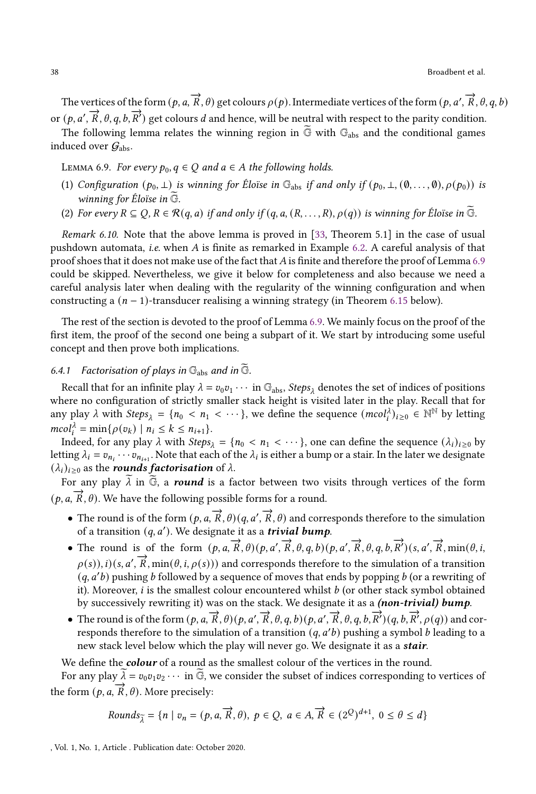The vertices of the form  $(p,a,\overrightarrow{R},\theta)$  get colours  $\rho(p)$ . Intermediate vertices of the form  $(p,a',\overrightarrow{R},\theta,q,b)$ or  $(p, a', \overrightarrow{R}, \theta, q, b, \overrightarrow{R}')$  get colours d and hence, will be neutral with respect to the parity condition.

The following lemma relates the winning region in  $\widetilde{G}$  with  $G_{\text{abs}}$  and the conditional games induced over  $\mathcal{G}_{\mathrm{abs}}$ .

<span id="page-37-0"></span>LEMMA 6.9. For every  $p_0, q \in Q$  and  $a \in A$  the following holds.

- (1) Configuration  $(p_0, \perp)$  is winning for Éloïse in  $\mathbb{G}_{\text{abs}}$  if and only if  $(p_0, \perp, (\emptyset, \ldots, \emptyset), \rho(p_0))$  is winning for Éloïse in  $\widetilde{\mathbb{G}}$ .
- (2) For every  $R \subseteq Q$ ,  $R \in \mathcal{R}(q, a)$  if and only if  $(q, a, (R, \ldots, R), \rho(q))$  is winning for Éloïse in G.

Remark 6.10. Note that the above lemma is proved in [\[33,](#page-50-7) Theorem 5.1] in the case of usual pushdown automata, *i.e.* when  $A$  is finite as remarked in Example [6.2.](#page-31-1) A careful analysis of that proof shoes that it does not make use of the fact that A is finite and therefore the proof of Lemma  $6.9$ could be skipped. Nevertheless, we give it below for completeness and also because we need a careful analysis later when dealing with the regularity of the winning configuration and when constructing a  $(n - 1)$ -transducer realising a winning strategy (in Theorem [6.15](#page-41-0) below).

The rest of the section is devoted to the proof of Lemma [6.9.](#page-37-0) We mainly focus on the proof of the first item, the proof of the second one being a subpart of it. We start by introducing some useful concept and then prove both implications.

# 6.4.1 Factorisation of plays in  $\mathbb{G}_{\text{abs}}$  and in  $\widetilde{\mathbb{G}}$ .

Recall that for an infinite play  $\lambda = v_0 v_1 \cdots$  in  $\mathbb{G}_{\text{abs}}$ , *Steps*<sub> $\lambda$ </sub> denotes the set of indices of positions where no configuration of strictly smaller stack height is visited later in the play. Recall that for any play  $\lambda$  with  $Steps_{\lambda} = \{n_0 < n_1 < \cdots\}$ , we define the sequence  $(mcol_i^{\lambda})_{i\geq 0} \in \mathbb{N}^{\mathbb{N}}$  by letting  $mcol_i^{\lambda} = \min\{\rho(v_k) \mid n_i \leq k \leq n_{i+1}\}.$ 

Indeed, for any play  $\lambda$  with Steps<sub> $\lambda = \{n_0 < n_1 < \cdots \}$ , one can define the sequence  $(\lambda_i)_{i \geq 0}$  by</sub> letting  $\lambda_i = v_{n_i} \cdots v_{n_{i+1}}$ . Note that each of the  $\lambda_i$  is either a bump or a stair. In the later we designate  $(\lambda_i)_{i \geq 0}$  as the rounds factorisation of  $\lambda$ .

For any play  $\lambda$  in  $\vec{G}$ , a round is a factor between two visits through vertices of the form  $(\vec{p}, \vec{a}, \vec{R}, \theta)$ . We have the following possible forms for a round.

- The round is of the form  $(p, a, \overrightarrow{R}, \theta)(q, a', \overrightarrow{R}, \theta)$  and corresponds therefore to the simulation of a transition  $(q, a')$ . We designate it as a *trivial bump*.
- The round is of the form  $(p, a, \overrightarrow{R}, \theta)(p, a', \overrightarrow{R}, \theta, q, b)(p, a', \overrightarrow{R}, \theta, q, b, \overrightarrow{R})(s, a', \overrightarrow{R}, \min(\theta, i, \overrightarrow{R}, \theta, \theta, \overrightarrow{R}))$  $\rho(s)$ ),  $i)$  (s,  $a'$ ,  $\overrightarrow{R}$ , min( $\theta$ ,  $i$ ,  $\rho(s)$ )) and corresponds therefore to the simulation of a transition  $(q, a'b)$  pushing b followed by a sequence of moves that ends by popping b (or a rewriting of it). Moreover,  $i$  is the smallest colour encountered whilst  $b$  (or other stack symbol obtained by successively rewriting it) was on the stack. We designate it as a *(non-trivial) bump*.
- The round is of the form  $(p, a, \vec{R}, \theta)(p, a', \vec{R}, \theta, q, b)(p, a', \vec{R}, \theta, q, b, \vec{R}') (q, b, \vec{R}', \rho(q))$  and corresponds therefore to the simulation of a transition  $(q, a'b)$  pushing a symbol  $b$  leading to a new stack level below which the play will never go. We designate it as a *stair*.

We define the *colour* of a round as the smallest colour of the vertices in the round.

For any play  $\overline{\lambda} = v_0 v_1 v_2 \cdots$  in  $\overline{\mathbb{G}}$ , we consider the subset of indices corresponding to vertices of the form  $(p, a, \vec{R}, \theta)$ . More precisely:

*Rounds*<sub>$$
\tilde{\lambda}
$$</sub> = { $n | v_n = (p, a, \vec{R}, \theta)$ ,  $p \in Q$ ,  $a \in A, \vec{R} \in (2^Q)^{d+1}$ ,  $0 \le \theta \le d$ }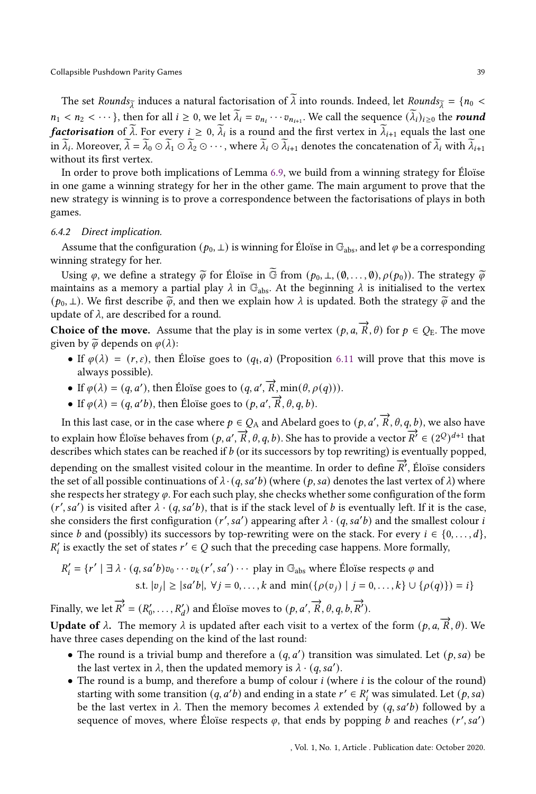The set Rounds<sub> $\tilde{\tau}$ </sub> induces a natural factorisation of  $\tilde{\lambda}$  into rounds. Indeed, let Rounds $\tilde{\tau} = \{n_0$  <  $n_1 < n_2 < \cdots$ }, then for all  $i \ge 0$ , we let  $\lambda_i = v_{n_i} \cdots v_{n_{i+1}}$ . We call the sequence  $(\lambda_i)_{i \ge 0}$  the round *factorisation* of  $\lambda$ . For every  $i \geq 0$ ,  $\lambda_i$  is a round and the first vertex in  $\lambda_{i+1}$  equals the last one in  $\lambda_i$ . Moreover,  $\lambda = \lambda_0 \odot \lambda_1 \odot \lambda_2 \odot \cdots$ , where  $\lambda_i \odot \lambda_{i+1}$  denotes the concatenation of  $\lambda_i$  with  $\lambda_{i+1}$ without its first vertex.

In order to prove both implications of Lemma [6.9,](#page-37-0) we build from a winning strategy for Éloïse in one game a winning strategy for her in the other game. The main argument to prove that the new strategy is winning is to prove a correspondence between the factorisations of plays in both games.

#### 6.4.2 Direct implication. .

Assume that the configuration ( $p_0, \perp$ ) is winning for Éloïse in G<sub>abs</sub>, and let  $\varphi$  be a corresponding winning strategy for her.

Using  $\varphi$ , we define a strategy  $\tilde{\varphi}$  for Éloïse in  $\tilde{\mathbb{G}}$  from  $(p_0, \perp, (\emptyset, \ldots, \emptyset), \rho(p_0))$ . The strategy  $\tilde{\varphi}$ maintains as a memory a partial play  $\lambda$  in  $\mathbb{G}_{\text{abs}}$ . At the beginning  $\lambda$  is initialised to the vertex  $(p_0, \perp)$ . We first describe  $\widetilde{\varphi}$ , and then we explain how  $\lambda$  is updated. Both the strategy  $\widetilde{\varphi}$  and the update of  $\lambda$ , are described for a round.

Choice of the move. Assume that the play is in some vertex  $(p, a, \overrightarrow{R}, \theta)$  for  $p \in Q_E$ . The move given by  $\widetilde{\varphi}$  depends on  $\varphi(\lambda)$ :

- If  $\varphi(\lambda) = (r, \varepsilon)$ , then Éloïse goes to  $(q_t, a)$  (Proposition [6.11](#page-39-0) will prove that this move is always possible).
- If  $\varphi(\lambda) = (q, a')$ , then Éloïse goes to  $(q, a', \overrightarrow{R}, \min(\theta, \rho(q)))$ .
- If  $\varphi(\lambda) = (q, a'b)$ , then Éloïse goes to  $(p, a', \overrightarrow{R}, \theta, q, b)$ .

In this last case, or in the case where  $p\in Q_\mathrm{A}$  and Abelard goes to  $(p, a', \overrightarrow{R}, \theta, q, b)$ , we also have to explain how Éloïse behaves from  $(p, a', \vec{R}, \theta, q, b)$ . She has to provide a vector  $\vec{R'} \in (2^Q)^{d+1}$  that describes which states can be reached if  $b$  (or its successors by top rewriting) is eventually popped,

depending on the smallest visited colour in the meantime. In order to define  $\overline{R}$ <sup>*'*</sup>, Éloïse considers</sub> the set of all possible continuations of  $\lambda \cdot (q, sa'b)$  (where  $(p, sa)$  denotes the last vertex of  $\lambda$ ) where she respects her strategy  $\varphi$ . For each such play, she checks whether some configuration of the form  $(r', sa')$  is visited after  $\lambda \cdot (q, sa'b)$ , that is if the stack level of b is eventually left. If it is the case, she considers the first configuration  $(r', sa')$  appearing after  $\lambda \cdot (q, sa'b)$  and the smallest colour i since *b* and (possibly) its successors by top-rewriting were on the stack. For every  $i \in \{0, \ldots, d\}$ ,  $R'_i$  is exactly the set of states  $r' \in Q$  such that the preceding case happens. More formally,

$$
R'_i = \{r' \mid \exists \lambda \cdot (q, sa'b)v_0 \cdots v_k(r', sa') \cdots \text{ play in } \mathbb{G}_{\text{abs}} \text{ where } \text{Éloise respects } \varphi \text{ and } s.t. |v_j| \ge |sa'b|, \forall j = 0, \dots, k \text{ and } \min(\{\rho(v_j) \mid j = 0, \dots, k\} \cup \{\rho(q)\}) = i\}
$$

Finally, we let  $\overrightarrow{R}' = (R'_0, \ldots, R'_d)$  and Éloïse moves to  $(p, a', \overrightarrow{R}, \theta, q, b, \overrightarrow{R}')$ .

Update of λ. The memory λ is updated after each visit to a vertex of the form  $(p, a, \vec{R}, \theta)$ . We have three cases depending on the kind of the last round:

- The round is a trivial bump and therefore a  $(q, a')$  transition was simulated. Let  $(p, sa)$  be the last vertex in  $\lambda$ , then the updated memory is  $\lambda \cdot (q, sa')$ .
- The round is a bump, and therefore a bump of colour  $i$  (where  $i$  is the colour of the round) starting with some transition  $(q, a'b)$  and ending in a state  $r' \in R'_i$  was simulated. Let  $(p, sa)$ be the last vertex in  $\lambda$ . Then the memory becomes  $\lambda$  extended by  $(q, sa'b)$  followed by a sequence of moves, where Éloïse respects  $\varphi$ , that ends by popping b and reaches  $(r',sa')$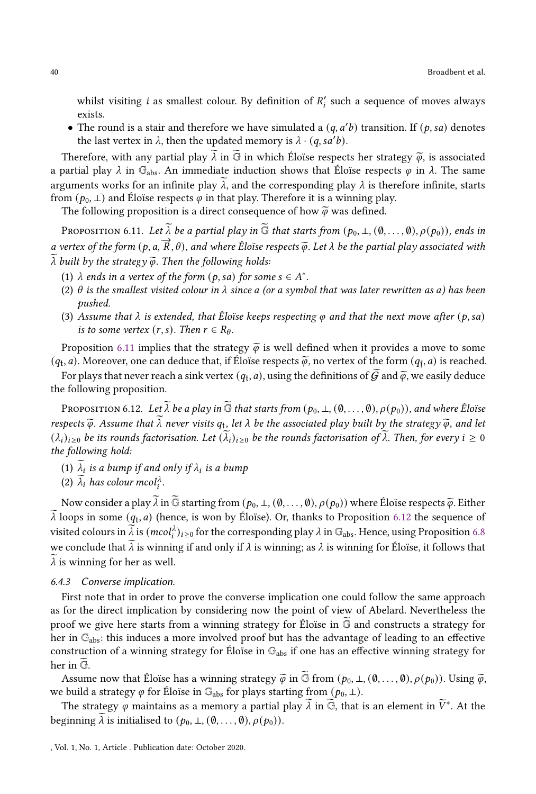whilst visiting  $i$  as smallest colour. By definition of  $R'_i$  such a sequence of moves always exists.

• The round is a stair and therefore we have simulated a  $(q, a'b)$  transition. If  $(p, sa)$  denotes the last vertex in  $\lambda$ , then the updated memory is  $\lambda \cdot (q, sa'b)$ .

Therefore, with any partial play  $\lambda$  in  $\vec{G}$  in which Éloïse respects her strategy  $\vec{\varphi}$ , is associated a partial play  $\lambda$  in  $\mathbb{G}_{\text{abs}}$ . An immediate induction shows that Éloïse respects  $\varphi$  in  $\lambda$ . The same arguments works for an infinite play  $\tilde{\lambda}$ , and the corresponding play  $\lambda$  is therefore infinite, starts from  $(p_0, \perp)$  and Éloïse respects  $\varphi$  in that play. Therefore it is a winning play.

The following proposition is a direct consequence of how  $\tilde{\varphi}$  was defined.

<span id="page-39-0"></span>PROPOSITION 6.11. Let  $\widetilde{\lambda}$  be a partial play in  $\widetilde{\mathbb{G}}$  that starts from  $(p_0, \perp, (\emptyset, \ldots, \emptyset), \rho(p_0))$ , ends in a vertex of the form  $(p, a, \overrightarrow{R}, \theta)$ , and where Éloïse respects  $\widetilde{\varphi}$ . Let  $\lambda$  be the partial play associated with  $\widetilde{\lambda}$ .  $\overline{\lambda}$  built by the strategy  $\overline{\varphi}$ . Then the following holds:

- (1)  $\lambda$  ends in a vertex of the form  $(p, sa)$  for some  $s \in A^*$ .
- (2)  $\theta$  is the smallest visited colour in  $\lambda$  since a (or a symbol that was later rewritten as a) has been pushed.
- (3) Assume that  $\lambda$  is extended, that Éloïse keeps respecting  $\varphi$  and that the next move after (p, sa) is to some vertex  $(r, s)$ . Then  $r \in R_{\theta}$ .

Proposition [6.11](#page-39-0) implies that the strategy  $\tilde{\varphi}$  is well defined when it provides a move to some  $(q_t, a)$ . Moreover, one can deduce that, if Éloïse respects  $\tilde{\varphi}$ , no vertex of the form  $(q_f, a)$  is reached.

For plays that never reach a sink vertex  $(q_t, a)$ , using the definitions of  $G$  and  $\widetilde{\varphi}$ , we easily deduce the following proposition.

<span id="page-39-1"></span>PROPOSITION 6.12. Let  $\widetilde{\lambda}$  be a play in  $\widetilde{\mathbb{G}}$  that starts from  $(p_0, \perp, (0, \ldots, 0), \rho(p_0))$ , and where Éloïse respects  $\widetilde{\varphi}$ . Assume that  $\lambda$  never visits  $q_t$ , let  $\lambda$  be the associated play built by the strategy  $\widetilde{\varphi}$ , and let  $(\lambda_i)_{i\geq 0}$  be its rounds factorisation. Let  $(\lambda_i)_{i\geq 0}$  be the rounds factorisation of  $\lambda$ . Then, for every  $i\geq 0$ the following hold:

- (1)  $\lambda_i$  is a bump if and only if  $\lambda_i$  is a bump
- (2)  $\lambda_i$  has colour mcol<sub>i</sub><sup> $\lambda$ </sup>.

Now consider a play  $\tilde{\lambda}$  in  $\tilde{\mathbb{G}}$  starting from  $(p_0, \perp, (\emptyset, \ldots, \emptyset), \rho(p_0))$  where Éloïse respects  $\tilde{\varphi}$ . Either  $\lambda$  loops in some  $(q_t, a)$  (hence, is won by Éloïse). Or, thanks to Proposition [6.12](#page-39-1) the sequence of visited colours in  $\widetilde\lambda$  is  $(mcol_i^{\lambda})_{i\geq 0}$  for the corresponding play  $\lambda$  in  $\mathbb{G}_{\rm abs}.$  Hence, using Proposition [6.8](#page-34-0) we conclude that  $\lambda$  is winning if and only if  $\lambda$  is winning; as  $\lambda$  is winning for Éloïse, it follows that  $\lambda$  is winning for her as well.

## 6.4.3 Converse implication.

First note that in order to prove the converse implication one could follow the same approach as for the direct implication by considering now the point of view of Abelard. Nevertheless the proof we give here starts from a winning strategy for Éloïse in  $\overline{G}$  and constructs a strategy for her in  $\mathbb{G}_{\text{abs}}$ : this induces a more involved proof but has the advantage of leading to an effective construction of a winning strategy for Éloïse in  $\mathbb{G}_{\text{abs}}$  if one has an effective winning strategy for her in  $\widetilde{\mathbb{G}}$ .

Assume now that Éloïse has a winning strategy  $\tilde{\varphi}$  in  $\tilde{\mathbb{G}}$  from  $(p_0, \perp, (\emptyset, \ldots, \emptyset), \rho(p_0))$ . Using  $\tilde{\varphi}$ , we build a strategy  $\varphi$  for Éloïse in  $\mathbb{G}_{\text{abs}}$  for plays starting from  $(p_0, \perp)$ .

The strategy  $\varphi$  maintains as a memory a partial play  $\widetilde{\lambda}$  in  $\widetilde{\mathbb{G}}$ , that is an element in  $\widetilde{V}^*$ . At the beginning  $\lambda$  is initialised to  $(p_0, \bot, (\emptyset, \ldots, \emptyset), \rho(p_0)).$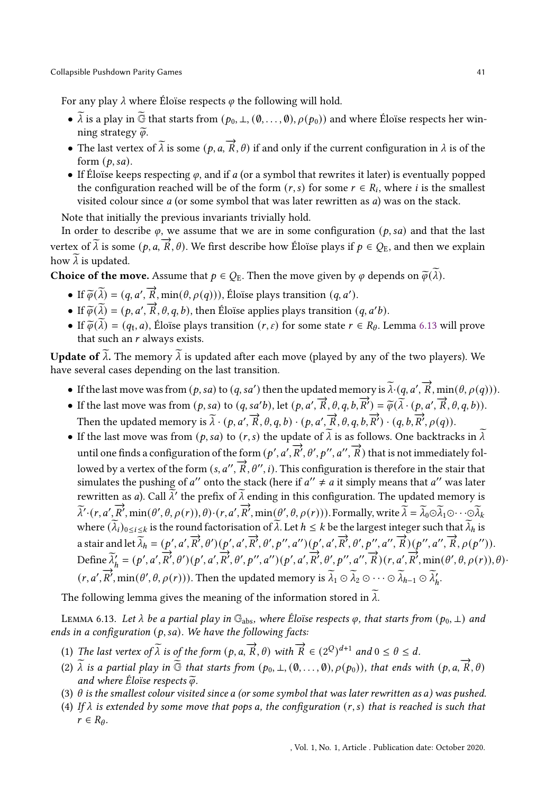For any play  $\lambda$  where Éloïse respects  $\varphi$  the following will hold.

- $\widetilde{\lambda}$  is a play in  $\widetilde{\mathbb{G}}$  that starts from  $(p_0, \perp, (\emptyset, \ldots, \emptyset), \rho(p_0))$  and where Éloïse respects her winning strategy  $\widetilde{\varphi}$ .
- The last vertex of  $\widetilde{\lambda}$  is some  $(p, a, \vec{R}, \theta)$  if and only if the current configuration in  $\lambda$  is of the form  $(p, sa)$ .
- If Éloïse keeps respecting  $\varphi$ , and if a (or a symbol that rewrites it later) is eventually popped the configuration reached will be of the form  $(r, s)$  for some  $r \in R_i$ , where i is the smallest visited colour since  $a$  (or some symbol that was later rewritten as  $a$ ) was on the stack.

Note that initially the previous invariants trivially hold.

In order to describe  $\varphi$ , we assume that we are in some configuration  $(p, sa)$  and that the last vertex of  $\widetilde{\lambda}$  is some  $(p, a, \overrightarrow{R}, \theta)$ . We first describe how Éloïse plays if  $p \in Q_E$ , and then we explain how  $\lambda$  is updated.

**Choice of the move.** Assume that  $p \in Q_E$ . Then the move given by  $\varphi$  depends on  $\widetilde{\varphi}(\widetilde{\lambda})$ .

- If  $\widetilde{\varphi}(\widetilde{\lambda}) = (q, a', \overrightarrow{R}, \min(\theta, \rho(q))),$  Éloïse plays transition  $(q, a')$ .
- If  $\widetilde{\varphi}(\widetilde{\lambda}) = (p, a', \overrightarrow{R}, \theta, q, b)$ , then Éloïse applies plays transition  $(q, a'b)$ .
- If  $\widetilde{\varphi}(\lambda) = (q_t, a)$ , Éloïse plays transition  $(r, \varepsilon)$  for some state  $r \in R_\theta$ . Lemma [6.13](#page-40-0) will prove that such an  $r$  always exists.

**Update of**  $\tilde{\lambda}$ . The memory  $\tilde{\lambda}$  is updated after each move (played by any of the two players). We have several cases depending on the last transition.

- If the last move was from  $(p, sa)$  to  $(q, sa')$  then the updated memory is  $\widetilde{\lambda} \cdot (q, a', \overrightarrow{R}, \min(\theta, \rho(q)))$ .
- If the last move was from  $(p, sa)$  to  $(q, sa'b)$ , let  $(p, a', \overrightarrow{R}, \theta, q, b, \overrightarrow{R}') = \tilde{\varphi}(\tilde{\lambda} \cdot (p, a', \overrightarrow{R}, \theta, q, b))$ . Then the updated memory is  $\overline{\lambda} \cdot (p, a', \overrightarrow{R}, \theta, q, b) \cdot (p, a', \overrightarrow{R}, \theta, q, b, \overrightarrow{R}') \cdot (q, b, \overrightarrow{R'}, \rho(q))$ .
- If the last move was from  $(p, sa)$  to  $(r, s)$  the update of  $\widetilde{\lambda}$  is as follows. One backtracks in  $\widetilde{\lambda}$ and the finds a configuration of the form  $(p', a', \overrightarrow{R}', \theta', p'', a'', \overrightarrow{R})$  that is not immediately followed by a vertex of the form  $(s, a'', \overrightarrow{R}, \theta'', i)$ . This configuration is therefore in the stair that simulates the pushing of a'' onto the stack (here if  $a'' \neq a$  it simply means that a'' was later rewritten as *a*). Call  $\widetilde{\lambda}'$  the prefix of  $\widetilde{\lambda}$  ending in this configuration. The updated memory is  $\vec{\lambda}' \cdot (r, a', \vec{R}', \min(\theta', \theta, \rho(r)), \theta) \cdot (r, a', \vec{R}', \min(\theta', \theta, \rho(r)))$ . Formally, write  $\vec{\lambda} = \vec{\lambda}_0 \odot \vec{\lambda}_1 \odot \cdots \odot \vec{\lambda}_k$ where  $(\widetilde{\lambda}_i)_{0\leq i\leq k}$  is the round factorisation of  $\widetilde{\lambda}$ . Let  $h \leq k$  be the largest integer such that  $\widetilde{\lambda}_h$  is a stair and let  $\vec{\lambda}_h = (p', a', \vec{R}', \theta') (p', a', \vec{R}', \theta', p'', a'') (p', a', \vec{R}', \theta', p'', a'', \vec{R}, \rho(p'', a'', \vec{R}, \rho(p''))$ . Define  $\tilde{\lambda}'_h = (p', a', \overline{R}', \theta') (p', a', \overline{R}', \theta', p'', a'') (p', a', \overline{R}', \theta', p'', a'') (p', a', \overline{R}', \theta', p'', a'', \overline{R}) (r, a', \overline{R}', \min(\theta', \theta, \rho(r)), \theta)$  $(r, a', \overrightarrow{R}', \min(\theta', \theta, \rho(r)))$ . Then the updated memory is  $\widetilde{\lambda}_1 \odot \widetilde{\lambda}_2 \odot \cdots \odot \widetilde{\lambda}_{h-1} \odot \widetilde{\lambda}'_h$ .

The following lemma gives the meaning of the information stored in  $\lambda$ .

<span id="page-40-0"></span>LEMMA 6.13. Let  $\lambda$  be a partial play in  $\mathbb{G}_{\text{abs}}$ , where Éloïse respects  $\varphi$ , that starts from  $(p_0, \perp)$  and ends in a configuration  $(p, sa)$ . We have the following facts:

- (1) The last vertex of  $\widetilde{\lambda}$  is of the form  $(p, a, \overrightarrow{R}, \theta)$  with  $\overrightarrow{R} \in (2^Q)^{d+1}$  and  $0 \le \theta \le d$ .
- (2)  $\tilde{\lambda}$  is a partial play in  $\tilde{\mathbb{G}}$  that starts from  $(p_0, \perp, (\emptyset, \ldots, \emptyset), \rho(p_0))$ , that ends with  $(p, a, \overrightarrow{R}, \theta)$ and where Éloïse respects  $\widetilde{\varphi}$ .
- (3)  $\theta$  is the smallest colour visited since a (or some symbol that was later rewritten as a) was pushed.
- (4) If  $\lambda$  is extended by some move that pops a, the configuration  $(r, s)$  that is reached is such that  $r \in R_{\theta}$ .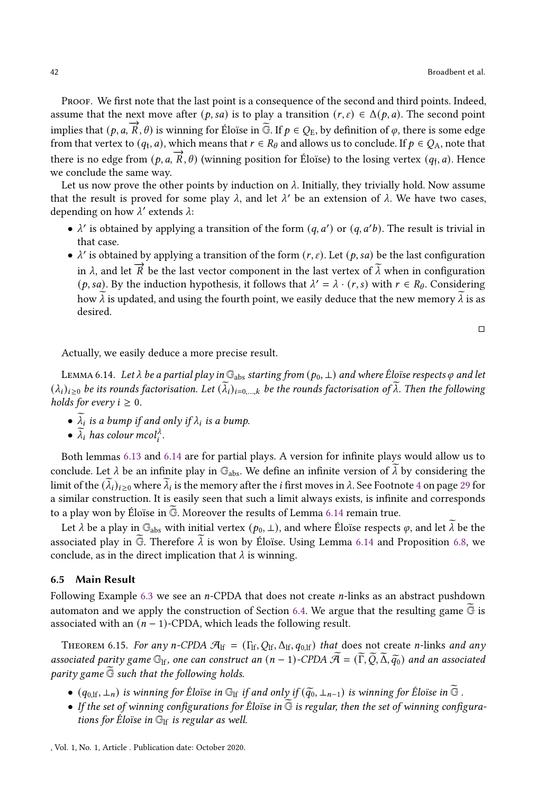Proof. We first note that the last point is a consequence of the second and third points. Indeed, assume that the next move after  $(p, sa)$  is to play a transition  $(r, \varepsilon) \in \Delta(p, a)$ . The second point implies that  $(p, a, \overrightarrow{R}, \theta)$  is winning for Éloïse in  $\widetilde{G}$ . If  $p \in Q_E$ , by definition of  $\varphi$ , there is some edge from that vertex to  $(q_t, a)$ , which means that  $r \in R_\theta$  and allows us to conclude. If  $p \in Q_A$ , note that there is no edge from  $(p, a, \overrightarrow{R}, \theta)$  (winning position for Éloïse) to the losing vertex  $(q_f, a)$ . Hence we conclude the same way.

Let us now prove the other points by induction on  $\lambda$ . Initially, they trivially hold. Now assume that the result is proved for some play  $\lambda$ , and let  $\lambda'$  be an extension of  $\lambda$ . We have two cases, depending on how  $\lambda'$  extends  $\lambda$ :

- $\lambda'$  is obtained by applying a transition of the form  $(q, a')$  or  $(q, a'b)$ . The result is trivial in that case.
- $\lambda'$  is obtained by applying a transition of the form  $(r, \varepsilon)$ . Let  $(p, sa)$  be the last configuration in  $\lambda$ , and let  $\vec{R}$  be the last vector component in the last vertex of  $\lambda$  when in configuration (p, sa). By the induction hypothesis, it follows that  $\lambda' = \lambda \cdot (r, s)$  with  $r \in R_{\theta}$ . Considering how  $\lambda$  is updated, and using the fourth point, we easily deduce that the new memory  $\lambda$  is as desired.

 $\Box$ 

Actually, we easily deduce a more precise result.

<span id="page-41-1"></span>LEMMA 6.14. Let  $\lambda$  be a partial play in  $\mathbb{G}_{\text{abs}}$  starting from  $(p_0, \perp)$  and where Éloïse respects  $\varphi$  and let  $(\lambda_i)_{i\geq 0}$  be its rounds factorisation. Let  $(\lambda_i)_{i=0,\dots,k}$  be the rounds factorisation of  $\lambda$ . Then the following holds for every  $i \geq 0$ .

- $\lambda_i$  is a bump if and only if  $\lambda_i$  is a bump.
- $\lambda_i$  has colour mcol<sub>i</sub><sup> $\lambda_i$ </sup>.

Both lemmas [6.13](#page-40-0) and [6.14](#page-41-1) are for partial plays. A version for infinite plays would allow us to conclude. Let  $\lambda$  be an infinite play in  $\mathbb{G}_{\text{abs}}$ . We define an infinite version of  $\lambda$  by considering the limit of the  $(\lambda_i)_{i\geq 0}$  where  $\lambda_i$  is the memory after the *i* first moves in  $\lambda$ . See Footnote [4](#page-28-0) on page [29](#page-28-0) for a similar construction. It is easily seen that such a limit always exists, is infinite and corresponds to a play won by Éloïse in  $\overline{\mathbb{G}}$ . Moreover the results of Lemma [6.14](#page-41-1) remain true.

Let  $\lambda$  be a play in  $\mathbb{G}_{\text{abs}}$  with initial vertex  $(p_0, \perp)$ , and where Éloïse respects  $\varphi$ , and let  $\lambda$  be the associated play in  $\widetilde{G}$ . Therefore  $\lambda$  is won by Éloïse. Using Lemma [6.14](#page-41-1) and Proposition [6.8,](#page-34-0) we conclude, as in the direct implication that  $\lambda$  is winning.

#### 6.5 Main Result

Following Example [6.3](#page-31-0) we see an  $n$ -CPDA that does not create  $n$ -links as an abstract pushdown automaton and we apply the construction of Section [6.4.](#page-34-1) We argue that the resulting game  $G$  is associated with an  $(n - 1)$ -CPDA, which leads the following result.

<span id="page-41-0"></span>THEOREM 6.15. For any n-CPDA  $\mathcal{A}_{\text{lf}} = (\Gamma_{\text{lf}}, Q_{\text{lf}}, \Delta_{\text{lf}}, q_{\text{0},\text{lf}}))$  that does not create n-links and any associated parity game  $\mathbb{G}_{\mathbb{F}}$ , one can construct an  $(n-1)$ -CPDA  $\mathcal{A} = (\overline{\Gamma}, \overline{Q}, \overline{\Delta}, \overline{q_0})$  and an associated parity game  $\overline{\mathbb{G}}$  such that the following holds.

- $(q_{0,\text{lf}}, \perp_n)$  is winning for Éloïse in  $\mathbb{G}_\text{lf}$  if and only if  $(\tilde{q_0}, \perp_{n-1})$  is winning for Éloïse in  $\mathbb{G}$ .
- If the set of winning configurations for Éloïse in  $G$  is regular, then the set of winning configurations for Éloïse in  $\mathbb{G}_{\mathrm{lf}}$  is regular as well.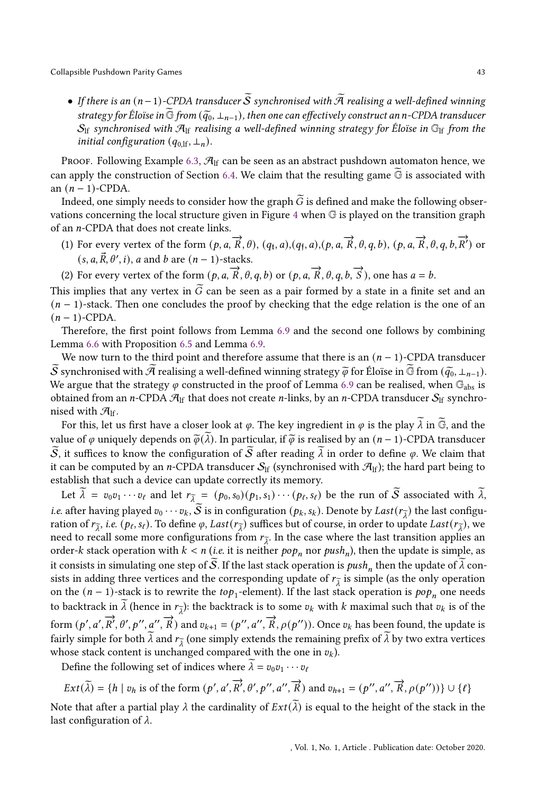• If there is an  $(n-1)$ -CPDA transducer  $\widetilde{S}$  synchronised with  $\widetilde{A}$  realising a well-defined winning strategy for Éloïse in  $G$  from  $(\tilde{q}_0, \perp_{n-1})$ , then one can effectively construct an n-CPDA transducer  $S_{\text{lf}}$  synchronised with  $\mathcal{A}_{\text{lf}}$  realising a well-defined winning strategy for Éloïse in  $\mathbb{G}_{\text{lf}}$  from the initial configuration  $(q_{0,1f}, \perp_n)$ .

Proof. Following Example [6.3,](#page-31-0)  $\mathcal{A}_{\text{lf}}$  can be seen as an abstract pushdown automaton hence, we can apply the construction of Section [6.4.](#page-34-1) We claim that the resulting game  $\widetilde{\mathbb{G}}$  is associated with an  $(n - 1)$ -CPDA.

Indeed, one simply needs to consider how the graph  $\tilde{G}$  is defined and make the following observations concerning the local structure given in Figure [4](#page-36-0) when G is played on the transition graph of an *n*-CPDA that does not create links.

(1) For every vertex of the form  $(p, a, \vec{R}, \theta)$ ,  $(q_t, a)$ ,  $(q_{\tilde{f}}, a)$ ,  $(p, a, \vec{R}, \theta, q, b)$ ,  $(p, a, \vec{R}, \theta, q, b, \vec{R}')$  or  $(s, a, \vec{R}, \theta', i)$ , a and b are  $(n - 1)$ -stacks.

(2) For every vertex of the form  $(p, a, \vec{R}, \theta, q, b)$  or  $(p, a, \vec{R}, \theta, q, b, \vec{S})$ , one has  $a = b$ .

This implies that any vertex in  $\widetilde{G}$  can be seen as a pair formed by a state in a finite set and an  $(n - 1)$ -stack. Then one concludes the proof by checking that the edge relation is the one of an  $(n-1)$ -CPDA.

Therefore, the first point follows from Lemma [6.9](#page-37-0) and the second one follows by combining Lemma [6.6](#page-33-0) with Proposition [6.5](#page-32-0) and Lemma [6.9.](#page-37-0)

We now turn to the third point and therefore assume that there is an  $(n-1)$ -CPDA transducer  $\overline{S}$  synchronised with  $\overline{A}$  realising a well-defined winning strategy  $\widetilde{\varphi}$  for Éloïse in  $\widetilde{G}$  from  $(\widetilde{q_0}, \perp_{n-1})$ . We argue that the strategy  $\varphi$  constructed in the proof of Lemma [6.9](#page-37-0) can be realised, when  $\mathbb{G}_{\text{abs}}$  is obtained from an *n*-CPDA  $\mathcal{A}_{\text{lf}}$  that does not create *n*-links, by an *n*-CPDA transducer  $S_{\text{lf}}$  synchronised with  $\mathcal{A}_{\text{lf}}$ .

For this, let us first have a closer look at  $\varphi$ . The key ingredient in  $\varphi$  is the play  $\lambda$  in  $\mathbb{G}$ , and the value of  $\varphi$  uniquely depends on  $\tilde{\varphi}(\lambda)$ . In particular, if  $\tilde{\varphi}$  is realised by an  $(n-1)$ -CPDA transducer  $\widetilde{S}$ , it suffices to know the configuration of  $\widetilde{S}$  after reading  $\widetilde{\lambda}$  in order to define  $\varphi$ . We claim that it can be computed by an *n*-CPDA transducer  $S_{\text{lf}}$  (synchronised with  $\mathcal{A}_{\text{lf}}$ ); the hard part being to establish that such a device can update correctly its memory.

Let  $\lambda = v_0v_1 \cdots v_\ell$  and let  $r_{\tilde{\lambda}} = (p_0, s_0)(p_1, s_1) \cdots (p_\ell, s_\ell)$  be the run of S associated with  $\lambda$ , *i.e.* after having played  $v_0 \cdots v_k$ , S is in configuration  $(p_k, s_k)$ . Denote by Last  $(r_{\tilde{\lambda}})$  the last configuration ration of  $r_{\lambda}$ , i.e.  $(p_{\ell}, s_{\ell})$ . To define  $\varphi$ ,  $Last(r_{\lambda}^{-})$  suffices but of course, in order to update  $Last(r_{\lambda}^{-})$ , we need to recall some more configurations from  $r_{\tilde{\lambda}}$ . In the case where the last transition applies an order- $k$  stack operation with  $k < n$  (i.e. it is neither  $pop_n$  nor  $push_n$ ), then the update is simple, as it consists in simulating one step of S. If the last stack operation is  $push_n$  then the update of  $\lambda$  consists in adding three vertices and the corresponding update of  $r_{\lambda}$  is simple (as the only operation on the  $(n-1)$ -stack is to rewrite the to $p_1$ -element). If the last stack operation is  $pop_n$  one needs to backtrack in  $\lambda$  (hence in  $r_{\overline{\lambda}}$ ): the backtrack is to some  $v_k$  with  $k$  maximal such that  $v_k$  is of the form  $(p', a', \overrightarrow{R}', \theta', p'', a'', \overrightarrow{R})$  and  $v_{k+1} = (p'', a'', \overrightarrow{R}, \rho(p''))$ . Once  $v_k$  has been found, the update is fairly simple for both  $\lambda$  and  $r_{\tilde{\lambda}}$  (one simply extends the remaining prefix of  $\lambda$  by two extra vertices whose stack content is unchanged compared with the one in  $v_k$ ).

Define the following set of indices where  $\lambda = v_0 v_1 \cdots v_\ell$ 

$$
Ext(\widetilde{\lambda}) = \{ h \mid v_h \text{ is of the form } (p', a', \overrightarrow{R'}, \theta', p'', a'', \overrightarrow{R}) \text{ and } v_{h+1} = (p'', a'', \overrightarrow{R}, \rho(p'')) \} \cup \{ \ell \}
$$

Note that after a partial play  $\lambda$  the cardinality of  $Ext(\lambda)$  is equal to the height of the stack in the last configuration of  $\lambda$ .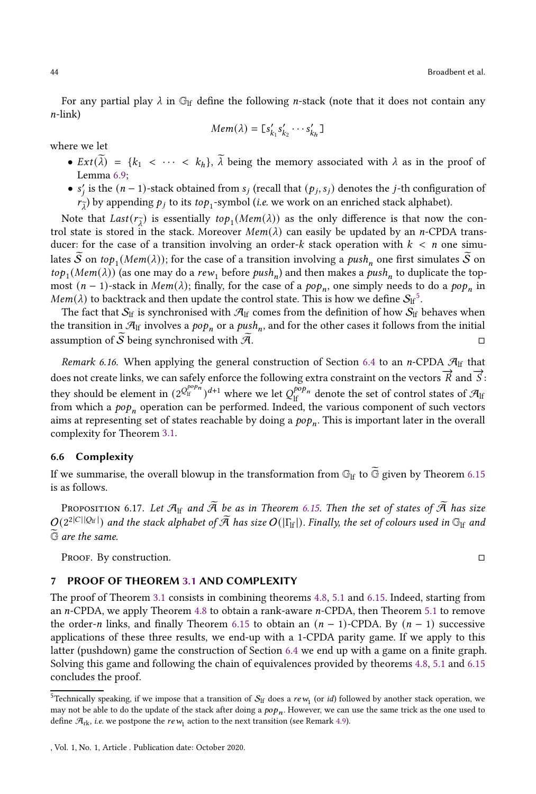For any partial play  $\lambda$  in  $\mathbb{G}_{\mathrm{lf}}$  define the following *n*-stack (note that it does not contain any  $n$ -link)

$$
Mem(\lambda) = [s'_{k_1}s'_{k_2}\cdots s'_{k_h}]
$$

where we let

- $Ext(\tilde{\lambda}) = \{k_1 < \cdots < k_h\}, \tilde{\lambda}$  being the memory associated with  $\lambda$  as in the proof of Lemma [6.9;](#page-37-0)
- $s'_j$  is the  $(n-1)$ -stack obtained from  $s_j$  (recall that  $(p_j, s_j)$  denotes the *j*-th configuration of  $r_{\widetilde{\lambda}}$ ) by appending  $p_j$  to its  $top_1$ -symbol (*i.e.* we work on an enriched stack alphabet).

Note that  $Last(r_{\lambda})$  is essentially  $top_1(Mem(\lambda))$  as the only difference is that now the control state is stored in the stack. Moreover  $Mem(\lambda)$  can easily be updated by an *n*-CPDA transducer: for the case of a transition involving an order- $k$  stack operation with  $k < n$  one simulates  $S$  on to $p_1(Mem(\lambda))$ ; for the case of a transition involving a  $push_n$  one first simulates  $S$  on  $top_1(Mem(\lambda))$  (as one may do a  $rew_1$  before  $push_n$ ) and then makes a  $push_n$  to duplicate the topmost ( $n - 1$ )-stack in  $Mem(\lambda)$ ; finally, for the case of a  $pop_n$ , one simply needs to do a  $pop_n$  in  $Mem(\lambda)$  to backtrack and then update the control state. This is how we define  $S_{\text{lf}}^{5}$  $S_{\text{lf}}^{5}$  $S_{\text{lf}}^{5}$ .

The fact that  $S_{\text{lf}}$  is synchronised with  $\mathcal{A}_{\text{lf}}$  comes from the definition of how  $S_{\text{lf}}$  behaves when the transition in  $\mathcal{A}_{\rm lf}$  involves a  $pop_n$  or a  $push_n$ , and for the other cases it follows from the initial assumption of  $\overline{S}$  being synchronised with  $\overline{A}$ .

Remark 6.16. When applying the general construction of Section [6.4](#page-34-1) to an n-CPDA  $\mathcal{A}_{\text{lf}}$  that does not create links, we can safely enforce the following extra constraint on the vectors  $\vec{R}$  and  $\vec{S}$ : they should be element in  $(2^{Q_{\rm lf}^{pop_n}})^{d+1}$  where we let  $Q_{\rm lf}^{pop_n}$  denote the set of control states of  $\mathcal{A}_{\rm lf}$ from which a  $\emph{pop}_n$  operation can be performed. Indeed, the various component of such vectors aims at representing set of states reachable by doing a  $pop_n.$  This is important later in the overall complexity for Theorem [3.1.](#page-13-2)

#### 6.6 Complexity

If we summarise, the overall blowup in the transformation from  $\mathbb{G}_{\rm If}$  to  $\bar{\mathbb{G}}$  given by Theorem [6.15](#page-41-0) is as follows.

<span id="page-43-2"></span>PROPOSITION 6.17. Let  $\mathcal{A}_{\text{lf}}$  and  $\widetilde{\mathcal{A}}$  be as in Theorem [6.15.](#page-41-0) Then the set of states of  $\widetilde{\mathcal{A}}$  has size  $\mathcal{O}(2^{2|C||Q_\text{lf}|})$  and the stack alphabet of  $\widetilde{\mathcal{A}}$  has size  $O(|\Gamma_\text{lf}|).$  Finally, the set of colours used in  $\mathbb{G}_\text{lf}$  and  $\tilde{\mathbb{G}}$  are the same.

PROOF. By construction.

# <span id="page-43-0"></span>7 PROOF OF THEOREM [3.1](#page-13-2) AND COMPLEXITY

The proof of Theorem [3.1](#page-13-2) consists in combining theorems [4.8,](#page-17-0) [5.1](#page-22-1) and [6.15.](#page-41-0) Indeed, starting from an  $n$ -CPDA, we apply Theorem [4.8](#page-17-0) to obtain a rank-aware  $n$ -CPDA, then Theorem [5.1](#page-22-1) to remove the order-n links, and finally Theorem [6.15](#page-41-0) to obtain an  $(n - 1)$ -CPDA. By  $(n - 1)$  successive applications of these three results, we end-up with a 1-CPDA parity game. If we apply to this latter (pushdown) game the construction of Section [6.4](#page-34-1) we end up with a game on a finite graph. Solving this game and following the chain of equivalences provided by theorems [4.8,](#page-17-0) [5.1](#page-22-1) and [6.15](#page-41-0) concludes the proof.

<span id="page-43-1"></span><sup>&</sup>lt;sup>5</sup>Technically speaking, if we impose that a transition of  $S_f$  does a  $rew_1$  (or *id*) followed by another stack operation, we may not be able to do the update of the stack after doing a  $pop_n.$  However, we can use the same trick as the one used to define  $\mathcal{A}_{\text{rk}}$ , *i.e.* we postpone the  $rew_1$  action to the next transition (see Remark [4.9\)](#page-20-0).

<sup>,</sup> Vol. 1, No. 1, Article . Publication date: October 2020.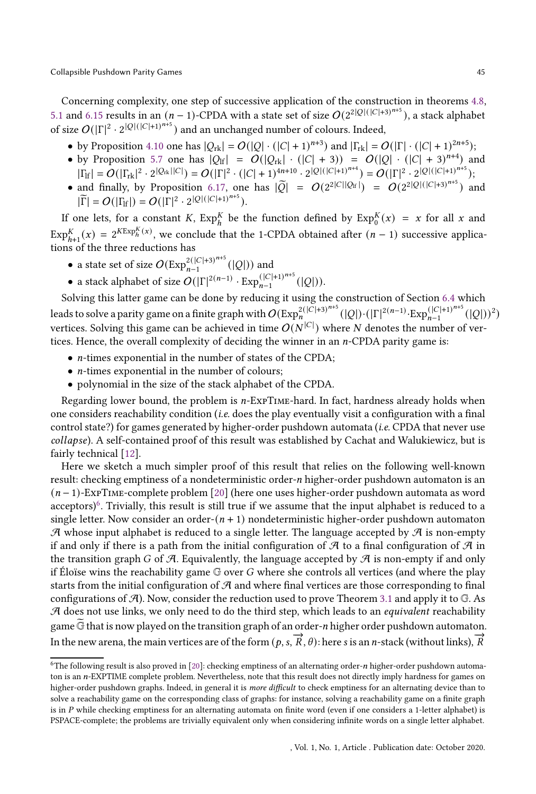Concerning complexity, one step of successive application of the construction in theorems [4.8,](#page-17-0) [5.1](#page-22-1) and [6.15](#page-41-0) results in an  $(n-1)$ -CPDA with a state set of size  $O(2^{2|Q|(|C|+3)^{n+5}})$ , a stack alphabet of size  $O(|\Gamma|^2 \cdot 2^{|Q|(|C|+1)^{n+5}})$  and an unchanged number of colours. Indeed,

- by Proposition [4.10](#page-22-2) one has  $|Q_{rk}| = O(|Q| \cdot (|C| + 1)^{n+3})$  and  $|\Gamma_{rk}| = O(|\Gamma| \cdot (|C| + 1)^{2n+5})$ ;
- by Proposition [5.7](#page-30-2) one has  $|Q_H| = O(|Q_K| \cdot (|C| + 3)) = O(|Q| \cdot (|C| + 3)^{n+4})$  and  $|\Gamma_{\rm lf}| = O(|\Gamma_{\rm rk}|^2 \cdot 2^{|Q_{\rm rk}||C|}) = O(|\Gamma|^2 \cdot (|C|+1)^{4n+10} \cdot 2^{|Q|(|C|+1)^{n+4}}) = O(|\Gamma|^2 \cdot 2^{|Q|(|C|+1)^{n+5}});$
- and finally, by Proposition [6.17,](#page-43-2) one has  $|\widetilde{Q}| = O(2^{2|C||Q_H|}) = O(2^{2|Q|(|C|+3)^{n+5}})$  and  $|\widetilde{\Gamma}| = O(|\Gamma_{\text{lf}}|) = O(|\Gamma|^2 \cdot 2^{|Q|(|C|+1)^{n+5}}).$

If one lets, for a constant K,  $\text{Exp}_{h}^{K}$  be the function defined by  $\text{Exp}_{0}^{K}(x) = x$  for all x and  $\text{Exp}_{h+1}^K(x) = 2^{K\text{Exp}_h^K(x)}$ , we conclude that the 1-CPDA obtained after  $(n-1)$  successive applications of the three reductions has

- a state set of size  $O(\text{Exp}_{n-1}^{2(|C|+3)^{n+5}}(|Q|))$  and
- a stack alphabet of size  $O(|\Gamma|^{2(n-1)} \cdot \text{Exp}_{n-1}^{(|\mathcal{Q}|)})^{n+5}$  $_{n-1}^{(|C|+1)^{n-1}}(|Q|)).$

Solving this latter game can be done by reducing it using the construction of Section [6.4](#page-34-1) which leads to solve a parity game on a finite graph with  $O(\Epsilon \chi^{2(|C|+3)^{n+5}}_{n}(|Q|) \cdot (|\Gamma|^{2(n-1)} \cdot \Epsilon \chi p_{n-1}^{(|C|+1)^{n+5}})$  $_{n-1}^{(|C|+1)^{n+3}}(|Q|)$ <sup>2</sup>) vertices. Solving this game can be achieved in time  $O(N^{|C|})$  where  $N$  denotes the number of vertices. Hence, the overall complexity of deciding the winner in an  $n$ -CPDA parity game is:

- $\bullet$  *n*-times exponential in the number of states of the CPDA;
- $\bullet\,$   $\emph{n-times}$  exponential in the number of colours;
- polynomial in the size of the stack alphabet of the CPDA.

Regarding lower bound, the problem is  $n$ -ExpTIME-hard. In fact, hardness already holds when one considers reachability condition (*i.e.* does the play eventually visit a configuration with a final control state?) for games generated by higher-order pushdown automata (*i.e.* CPDA that never use collapse). A self-contained proof of this result was established by Cachat and Walukiewicz, but is fairly technical [\[12](#page-49-18)].

Here we sketch a much simpler proof of this result that relies on the following well-known result: checking emptiness of a nondeterministic order-n higher-order pushdown automaton is an  $(n-1)$ -ExpTIME-complete problem [\[20\]](#page-49-19) (here one uses higher-order pushdown automata as word acceptors)<sup>[6](#page-44-0)</sup>. Trivially, this result is still true if we assume that the input alphabet is reduced to a single letter. Now consider an order- $(n + 1)$  nondeterministic higher-order pushdown automaton  $\mathcal A$  whose input alphabet is reduced to a single letter. The language accepted by  $\mathcal A$  is non-empty if and only if there is a path from the initial configuration of  $\mathcal A$  to a final configuration of  $\mathcal A$  in the transition graph G of  $\mathcal A$ . Equivalently, the language accepted by  $\mathcal A$  is non-empty if and only if Éloïse wins the reachability game  $G$  over  $G$  where she controls all vertices (and where the play starts from the initial configuration of  $\mathcal A$  and where final vertices are those corresponding to final configurations of  $A$ ). Now, consider the reduction used to prove Theorem [3.1](#page-13-2) and apply it to  $G$ . As  $A$  does not use links, we only need to do the third step, which leads to an *equivalent* reachability game G that is now played on the transition graph of an order-*n* higher order pushdown automaton. In the new arena, the main vertices are of the form  $(p, s, \overrightarrow{R}, \theta)$ : here s is an *n*-stack (without links),  $\overrightarrow{R}$ 

<span id="page-44-0"></span> $6$ The following result is also proved in [\[20](#page-49-19)]: checking emptiness of an alternating order- $n$  higher-order pushdown automaton is an n-EXPTIME complete problem. Nevertheless, note that this result does not directly imply hardness for games on higher-order pushdown graphs. Indeed, in general it is *more difficult* to check emptiness for an alternating device than to solve a reachability game on the corresponding class of graphs: for instance, solving a reachability game on a finite graph is in P while checking emptiness for an alternating automata on finite word (even if one considers a 1-letter alphabet) is PSPACE-complete; the problems are trivially equivalent only when considering infinite words on a single letter alphabet.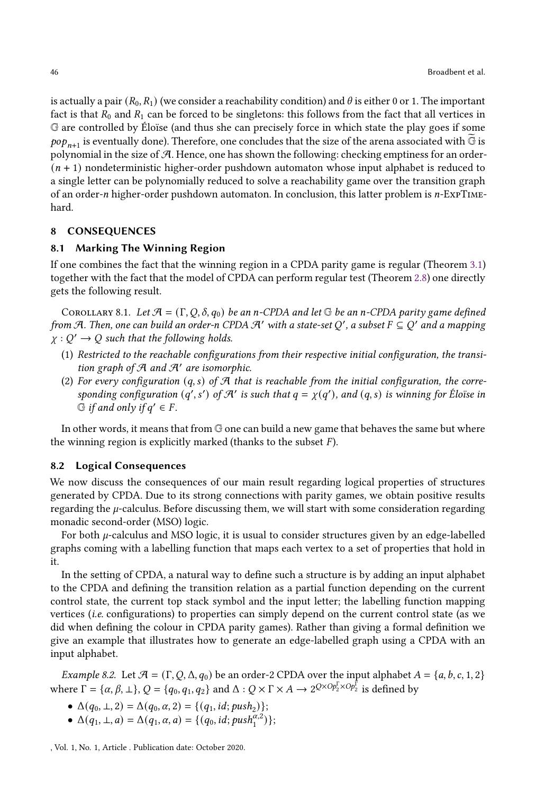is actually a pair  $(R_0, R_1)$  (we consider a reachability condition) and  $\theta$  is either 0 or 1. The important fact is that  $R_0$  and  $R_1$  can be forced to be singletons: this follows from the fact that all vertices in G are controlled by Éloïse (and thus she can precisely force in which state the play goes if some  $pop_{n+1}$  is eventually done). Therefore, one concludes that the size of the arena associated with  $\widetilde{\mathbb{G}}$  is polynomial in the size of  $A$ . Hence, one has shown the following: checking emptiness for an order- $(n + 1)$  nondeterministic higher-order pushdown automaton whose input alphabet is reduced to a single letter can be polynomially reduced to solve a reachability game over the transition graph of an order- $n$  higher-order pushdown automaton. In conclusion, this latter problem is  $n$ -ExpTIMEhard.

## <span id="page-45-1"></span><span id="page-45-0"></span>8 CONSEQUENCES

#### 8.1 Marking The Winning Region

If one combines the fact that the winning region in a CPDA parity game is regular (Theorem [3.1\)](#page-13-2) together with the fact that the model of CPDA can perform regular test (Theorem [2.8\)](#page-10-0) one directly gets the following result.

COROLLARY 8.1. Let  $\mathcal{A} = (\Gamma, Q, \delta, q_0)$  be an n-CPDA and let  $\mathbb{G}$  be an n-CPDA parity game defined from A. Then, one can build an order-n CPDA A' with a state-set Q', a subset  $F \subseteq Q'$  and a mapping  $\chi : Q' \to Q$  such that the following holds.

- (1) Restricted to the reachable configurations from their respective initial configuration, the transition graph of  $A$  and  $A'$  are isomorphic.
- (2) For every configuration  $(q, s)$  of  $\mathcal{A}$  that is reachable from the initial configuration, the corresponding configuration  $(q', s')$  of  $\mathcal{A}'$  is such that  $q = \chi(q')$ , and  $(q, s)$  is winning for Éloïse in  $\Im$  if and only if  $q' \in F$ .

In other words, it means that from G one can build a new game that behaves the same but where the winning region is explicitly marked (thanks to the subset  $F$ ).

#### 8.2 Logical Consequences

We now discuss the consequences of our main result regarding logical properties of structures generated by CPDA. Due to its strong connections with parity games, we obtain positive results regarding the  $\mu$ -calculus. Before discussing them, we will start with some consideration regarding monadic second-order (MSO) logic.

For both  $\mu$ -calculus and MSO logic, it is usual to consider structures given by an edge-labelled graphs coming with a labelling function that maps each vertex to a set of properties that hold in it.

In the setting of CPDA, a natural way to define such a structure is by adding an input alphabet to the CPDA and defining the transition relation as a partial function depending on the current control state, the current top stack symbol and the input letter; the labelling function mapping vertices (i.e. configurations) to properties can simply depend on the current control state (as we did when defining the colour in CPDA parity games). Rather than giving a formal definition we give an example that illustrates how to generate an edge-labelled graph using a CPDA with an input alphabet.

<span id="page-45-2"></span>Example 8.2. Let  $\mathcal{A} = (\Gamma, Q, \Delta, q_0)$  be an order-2 CPDA over the input alphabet  $A = \{a, b, c, 1, 2\}$ where  $\Gamma = {\alpha, \beta, \perp}, Q = {q_0, q_1, q_2}$  and  $\Delta : Q \times \Gamma \times A \rightarrow 2^{Q \times Op_2^{\Gamma} \times Op_2^{\Gamma}}$  is defined by

- $\Delta(q_0, \perp, 2) = \Delta(q_0, \alpha, 2) = \{(q_1, id; push_2)\};$
- $\Delta(q_1, \perp, a) = \Delta(q_1, \alpha, a) = \{ (q_0, id; push_1^{\alpha, 2}) \};$

, Vol. 1, No. 1, Article . Publication date: October 2020.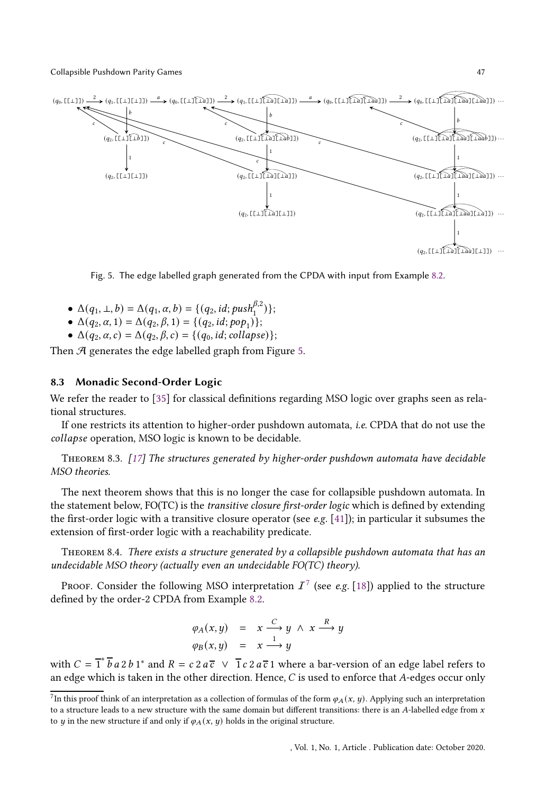<span id="page-46-0"></span>

Fig. 5. The edge labelled graph generated from the CPDA with input from Example [8.2.](#page-45-2)

- $\Delta(q_1, \perp, b) = \Delta(q_1, \alpha, b) = \{(q_2, id; push_1^{\beta, 2})\};$
- $\Delta(q_2, \alpha, 1) = \Delta(q_2, \beta, 1) = \{(q_2, id; pop_1)\};$
- $\Delta(q_2, \alpha, c) = \Delta(q_2, \beta, c) = \{(q_0, id; \text{collapse})\};$

Then  $A$  generates the edge labelled graph from Figure [5.](#page-46-0)

## 8.3 Monadic Second-Order Logic

We refer the reader to [\[35\]](#page-50-2) for classical definitions regarding MSO logic over graphs seen as relational structures.

If one restricts its attention to higher-order pushdown automata, i.e. CPDA that do not use the collapse operation, MSO logic is known to be decidable.

<span id="page-46-2"></span>THEOREM 8.3.  $[17]$  $[17]$  The structures generated by higher-order pushdown automata have decidable MSO theories.

The next theorem shows that this is no longer the case for collapsible pushdown automata. In the statement below, FO(TC) is the transitive closure first-order logic which is defined by extending the first-order logic with a transitive closure operator (see e.g. [\[41\]](#page-50-11)); in particular it subsumes the extension of first-order logic with a reachability predicate.

<span id="page-46-3"></span>THEOREM 8.4. There exists a structure generated by a collapsible pushdown automata that has an undecidable MSO theory (actually even an undecidable FO(TC) theory).

Proof. Consider the following MSO interpretation  $\mathcal{I}^{\mathcal{T}}$  (see e.g. [\[18](#page-49-20)]) applied to the structure defined by the order-2 CPDA from Example [8.2.](#page-45-2)

$$
\varphi_A(x, y) = x \xrightarrow{C} y \wedge x \xrightarrow{R} y
$$
  

$$
\varphi_B(x, y) = x \xrightarrow{1} y
$$

with  $C = \overline{1}^* \overline{b} a 2 b 1^*$  and  $R = c 2 a \overline{c} \ \vee \ \overline{1} c 2 a \overline{c} 1$  where a bar-version of an edge label refers to an edge which is taken in the other direction. Hence,  $C$  is used to enforce that  $A$ -edges occur only

<span id="page-46-1"></span><sup>&</sup>lt;sup>7</sup>In this proof think of an interpretation as a collection of formulas of the form  $\varphi_A(x, y)$ . Applying such an interpretation to a structure leads to a new structure with the same domain but different transitions: there is an A-labelled edge from  $x$ to *y* in the new structure if and only if  $\varphi_A(x, y)$  holds in the original structure.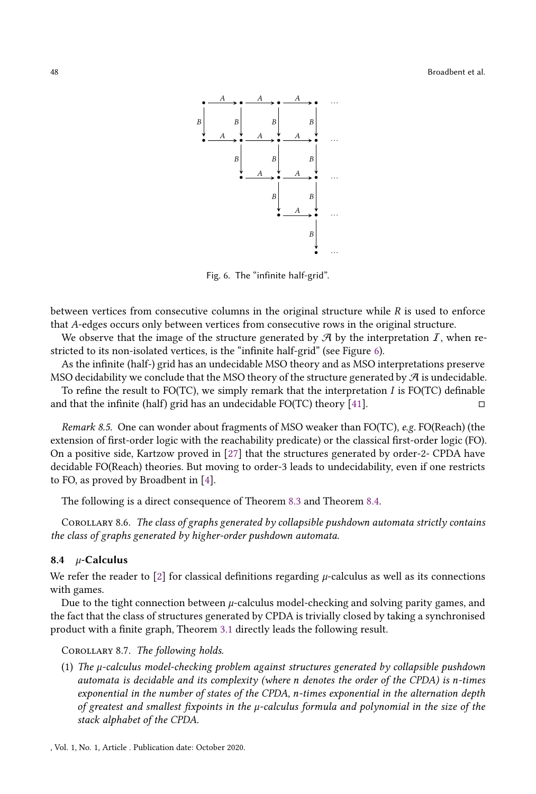<span id="page-47-0"></span>

Fig. 6. The "infinite half-grid".

between vertices from consecutive columns in the original structure while  *is used to enforce* that A-edges occurs only between vertices from consecutive rows in the original structure.

We observe that the image of the structure generated by  $\mathcal{A}$  by the interpretation  $I$ , when restricted to its non-isolated vertices, is the "infinite half-grid" (see Figure [6\)](#page-47-0).

As the infinite (half-) grid has an undecidable MSO theory and as MSO interpretations preserve MSO decidability we conclude that the MSO theory of the structure generated by  $\mathcal A$  is undecidable.

To refine the result to FO(TC), we simply remark that the interpretation  $I$  is FO(TC) definable and that the infinite (half) grid has an undecidable FO(TC) theory [\[41](#page-50-11)].

Remark 8.5. One can wonder about fragments of MSO weaker than FO(TC), e.g. FO(Reach) (the extension of first-order logic with the reachability predicate) or the classical first-order logic (FO). On a positive side, Kartzow proved in [\[27](#page-49-21)] that the structures generated by order-2- CPDA have decidable FO(Reach) theories. But moving to order-3 leads to undecidability, even if one restricts to FO, as proved by Broadbent in [\[4](#page-48-5)].

The following is a direct consequence of Theorem [8.3](#page-46-2) and Theorem [8.4.](#page-46-3)

Corollary 8.6. The class of graphs generated by collapsible pushdown automata strictly contains the class of graphs generated by higher-order pushdown automata.

#### 8.4  $\mu$ -Calculus

We refer the reader to [\[2\]](#page-48-6) for classical definitions regarding  $\mu$ -calculus as well as its connections with games.

Due to the tight connection between  $\mu$ -calculus model-checking and solving parity games, and the fact that the class of structures generated by CPDA is trivially closed by taking a synchronised product with a finite graph, Theorem [3.1](#page-13-2) directly leads the following result.

<span id="page-47-1"></span>COROLLARY 8.7. The following holds.

(1) The  $\mu$ -calculus model-checking problem against structures generated by collapsible pushdown automata is decidable and its complexity (where  $n$  denotes the order of the CPDA) is  $n$ -times exponential in the number of states of the CPDA, n-times exponential in the alternation depth of greatest and smallest fixpoints in the  $\mu$ -calculus formula and polynomial in the size of the stack alphabet of the CPDA.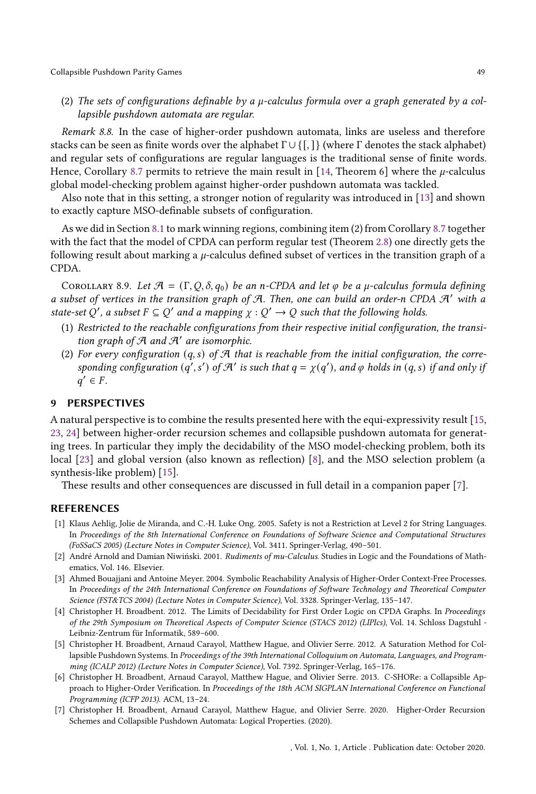(2) The sets of configurations definable by a  $\mu$ -calculus formula over a graph generated by a collapsible pushdown automata are regular.

Remark 8.8. In the case of higher-order pushdown automata, links are useless and therefore stacks can be seen as finite words over the alphabet  $\Gamma \cup \{\lceil, \cdot\rceil\}$  (where  $\Gamma$  denotes the stack alphabet) and regular sets of configurations are regular languages is the traditional sense of finite words. Hence, Corollary [8.7](#page-47-1) permits to retrieve the main result in [\[14,](#page-49-13) Theorem 6] where the  $\mu$ -calculus global model-checking problem against higher-order pushdown automata was tackled.

Also note that in this setting, a stronger notion of regularity was introduced in [\[13\]](#page-49-22) and shown to exactly capture MSO-definable subsets of configuration.

As we did in Section [8.1](#page-45-1) to mark winning regions, combining item (2) from Corollary [8.7](#page-47-1) together with the fact that the model of CPDA can perform regular test (Theorem [2.8\)](#page-10-0) one directly gets the following result about marking a  $\mu$ -calculus defined subset of vertices in the transition graph of a CPDA.

COROLLARY 8.9. Let  $\mathcal{A} = (\Gamma, Q, \delta, q_0)$  be an n-CPDA and let  $\varphi$  be a  $\mu$ -calculus formula defining a subset of vertices in the transition graph of  $A$ . Then, one can build an order-n CPDA  $A'$  with a state-set Q', a subset  $F \subseteq Q'$  and a mapping  $\chi : Q' \to Q$  such that the following holds.

- (1) Restricted to the reachable configurations from their respective initial configuration, the transition graph of  $A$  and  $A'$  are isomorphic.
- (2) For every configuration  $(q, s)$  of A that is reachable from the initial configuration, the corresponding configuration  $(q', s')$  of  $\mathcal{A}'$  is such that  $q = \chi(q')$ , and  $\varphi$  holds in  $(q, s)$  if and only if  $q' \in F$ .

# 9 PERSPECTIVES

A natural perspective is to combine the results presented here with the equi-expressivity result [\[15](#page-49-5), [23](#page-49-1), [24](#page-49-2)] between higher-order recursion schemes and collapsible pushdown automata for generating trees. In particular they imply the decidability of the MSO model-checking problem, both its local [\[23](#page-49-1)] and global version (also known as reflection) [\[8](#page-49-4)], and the MSO selection problem (a synthesis-like problem) [\[15](#page-49-5)].

These results and other consequences are discussed in full detail in a companion paper [\[7\]](#page-48-3).

## REFERENCES

- <span id="page-48-4"></span>[1] Klaus Aehlig, Jolie de Miranda, and C.-H. Luke Ong. 2005. Safety is not a Restriction at Level 2 for String Languages. In Proceedings of the 8th International Conference on Foundations of Software Science and Computational Structures (FoSSaCS 2005) (Lecture Notes in Computer Science), Vol. 3411. Springer-Verlag, 490–501.
- <span id="page-48-6"></span>[2] André Arnold and Damian Niwiński. 2001. Rudiments of mu-Calculus. Studies in Logic and the Foundations of Mathematics, Vol. 146. Elsevier.
- <span id="page-48-0"></span>[3] Ahmed Bouajjani and Antoine Meyer. 2004. Symbolic Reachability Analysis of Higher-Order Context-Free Processes. In Proceedings of the 24th International Conference on Foundations of Software Technology and Theoretical Computer Science (FST&TCS 2004) (Lecture Notes in Computer Science), Vol. 3328. Springer-Verlag, 135–147.
- <span id="page-48-5"></span>[4] Christopher H. Broadbent. 2012. The Limits of Decidability for First Order Logic on CPDA Graphs. In Proceedings of the 29th Symposium on Theoretical Aspects of Computer Science (STACS 2012) (LIPIcs), Vol. 14. Schloss Dagstuhl - Leibniz-Zentrum für Informatik, 589–600.
- <span id="page-48-1"></span>[5] Christopher H. Broadbent, Arnaud Carayol, Matthew Hague, and Olivier Serre. 2012. A Saturation Method for Collapsible Pushdown Systems. In Proceedings of the 39th International Colloquium on Automata, Languages, and Programming (ICALP 2012) (Lecture Notes in Computer Science), Vol. 7392. Springer-Verlag, 165–176.
- <span id="page-48-2"></span>[6] Christopher H. Broadbent, Arnaud Carayol, Matthew Hague, and Olivier Serre. 2013. C-SHORe: a Collapsible Approach to Higher-Order Verification. In Proceedings of the 18th ACM SIGPLAN International Conference on Functional Programming (ICFP 2013). ACM, 13–24.
- <span id="page-48-3"></span>[7] Christopher H. Broadbent, Arnaud Carayol, Matthew Hague, and Olivier Serre. 2020. Higher-Order Recursion Schemes and Collapsible Pushdown Automata: Logical Properties. (2020).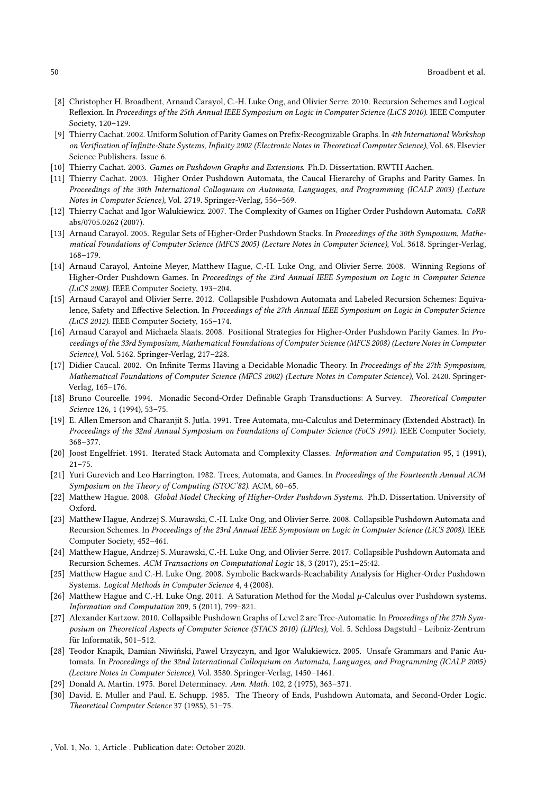- <span id="page-49-4"></span>[8] Christopher H. Broadbent, Arnaud Carayol, C.-H. Luke Ong, and Olivier Serre. 2010. Recursion Schemes and Logical Reflexion. In Proceedings of the 25th Annual IEEE Symposium on Logic in Computer Science (LiCS 2010). IEEE Computer Society, 120–129.
- <span id="page-49-8"></span>[9] Thierry Cachat. 2002. Uniform Solution of Parity Games on Prefix-Recognizable Graphs. In 4th International Workshop on Verification of Infinite-State Systems, Infinity 2002 (Electronic Notes in Theoretical Computer Science), Vol. 68. Elsevier Science Publishers. Issue 6.
- <span id="page-49-7"></span>[10] Thierry Cachat. 2003. Games on Pushdown Graphs and Extensions. Ph.D. Dissertation. RWTH Aachen.
- <span id="page-49-11"></span>[11] Thierry Cachat. 2003. Higher Order Pushdown Automata, the Caucal Hierarchy of Graphs and Parity Games. In Proceedings of the 30th International Colloquium on Automata, Languages, and Programming (ICALP 2003) (Lecture Notes in Computer Science), Vol. 2719. Springer-Verlag, 556–569.
- <span id="page-49-18"></span>[12] Thierry Cachat and Igor Walukiewicz. 2007. The Complexity of Games on Higher Order Pushdown Automata. CoRR abs/0705.0262 (2007).
- <span id="page-49-22"></span>[13] Arnaud Carayol. 2005. Regular Sets of Higher-Order Pushdown Stacks. In Proceedings of the 30th Symposium, Mathematical Foundations of Computer Science (MFCS 2005) (Lecture Notes in Computer Science), Vol. 3618. Springer-Verlag, 168–179.
- <span id="page-49-13"></span>[14] Arnaud Carayol, Antoine Meyer, Matthew Hague, C.-H. Luke Ong, and Olivier Serre. 2008. Winning Regions of Higher-Order Pushdown Games. In Proceedings of the 23rd Annual IEEE Symposium on Logic in Computer Science (LiCS 2008). IEEE Computer Society, 193–204.
- <span id="page-49-5"></span>[15] Arnaud Carayol and Olivier Serre. 2012. Collapsible Pushdown Automata and Labeled Recursion Schemes: Equivalence, Safety and Effective Selection. In Proceedings of the 27th Annual IEEE Symposium on Logic in Computer Science (LiCS 2012). IEEE Computer Society, 165–174.
- <span id="page-49-14"></span>[16] Arnaud Carayol and Michaela Slaats. 2008. Positional Strategies for Higher-Order Pushdown Parity Games. In Proceedings of the 33rd Symposium, Mathematical Foundations of Computer Science (MFCS 2008) (Lecture Notes in Computer Science), Vol. 5162. Springer-Verlag, 217–228.
- <span id="page-49-12"></span>[17] Didier Caucal. 2002. On Infinite Terms Having a Decidable Monadic Theory. In Proceedings of the 27th Symposium, Mathematical Foundations of Computer Science (MFCS 2002) (Lecture Notes in Computer Science), Vol. 2420. Springer-Verlag, 165–176.
- <span id="page-49-20"></span>[18] Bruno Courcelle. 1994. Monadic Second-Order Definable Graph Transductions: A Survey. Theoretical Computer Science 126, 1 (1994), 53–75.
- <span id="page-49-3"></span>[19] E. Allen Emerson and Charanjit S. Jutla. 1991. Tree Automata, mu-Calculus and Determinacy (Extended Abstract). In Proceedings of the 32nd Annual Symposium on Foundations of Computer Science (FoCS 1991). IEEE Computer Society, 368–377.
- <span id="page-49-19"></span>[20] Joost Engelfriet. 1991. Iterated Stack Automata and Complexity Classes. Information and Computation 95, 1 (1991),  $21 - 75$ .
- <span id="page-49-0"></span>[21] Yuri Gurevich and Leo Harrington. 1982. Trees, Automata, and Games. In Proceedings of the Fourteenth Annual ACM Symposium on the Theory of Computing (STOC'82). ACM, 60–65.
- <span id="page-49-9"></span>[22] Matthew Hague. 2008. Global Model Checking of Higher-Order Pushdown Systems. Ph.D. Dissertation. University of Oxford.
- <span id="page-49-1"></span>[23] Matthew Hague, Andrzej S. Murawski, C.-H. Luke Ong, and Olivier Serre. 2008. Collapsible Pushdown Automata and Recursion Schemes. In Proceedings of the 23rd Annual IEEE Symposium on Logic in Computer Science (LiCS 2008). IEEE Computer Society, 452–461.
- <span id="page-49-2"></span>[24] Matthew Hague, Andrzej S. Murawski, C.-H. Luke Ong, and Olivier Serre. 2017. Collapsible Pushdown Automata and Recursion Schemes. ACM Transactions on Computational Logic 18, 3 (2017), 25:1–25:42.
- <span id="page-49-15"></span>[25] Matthew Hague and C.-H. Luke Ong. 2008. Symbolic Backwards-Reachability Analysis for Higher-Order Pushdown Systems. Logical Methods in Computer Science 4, 4 (2008).
- <span id="page-49-10"></span>[26] Matthew Hague and C.-H. Luke Ong. 2011. A Saturation Method for the Modal  $\mu$ -Calculus over Pushdown systems. Information and Computation 209, 5 (2011), 799–821.
- <span id="page-49-21"></span>[27] Alexander Kartzow. 2010. Collapsible Pushdown Graphs of Level 2 are Tree-Automatic. In Proceedings of the 27th Symposium on Theoretical Aspects of Computer Science (STACS 2010) (LIPIcs), Vol. 5. Schloss Dagstuhl - Leibniz-Zentrum für Informatik, 501–512.
- <span id="page-49-16"></span>[28] Teodor Knapik, Damian Niwiński, Pawel Urzyczyn, and Igor Walukiewicz. 2005. Unsafe Grammars and Panic Automata. In Proceedings of the 32nd International Colloquium on Automata, Languages, and Programming (ICALP 2005) (Lecture Notes in Computer Science), Vol. 3580. Springer-Verlag, 1450–1461.
- <span id="page-49-17"></span>[29] Donald A. Martin. 1975. Borel Determinacy. Ann. Math. 102, 2 (1975), 363–371.
- <span id="page-49-6"></span>[30] David. E. Muller and Paul. E. Schupp. 1985. The Theory of Ends, Pushdown Automata, and Second-Order Logic. Theoretical Computer Science 37 (1985), 51–75.